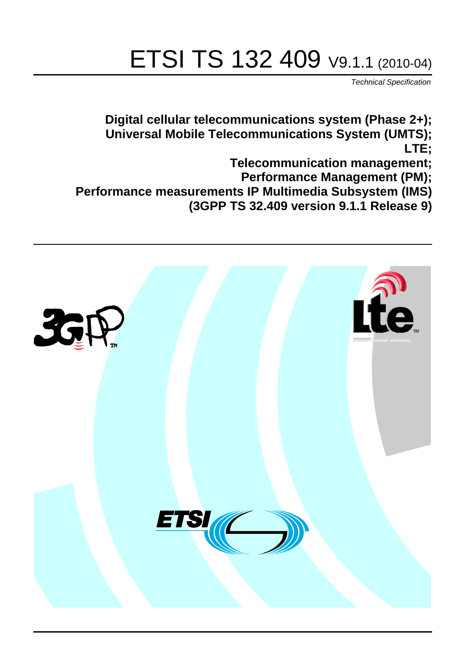# ETSI TS 132 409 V9.1.1 (2010-04)

*Technical Specification*

**Digital cellular telecommunications system (Phase 2+); Universal Mobile Telecommunications System (UMTS); LTE;**

**Telecommunication management;**

**Performance Management (PM);**

**Performance measurements IP Multimedia Subsystem (IMS)** 

**(3GPP TS 32.409 version 9.1.1 Release 9)**

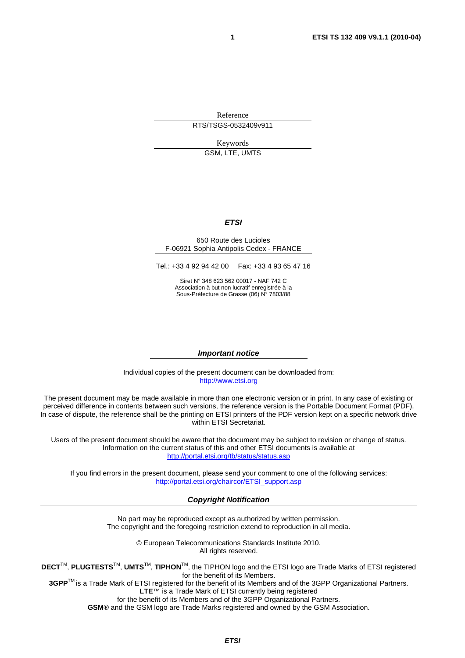Reference RTS/TSGS-0532409v911

> Keywords GSM, LTE, UMTS

# *ETSI*

#### 650 Route des Lucioles F-06921 Sophia Antipolis Cedex - FRANCE

Tel.: +33 4 92 94 42 00 Fax: +33 4 93 65 47 16

Siret N° 348 623 562 00017 - NAF 742 C Association à but non lucratif enregistrée à la Sous-Préfecture de Grasse (06) N° 7803/88

#### *Important notice*

Individual copies of the present document can be downloaded from: [http://www.etsi.org](http://www.etsi.org/)

The present document may be made available in more than one electronic version or in print. In any case of existing or perceived difference in contents between such versions, the reference version is the Portable Document Format (PDF). In case of dispute, the reference shall be the printing on ETSI printers of the PDF version kept on a specific network drive within ETSI Secretariat.

Users of the present document should be aware that the document may be subject to revision or change of status. Information on the current status of this and other ETSI documents is available at <http://portal.etsi.org/tb/status/status.asp>

If you find errors in the present document, please send your comment to one of the following services: [http://portal.etsi.org/chaircor/ETSI\\_support.asp](http://portal.etsi.org/chaircor/ETSI_support.asp)

#### *Copyright Notification*

No part may be reproduced except as authorized by written permission. The copyright and the foregoing restriction extend to reproduction in all media.

> © European Telecommunications Standards Institute 2010. All rights reserved.

**DECT**TM, **PLUGTESTS**TM, **UMTS**TM, **TIPHON**TM, the TIPHON logo and the ETSI logo are Trade Marks of ETSI registered for the benefit of its Members.

**3GPP**TM is a Trade Mark of ETSI registered for the benefit of its Members and of the 3GPP Organizational Partners. **LTE**™ is a Trade Mark of ETSI currently being registered

for the benefit of its Members and of the 3GPP Organizational Partners.

**GSM**® and the GSM logo are Trade Marks registered and owned by the GSM Association.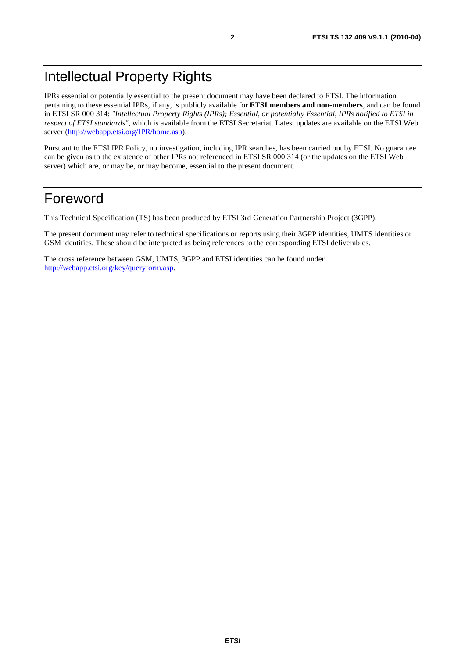# Intellectual Property Rights

IPRs essential or potentially essential to the present document may have been declared to ETSI. The information pertaining to these essential IPRs, if any, is publicly available for **ETSI members and non-members**, and can be found in ETSI SR 000 314: *"Intellectual Property Rights (IPRs); Essential, or potentially Essential, IPRs notified to ETSI in respect of ETSI standards"*, which is available from the ETSI Secretariat. Latest updates are available on the ETSI Web server [\(http://webapp.etsi.org/IPR/home.asp](http://webapp.etsi.org/IPR/home.asp)).

Pursuant to the ETSI IPR Policy, no investigation, including IPR searches, has been carried out by ETSI. No guarantee can be given as to the existence of other IPRs not referenced in ETSI SR 000 314 (or the updates on the ETSI Web server) which are, or may be, or may become, essential to the present document.

# Foreword

This Technical Specification (TS) has been produced by ETSI 3rd Generation Partnership Project (3GPP).

The present document may refer to technical specifications or reports using their 3GPP identities, UMTS identities or GSM identities. These should be interpreted as being references to the corresponding ETSI deliverables.

The cross reference between GSM, UMTS, 3GPP and ETSI identities can be found under [http://webapp.etsi.org/key/queryform.asp.](http://webapp.etsi.org/key/queryform.asp)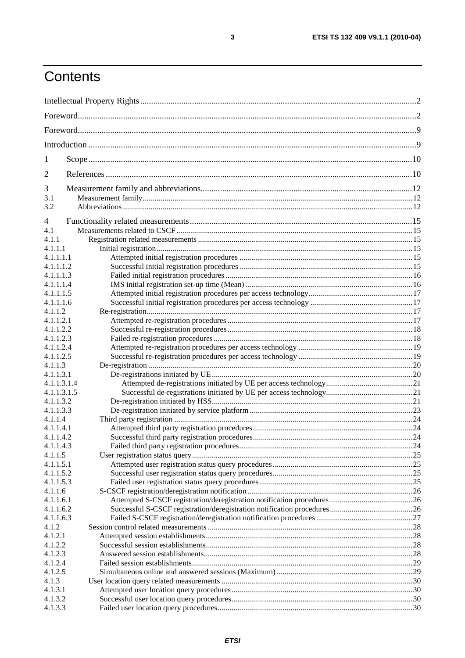# Contents

| 1           |  |  |  |
|-------------|--|--|--|
| 2           |  |  |  |
| 3           |  |  |  |
| 3.1         |  |  |  |
| 3.2         |  |  |  |
| 4           |  |  |  |
| 4.1         |  |  |  |
| 4.1.1       |  |  |  |
| 4.1.1.1     |  |  |  |
| 4.1.1.1.1   |  |  |  |
| 4.1.1.1.2   |  |  |  |
| 4.1.1.1.3   |  |  |  |
| 4.1.1.1.4   |  |  |  |
| 4.1.1.1.5   |  |  |  |
| 4.1.1.1.6   |  |  |  |
| 4.1.1.2     |  |  |  |
| 4.1.1.2.1   |  |  |  |
| 4.1.1.2.2   |  |  |  |
| 4.1.1.2.3   |  |  |  |
| 4.1.1.2.4   |  |  |  |
| 4.1.1.2.5   |  |  |  |
| 4.1.1.3     |  |  |  |
| 4.1.1.3.1   |  |  |  |
| 4.1.1.3.1.4 |  |  |  |
| 4.1.1.3.1.5 |  |  |  |
| 4.1.1.3.2   |  |  |  |
| 4.1.1.3.3   |  |  |  |
| 4.1.1.4     |  |  |  |
| 4.1.1.4.1   |  |  |  |
| 4.1.1.4.2   |  |  |  |
| 4.1.1.4.3   |  |  |  |
| 4.1.1.5     |  |  |  |
| 4.1.1.5.1   |  |  |  |
| 4.1.1.5.2   |  |  |  |
| 4.1.1.5.3   |  |  |  |
| 4.1.1.6     |  |  |  |
| 4.1.1.6.1   |  |  |  |
| 4.1.1.6.2   |  |  |  |
| 4.1.1.6.3   |  |  |  |
| 4.1.2       |  |  |  |
| 4.1.2.1     |  |  |  |
| 4.1.2.2     |  |  |  |
| 4.1.2.3     |  |  |  |
| 4.1.2.4     |  |  |  |
| 4.1.2.5     |  |  |  |
| 4.1.3       |  |  |  |
| 4.1.3.1     |  |  |  |
| 4.1.3.2     |  |  |  |
| 4.1.3.3     |  |  |  |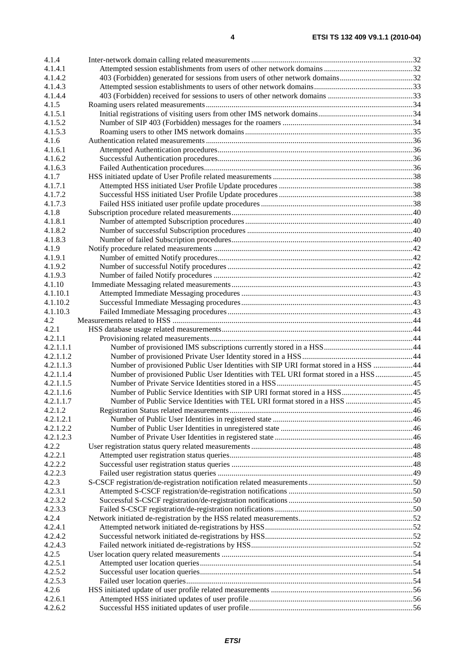| 4.1.4     |                                                                                     |  |
|-----------|-------------------------------------------------------------------------------------|--|
| 4.1.4.1   |                                                                                     |  |
| 4.1.4.2   | 403 (Forbidden) generated for sessions from users of other network domains32        |  |
| 4.1.4.3   |                                                                                     |  |
| 4.1.4.4   |                                                                                     |  |
| 4.1.5     |                                                                                     |  |
| 4.1.5.1   |                                                                                     |  |
| 4.1.5.2   |                                                                                     |  |
| 4.1.5.3   |                                                                                     |  |
| 4.1.6     |                                                                                     |  |
| 4.1.6.1   |                                                                                     |  |
| 4.1.6.2   |                                                                                     |  |
| 4.1.6.3   |                                                                                     |  |
| 4.1.7     |                                                                                     |  |
| 4.1.7.1   |                                                                                     |  |
| 4.1.7.2   |                                                                                     |  |
| 4.1.7.3   |                                                                                     |  |
| 4.1.8     |                                                                                     |  |
| 4.1.8.1   |                                                                                     |  |
| 4.1.8.2   |                                                                                     |  |
| 4.1.8.3   |                                                                                     |  |
| 4.1.9     |                                                                                     |  |
| 4.1.9.1   |                                                                                     |  |
| 4.1.9.2   |                                                                                     |  |
| 4.1.9.3   |                                                                                     |  |
| 4.1.10    |                                                                                     |  |
| 4.1.10.1  |                                                                                     |  |
| 4.1.10.2  |                                                                                     |  |
| 4.1.10.3  |                                                                                     |  |
| 4.2       |                                                                                     |  |
| 4.2.1     |                                                                                     |  |
| 4.2.1.1   |                                                                                     |  |
| 4.2.1.1.1 |                                                                                     |  |
| 4.2.1.1.2 |                                                                                     |  |
| 4.2.1.1.3 | Number of provisioned Public User Identities with SIP URI format stored in a HSS 44 |  |
| 4.2.1.1.4 | Number of provisioned Public User Identities with TEL URI format stored in a HSS 45 |  |
| 4.2.1.1.5 |                                                                                     |  |
| 4.2.1.1.6 |                                                                                     |  |
| 4.2.1.1.7 |                                                                                     |  |
| 4.2.1.2   |                                                                                     |  |
| 4.2.1.2.1 |                                                                                     |  |
| 4.2.1.2.2 |                                                                                     |  |
| 4.2.1.2.3 |                                                                                     |  |
| 4.2.2     |                                                                                     |  |
| 4.2.2.1   |                                                                                     |  |
| 4.2.2.2   |                                                                                     |  |
| 4.2.2.3   |                                                                                     |  |
| 4.2.3     |                                                                                     |  |
| 4.2.3.1   |                                                                                     |  |
| 4.2.3.2   |                                                                                     |  |
| 4.2.3.3   |                                                                                     |  |
| 4.2.4     |                                                                                     |  |
| 4.2.4.1   |                                                                                     |  |
| 4.2.4.2   |                                                                                     |  |
| 4.2.4.3   |                                                                                     |  |
| 4.2.5     |                                                                                     |  |
| 4.2.5.1   |                                                                                     |  |
| 4.2.5.2   |                                                                                     |  |
| 4.2.5.3   |                                                                                     |  |
| 4.2.6     |                                                                                     |  |
| 4.2.6.1   |                                                                                     |  |
| 4.2.6.2   |                                                                                     |  |
|           |                                                                                     |  |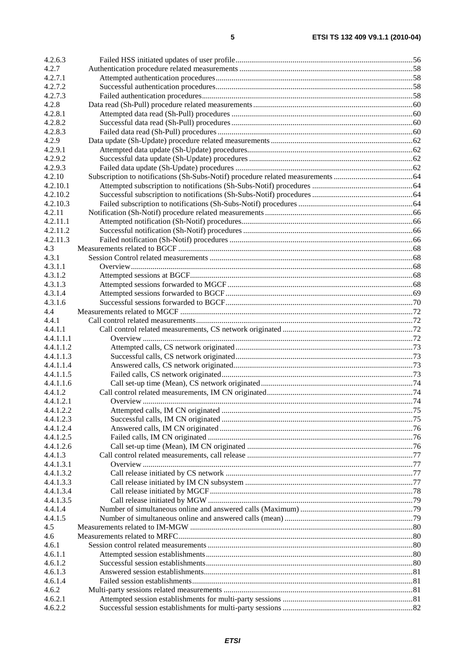| 4.2.6.3   |  |
|-----------|--|
| 4.2.7     |  |
| 4.2.7.1   |  |
| 4.2.7.2   |  |
| 4.2.7.3   |  |
| 4.2.8     |  |
| 4.2.8.1   |  |
| 4.2.8.2   |  |
| 4.2.8.3   |  |
| 4.2.9     |  |
| 4.2.9.1   |  |
| 4.2.9.2   |  |
| 4.2.9.3   |  |
| 4.2.10    |  |
| 4.2.10.1  |  |
| 4.2.10.2  |  |
| 4.2.10.3  |  |
| 4.2.11    |  |
| 4.2.11.1  |  |
| 4.2.11.2  |  |
| 4.2.11.3  |  |
| 4.3       |  |
| 4.3.1     |  |
| 4.3.1.1   |  |
| 4.3.1.2   |  |
| 4.3.1.3   |  |
| 4.3.1.4   |  |
| 4.3.1.6   |  |
| 4.4       |  |
| 4.4.1     |  |
| 4.4.1.1   |  |
| 4.4.1.1.1 |  |
| 4.4.1.1.2 |  |
| 4.4.1.1.3 |  |
| 4.4.1.1.4 |  |
| 4.4.1.1.5 |  |
| 4.4.1.1.6 |  |
| 4.4.1.2   |  |
| 4.4.1.2.1 |  |
| 4.4.1.2.2 |  |
| 4.4.1.2.3 |  |
| 4.4.1.2.4 |  |
| 4.4.1.2.5 |  |
| 4.4.1.2.6 |  |
| 4.4.1.3   |  |
| 4.4.1.3.1 |  |
| 4.4.1.3.2 |  |
| 4.4.1.3.3 |  |
| 4.4.1.3.4 |  |
| 4.4.1.3.5 |  |
| 4.4.1.4   |  |
| 4.4.1.5   |  |
| 4.5       |  |
| 4.6       |  |
| 4.6.1     |  |
| 4.6.1.1   |  |
| 4.6.1.2   |  |
| 4.6.1.3   |  |
| 4.6.1.4   |  |
| 4.6.2     |  |
| 4.6.2.1   |  |
| 4.6.2.2   |  |
|           |  |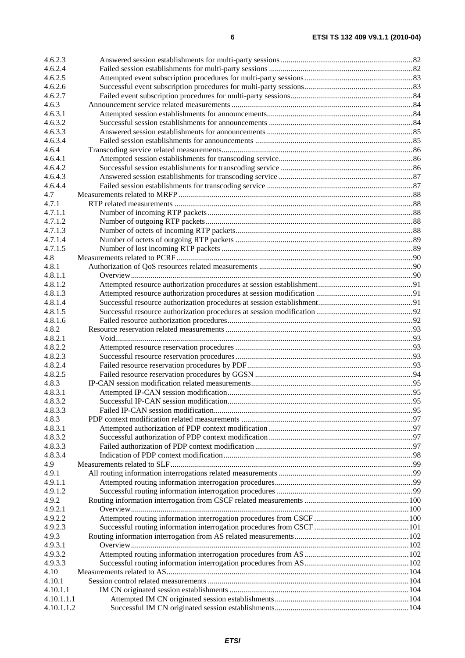| 4.6.2.3                  |  |
|--------------------------|--|
| 4.6.2.4                  |  |
| 4.6.2.5                  |  |
| 4.6.2.6                  |  |
| 4.6.2.7                  |  |
| 4.6.3                    |  |
| 4.6.3.1                  |  |
| 4.6.3.2                  |  |
| 4.6.3.3                  |  |
| 4.6.3.4                  |  |
| 4.6.4                    |  |
| 4.6.4.1                  |  |
| 4.6.4.2                  |  |
| 4.6.4.3                  |  |
| 4.6.4.4                  |  |
| 4.7                      |  |
| 4.7.1                    |  |
| 4.7.1.1                  |  |
| 4.7.1.2                  |  |
| 4.7.1.3                  |  |
| 4.7.1.4                  |  |
| 4.7.1.5                  |  |
| 4.8                      |  |
| 4.8.1                    |  |
| 4.8.1.1                  |  |
| 4.8.1.2                  |  |
| 4.8.1.3                  |  |
| 4.8.1.4                  |  |
| 4.8.1.5                  |  |
| 4.8.1.6                  |  |
| 4.8.2                    |  |
| 4.8.2.1                  |  |
| 4.8.2.2                  |  |
| 4.8.2.3                  |  |
| 4.8.2.4                  |  |
| 4.8.2.5                  |  |
| 4.8.3                    |  |
| 4.8.3.1                  |  |
| 4.8.3.2                  |  |
| 4.8.3.3                  |  |
| 4.8.3                    |  |
| 4.8.3.1                  |  |
| 4.8.3.2                  |  |
| 4.8.3.3                  |  |
| 4.8.3.4                  |  |
| 4.9                      |  |
| 4.9.1                    |  |
| 4.9.1.1                  |  |
| 4.9.1.2                  |  |
| 4.9.2                    |  |
| 4.9.2.1                  |  |
| 4.9.2.2                  |  |
| 4.9.2.3                  |  |
| 4.9.3                    |  |
| 4.9.3.1                  |  |
| 4.9.3.2                  |  |
| 4.9.3.3<br>4.10          |  |
|                          |  |
| 4.10.1                   |  |
| 4.10.1.1                 |  |
| 4.10.1.1.1<br>4.10.1.1.2 |  |
|                          |  |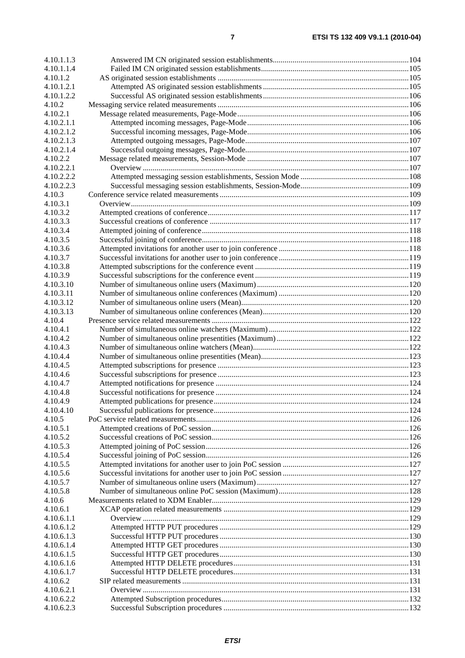| 4.10.1.1.3           |  |
|----------------------|--|
| 4.10.1.1.4           |  |
| 4.10.1.2             |  |
| 4.10.1.2.1           |  |
| 4.10.1.2.2           |  |
| 4.10.2               |  |
| 4.10.2.1             |  |
| 4.10.2.1.1           |  |
| 4.10.2.1.2           |  |
| 4.10.2.1.3           |  |
| 4.10.2.1.4           |  |
| 4.10.2.2             |  |
| 4.10.2.2.1           |  |
| 4.10.2.2.2           |  |
| 4.10.2.2.3           |  |
| 4.10.3               |  |
| 4.10.3.1             |  |
| 4.10.3.2             |  |
| 4.10.3.3             |  |
| 4.10.3.4             |  |
| 4.10.3.5             |  |
| 4.10.3.6             |  |
| 4.10.3.7             |  |
| 4.10.3.8             |  |
| 4.10.3.9             |  |
| 4.10.3.10            |  |
| 4.10.3.11            |  |
| 4.10.3.12            |  |
| 4.10.3.13            |  |
| 4.10.4               |  |
| 4.10.4.1             |  |
| 4.10.4.2             |  |
| 4.10.4.3             |  |
| 4.10.4.4             |  |
| 4.10.4.5             |  |
| 4.10.4.6<br>4.10.4.7 |  |
| 4.10.4.8             |  |
| 4.10.4.9             |  |
| 4.10.4.10            |  |
| 4.10.5               |  |
| 4.10.5.1             |  |
| 4.10.5.2             |  |
| 4.10.5.3             |  |
| 4.10.5.4             |  |
| 4.10.5.5             |  |
| 4.10.5.6             |  |
| 4.10.5.7             |  |
| 4.10.5.8             |  |
| 4.10.6               |  |
| 4.10.6.1             |  |
| 4.10.6.1.1           |  |
| 4.10.6.1.2           |  |
| 4.10.6.1.3           |  |
| 4.10.6.1.4           |  |
| 4.10.6.1.5           |  |
| 4.10.6.1.6           |  |
| 4.10.6.1.7           |  |
| 4.10.6.2             |  |
| 4.10.6.2.1           |  |
| 4.10.6.2.2           |  |
| 4.10.6.2.3           |  |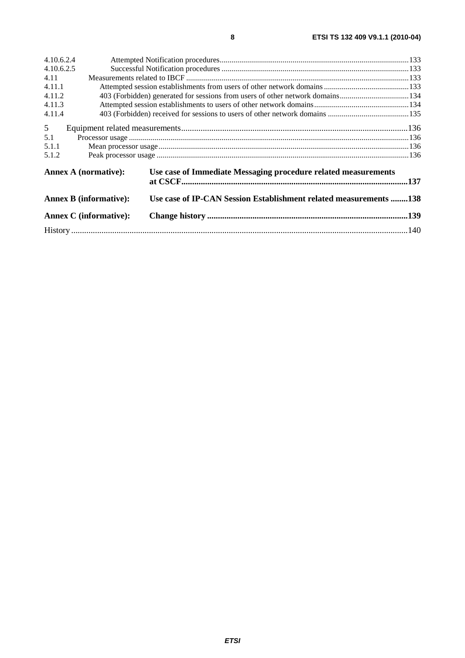| 4.10.6.2.4                                                                                    |  |                                                                               |  |
|-----------------------------------------------------------------------------------------------|--|-------------------------------------------------------------------------------|--|
| 4.10.6.2.5                                                                                    |  |                                                                               |  |
| 4.11                                                                                          |  |                                                                               |  |
| 4.11.1                                                                                        |  |                                                                               |  |
| 4.11.2                                                                                        |  | 403 (Forbidden) generated for sessions from users of other network domains134 |  |
| 4.11.3                                                                                        |  |                                                                               |  |
| 4.11.4                                                                                        |  |                                                                               |  |
| 5 <sup>5</sup>                                                                                |  |                                                                               |  |
| 5.1                                                                                           |  |                                                                               |  |
| 5.1.1                                                                                         |  |                                                                               |  |
| 5.1.2                                                                                         |  |                                                                               |  |
| <b>Annex A (normative):</b><br><b>Annex B (informative):</b><br><b>Annex C</b> (informative): |  | Use case of Immediate Messaging procedure related measurements                |  |
|                                                                                               |  | Use case of IP-CAN Session Establishment related measurements 138             |  |
|                                                                                               |  |                                                                               |  |
|                                                                                               |  |                                                                               |  |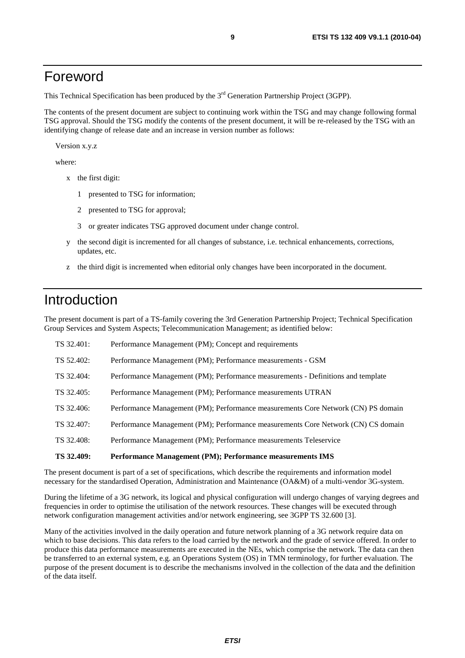# Foreword

This Technical Specification has been produced by the 3<sup>rd</sup> Generation Partnership Project (3GPP).

The contents of the present document are subject to continuing work within the TSG and may change following formal TSG approval. Should the TSG modify the contents of the present document, it will be re-released by the TSG with an identifying change of release date and an increase in version number as follows:

Version x.y.z

where:

- x the first digit:
	- 1 presented to TSG for information;
	- 2 presented to TSG for approval;
	- 3 or greater indicates TSG approved document under change control.
- y the second digit is incremented for all changes of substance, i.e. technical enhancements, corrections, updates, etc.
- z the third digit is incremented when editorial only changes have been incorporated in the document.

# Introduction

The present document is part of a TS-family covering the 3rd Generation Partnership Project; Technical Specification Group Services and System Aspects; Telecommunication Management; as identified below:

| TS 32.409: | Performance Management (PM); Performance measurements IMS                         |
|------------|-----------------------------------------------------------------------------------|
| TS 32.408: | Performance Management (PM); Performance measurements Teleservice                 |
| TS 32.407: | Performance Management (PM); Performance measurements Core Network (CN) CS domain |
| TS 32.406: | Performance Management (PM); Performance measurements Core Network (CN) PS domain |
| TS 32.405: | Performance Management (PM); Performance measurements UTRAN                       |
| TS 32.404: | Performance Management (PM); Performance measurements - Definitions and template  |
| TS 52.402: | Performance Management (PM); Performance measurements - GSM                       |
| TS 32.401: | Performance Management (PM); Concept and requirements                             |

The present document is part of a set of specifications, which describe the requirements and information model necessary for the standardised Operation, Administration and Maintenance (OA&M) of a multi-vendor 3G-system.

During the lifetime of a 3G network, its logical and physical configuration will undergo changes of varying degrees and frequencies in order to optimise the utilisation of the network resources. These changes will be executed through network configuration management activities and/or network engineering, see 3GPP TS 32.600 [3].

Many of the activities involved in the daily operation and future network planning of a 3G network require data on which to base decisions. This data refers to the load carried by the network and the grade of service offered. In order to produce this data performance measurements are executed in the NEs, which comprise the network. The data can then be transferred to an external system, e.g. an Operations System (OS) in TMN terminology, for further evaluation. The purpose of the present document is to describe the mechanisms involved in the collection of the data and the definition of the data itself.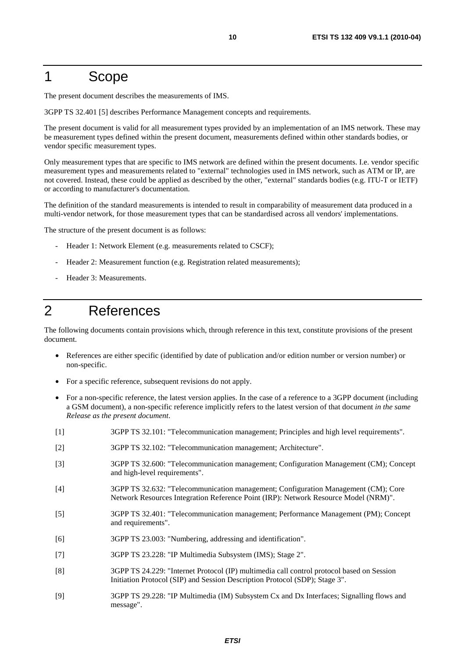# 1 Scope

The present document describes the measurements of IMS.

3GPP TS 32.401 [5] describes Performance Management concepts and requirements.

The present document is valid for all measurement types provided by an implementation of an IMS network. These may be measurement types defined within the present document, measurements defined within other standards bodies, or vendor specific measurement types.

Only measurement types that are specific to IMS network are defined within the present documents. I.e. vendor specific measurement types and measurements related to "external" technologies used in IMS network, such as ATM or IP, are not covered. Instead, these could be applied as described by the other, "external" standards bodies (e.g. ITU-T or IETF) or according to manufacturer's documentation.

The definition of the standard measurements is intended to result in comparability of measurement data produced in a multi-vendor network, for those measurement types that can be standardised across all vendors' implementations.

The structure of the present document is as follows:

- Header 1: Network Element (e.g. measurements related to CSCF);
- Header 2: Measurement function (e.g. Registration related measurements);
- Header 3: Measurements.

# 2 References

The following documents contain provisions which, through reference in this text, constitute provisions of the present document.

- References are either specific (identified by date of publication and/or edition number or version number) or non-specific.
- For a specific reference, subsequent revisions do not apply.
- For a non-specific reference, the latest version applies. In the case of a reference to a 3GPP document (including a GSM document), a non-specific reference implicitly refers to the latest version of that document *in the same Release as the present document*.
- [1] 3GPP TS 32.101: "Telecommunication management; Principles and high level requirements".
- [2] 3GPP TS 32.102: "Telecommunication management; Architecture".
- [3] 3GPP TS 32.600: "Telecommunication management; Configuration Management (CM); Concept and high-level requirements".
- [4] 3GPP TS 32.632: "Telecommunication management; Configuration Management (CM); Core Network Resources Integration Reference Point (IRP): Network Resource Model (NRM)".
- [5] 3GPP TS 32.401: "Telecommunication management; Performance Management (PM); Concept and requirements".
- [6] 3GPP TS 23.003: "Numbering, addressing and identification".
- [7] 3GPP TS 23.228: "IP Multimedia Subsystem (IMS); Stage 2".
- [8] 3GPP TS 24.229: "Internet Protocol (IP) multimedia call control protocol based on Session Initiation Protocol (SIP) and Session Description Protocol (SDP); Stage 3".
- [9] 3GPP TS 29.228: "IP Multimedia (IM) Subsystem Cx and Dx Interfaces; Signalling flows and message".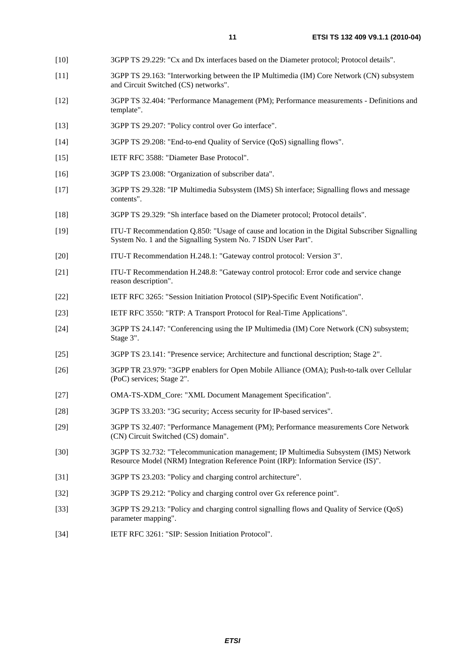- [10] 3GPP TS 29.229: "Cx and Dx interfaces based on the Diameter protocol; Protocol details".
- [11] 3GPP TS 29.163: "Interworking between the IP Multimedia (IM) Core Network (CN) subsystem and Circuit Switched (CS) networks".
- [12] 3GPP TS 32.404: "Performance Management (PM); Performance measurements Definitions and template".
- [13] 3GPP TS 29.207: "Policy control over Go interface".
- [14] 3GPP TS 29.208: "End-to-end Quality of Service (QoS) signalling flows".
- [15] IETF RFC 3588: "Diameter Base Protocol".
- [16] 3GPP TS 23.008: "Organization of subscriber data".
- [17] 3GPP TS 29.328: "IP Multimedia Subsystem (IMS) Sh interface; Signalling flows and message contents".
- [18] 3GPP TS 29.329: "Sh interface based on the Diameter protocol; Protocol details".
- [19] ITU-T Recommendation Q.850: "Usage of cause and location in the Digital Subscriber Signalling System No. 1 and the Signalling System No. 7 ISDN User Part".
- [20] ITU-T Recommendation H.248.1: "Gateway control protocol: Version 3".
- [21] ITU-T Recommendation H.248.8: "Gateway control protocol: Error code and service change reason description".
- [22] IETF RFC 3265: "Session Initiation Protocol (SIP)-Specific Event Notification".
- [23] IETF RFC 3550: "RTP: A Transport Protocol for Real-Time Applications".
- [24] 3GPP TS 24.147: "Conferencing using the IP Multimedia (IM) Core Network (CN) subsystem; Stage 3".
- [25] 3GPP TS 23.141: "Presence service; Architecture and functional description; Stage 2".
- [26] 3GPP TR 23.979: "3GPP enablers for Open Mobile Alliance (OMA); Push-to-talk over Cellular (PoC) services; Stage 2".
- [27] OMA-TS-XDM\_Core: "XML Document Management Specification".
- [28] 3GPP TS 33.203: "3G security; Access security for IP-based services".
- [29] 3GPP TS 32.407: "Performance Management (PM); Performance measurements Core Network (CN) Circuit Switched (CS) domain".
- [30] 3GPP TS 32.732: "Telecommunication management; IP Multimedia Subsystem (IMS) Network Resource Model (NRM) Integration Reference Point (IRP): Information Service (IS)".
- [31] 3GPP TS 23.203: "Policy and charging control architecture".
- [32] 3GPP TS 29.212: "Policy and charging control over Gx reference point".
- [33] 3GPP TS 29.213: "Policy and charging control signalling flows and Quality of Service (QoS) parameter mapping".
- [34] IETF RFC 3261: "SIP: Session Initiation Protocol".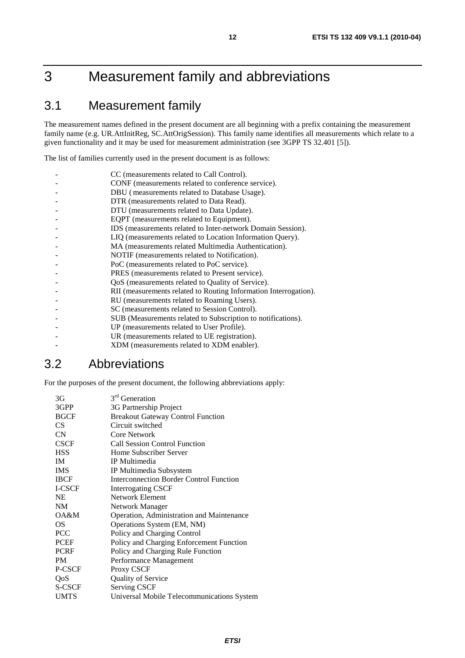# 3 Measurement family and abbreviations

# 3.1 Measurement family

The measurement names defined in the present document are all beginning with a prefix containing the measurement family name (e.g. UR.AttInitReg, SC.AttOrigSession). This family name identifies all measurements which relate to a given functionality and it may be used for measurement administration (see 3GPP TS 32.401 [5]).

The list of families currently used in the present document is as follows:

| CC (measurements related to Call Control).                       |
|------------------------------------------------------------------|
| CONF (measurements related to conference service).               |
| DBU (measurements related to Database Usage).                    |
| DTR (measurements related to Data Read).                         |
| DTU (measurements related to Data Update).                       |
| EQPT (measurements related to Equipment).                        |
| IDS (measurements related to Inter-network Domain Session).      |
| LIQ (measurements related to Location Information Query).        |
| MA (measurements related Multimedia Authentication).             |
| NOTIF (measurements related to Notification).                    |
| PoC (measurements related to PoC service).                       |
| PRES (measurements related to Present service).                  |
| QoS (measurements related to Quality of Service).                |
| RII (measurements related to Routing Information Interrogation). |
| RU (measurements related to Roaming Users).                      |
| SC (measurements related to Session Control).                    |
| SUB (Measurements related to Subscription to notifications).     |
| UP (measurements related to User Profile).                       |
| UR (measurements related to UE registration).                    |
| XDM (measurements related to XDM enabler).                       |

# 3.2 Abbreviations

For the purposes of the present document, the following abbreviations apply:

| 3G          | 3 <sup>rd</sup> Generation                     |
|-------------|------------------------------------------------|
| 3GPP        | 3G Partnership Project                         |
| <b>BGCF</b> | <b>Breakout Gateway Control Function</b>       |
| CS.         | Circuit switched                               |
| CN          | Core Network                                   |
| <b>CSCF</b> | <b>Call Session Control Function</b>           |
| <b>HSS</b>  | Home Subscriber Server                         |
| <b>IM</b>   | IP Multimedia                                  |
| <b>IMS</b>  | IP Multimedia Subsystem                        |
| <b>IBCF</b> | <b>Interconnection Border Control Function</b> |
| I-CSCF      | Interrogating CSCF                             |
| NE          | Network Element                                |
| <b>NM</b>   | <b>Network Manager</b>                         |
| OA&M        | Operation, Administration and Maintenance      |
| OS          | Operations System (EM, NM)                     |
| <b>PCC</b>  | Policy and Charging Control                    |
| <b>PCEF</b> | Policy and Charging Enforcement Function       |
| <b>PCRF</b> | Policy and Charging Rule Function              |
| <b>PM</b>   | Performance Management                         |
| P-CSCF      | Proxy CSCF                                     |
| QoS         | <b>Quality of Service</b>                      |
| S-CSCF      | <b>Serving CSCF</b>                            |
| <b>UMTS</b> | Universal Mobile Telecommunications System     |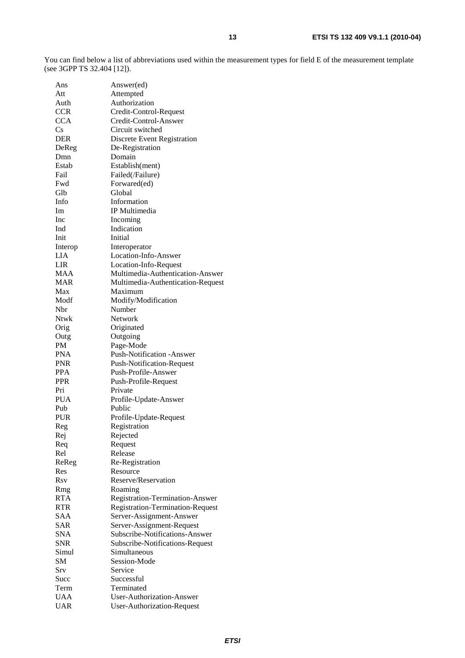You can find below a list of abbreviations used within the measurement types for field E of the measurement template (see 3GPP TS 32.404 [12]).

| Ans        | Answer(ed)                        |
|------------|-----------------------------------|
| Att        | Attempted                         |
| Auth       | Authorization                     |
| <b>CCR</b> | Credit-Control-Request            |
| <b>CCA</b> | Credit-Control-Answer             |
| Cs         | Circuit switched                  |
| <b>DER</b> | Discrete Event Registration       |
| DeReg      | De-Registration                   |
| Dmn        | Domain                            |
| Estab      | Establish(ment)                   |
| Fail       | Failed(/Failure)                  |
| Fwd        | Forwared(ed)                      |
| Glb        | Global                            |
| Info       | Information                       |
| Im         | IP Multimedia                     |
| Inc        |                                   |
|            | Incoming<br>Indication            |
| Ind        |                                   |
| Init       | Initial                           |
| Interop    | Interoperator                     |
| LIA        | Location-Info-Answer              |
| LIR        | Location-Info-Request             |
| <b>MAA</b> | Multimedia-Authentication-Answer  |
| <b>MAR</b> | Multimedia-Authentication-Request |
| Max        | Maximum                           |
| Modf       | Modify/Modification               |
| Nbr        | Number                            |
| Ntwk       | Network                           |
| Orig       | Originated                        |
| Outg       | Outgoing                          |
| <b>PM</b>  | Page-Mode                         |
| <b>PNA</b> | Push-Notification -Answer         |
| <b>PNR</b> | <b>Push-Notification-Request</b>  |
| <b>PPA</b> | Push-Profile-Answer               |
| <b>PPR</b> | Push-Profile-Request              |
| Pri        | Private                           |
| <b>PUA</b> | Profile-Update-Answer             |
| Pub        | Public                            |
| <b>PUR</b> |                                   |
|            | Profile-Update-Request            |
| Reg        | Registration                      |
| Rej        | Rejected                          |
| Req        | Request                           |
| Rel        | Release                           |
| ReReg      | Re-Registration                   |
| Res        | Resource                          |
| <b>Rsv</b> | Reserve/Reservation               |
| Rmg        | Roaming                           |
| <b>RTA</b> | Registration-Termination-Answer   |
| <b>RTR</b> | Registration-Termination-Request  |
| SAA        | Server-Assignment-Answer          |
| <b>SAR</b> | Server-Assignment-Request         |
| <b>SNA</b> | Subscribe-Notifications-Answer    |
| <b>SNR</b> | Subscribe-Notifications-Request   |
| Simul      | Simultaneous                      |
| <b>SM</b>  | Session-Mode                      |
| Srv        | Service                           |
| Succ       | Successful                        |
| Term       | Terminated                        |
| <b>UAA</b> | User-Authorization-Answer         |
| <b>UAR</b> | <b>User-Authorization-Request</b> |
|            |                                   |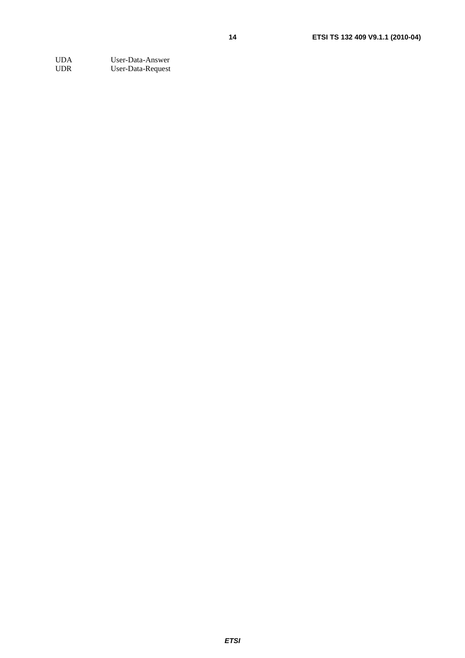UDA User-Data-Answer<br>
UDR User-Data-Request User-Data-Request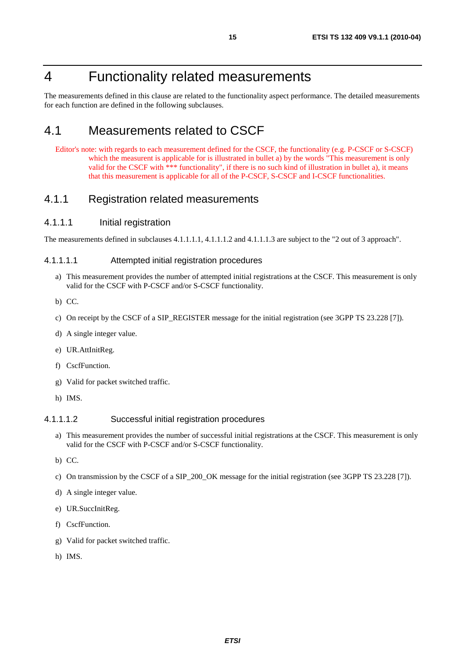# 4 Functionality related measurements

The measurements defined in this clause are related to the functionality aspect performance. The detailed measurements for each function are defined in the following subclauses.

# 4.1 Measurements related to CSCF

Editor's note: with regards to each measurement defined for the CSCF, the functionality (e.g. P-CSCF or S-CSCF) which the measurent is applicable for is illustrated in bullet a) by the words "This measurement is only valid for the CSCF with \*\*\* functionality", if there is no such kind of illustration in bullet a), it means that this measurement is applicable for all of the P-CSCF, S-CSCF and I-CSCF functionalities.

# 4.1.1 Registration related measurements

# 4.1.1.1 Initial registration

The measurements defined in subclauses 4.1.1.1.1, 4.1.1.1.2 and 4.1.1.1.3 are subject to the "2 out of 3 approach".

### 4.1.1.1.1 Attempted initial registration procedures

- a) This measurement provides the number of attempted initial registrations at the CSCF. This measurement is only valid for the CSCF with P-CSCF and/or S-CSCF functionality.
- b) CC.
- c) On receipt by the CSCF of a SIP\_REGISTER message for the initial registration (see 3GPP TS 23.228 [7]).
- d) A single integer value.
- e) UR.AttInitReg.
- f) CscfFunction.
- g) Valid for packet switched traffic.
- h) IMS.

#### 4.1.1.1.2 Successful initial registration procedures

- a) This measurement provides the number of successful initial registrations at the CSCF. This measurement is only valid for the CSCF with P-CSCF and/or S-CSCF functionality.
- b) CC.
- c) On transmission by the CSCF of a SIP\_200\_OK message for the initial registration (see 3GPP TS 23.228 [7]).
- d) A single integer value.
- e) UR.SuccInitReg.
- f) CscfFunction.
- g) Valid for packet switched traffic.
- h) IMS.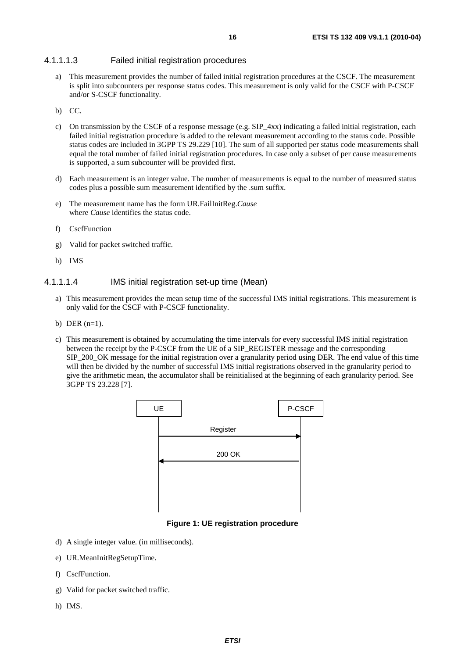# 4.1.1.1.3 Failed initial registration procedures

- a) This measurement provides the number of failed initial registration procedures at the CSCF. The measurement is split into subcounters per response status codes. This measurement is only valid for the CSCF with P-CSCF and/or S-CSCF functionality.
- b) CC.
- c) On transmission by the CSCF of a response message (e.g. SIP\_4xx) indicating a failed initial registration, each failed initial registration procedure is added to the relevant measurement according to the status code. Possible status codes are included in 3GPP TS 29.229 [10]. The sum of all supported per status code measurements shall equal the total number of failed initial registration procedures. In case only a subset of per cause measurements is supported, a sum subcounter will be provided first.
- d) Each measurement is an integer value. The number of measurements is equal to the number of measured status codes plus a possible sum measurement identified by the .sum suffix.
- e) The measurement name has the form UR.FailInitReg.*Cause* where *Cause* identifies the status code.
- f) CscfFunction
- g) Valid for packet switched traffic.
- h) IMS

### 4.1.1.1.4 IMS initial registration set-up time (Mean)

- a) This measurement provides the mean setup time of the successful IMS initial registrations. This measurement is only valid for the CSCF with P-CSCF functionality.
- b) DER  $(n=1)$ .
- c) This measurement is obtained by accumulating the time intervals for every successful IMS initial registration between the receipt by the P-CSCF from the UE of a SIP\_REGISTER message and the corresponding SIP\_200\_OK message for the initial registration over a granularity period using DER. The end value of this time will then be divided by the number of successful IMS initial registrations observed in the granularity period to give the arithmetic mean, the accumulator shall be reinitialised at the beginning of each granularity period. See 3GPP TS 23.228 [7].



### **Figure 1: UE registration procedure**

- d) A single integer value. (in milliseconds).
- e) UR.MeanInitRegSetupTime.
- f) CscfFunction.
- g) Valid for packet switched traffic.
- h) IMS.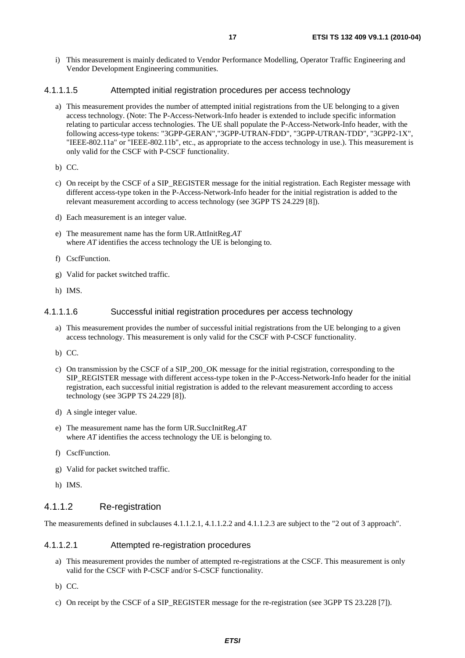i) This measurement is mainly dedicated to Vendor Performance Modelling, Operator Traffic Engineering and Vendor Development Engineering communities.

#### 4.1.1.1.5 Attempted initial registration procedures per access technology

- a) This measurement provides the number of attempted initial registrations from the UE belonging to a given access technology. (Note: The P-Access-Network-Info header is extended to include specific information relating to particular access technologies. The UE shall populate the P-Access-Network-Info header, with the following access-type tokens: "3GPP-GERAN","3GPP-UTRAN-FDD", "3GPP-UTRAN-TDD", "3GPP2-1X", "IEEE-802.11a" or "IEEE-802.11b", etc., as appropriate to the access technology in use.). This measurement is only valid for the CSCF with P-CSCF functionality.
- b) CC.
- c) On receipt by the CSCF of a SIP\_REGISTER message for the initial registration. Each Register message with different access-type token in the P-Access-Network-Info header for the initial registration is added to the relevant measurement according to access technology (see 3GPP TS 24.229 [8]).
- d) Each measurement is an integer value.
- e) The measurement name has the form UR.AttInitReg.*AT* where *AT* identifies the access technology the UE is belonging to.
- f) CscfFunction.
- g) Valid for packet switched traffic.
- h) IMS.

#### 4.1.1.1.6 Successful initial registration procedures per access technology

- a) This measurement provides the number of successful initial registrations from the UE belonging to a given access technology. This measurement is only valid for the CSCF with P-CSCF functionality.
- b) CC.
- c) On transmission by the CSCF of a SIP\_200\_OK message for the initial registration, corresponding to the SIP\_REGISTER message with different access-type token in the P-Access-Network-Info header for the initial registration, each successful initial registration is added to the relevant measurement according to access technology (see 3GPP TS 24.229 [8]).
- d) A single integer value.
- e) The measurement name has the form UR.SuccInitReg.*AT*  where *AT* identifies the access technology the UE is belonging to.
- f) CscfFunction.
- g) Valid for packet switched traffic.
- h) IMS.

### 4.1.1.2 Re-registration

The measurements defined in subclauses 4.1.1.2.1, 4.1.1.2.2 and 4.1.1.2.3 are subject to the "2 out of 3 approach".

#### 4.1.1.2.1 Attempted re-registration procedures

- a) This measurement provides the number of attempted re-registrations at the CSCF. This measurement is only valid for the CSCF with P-CSCF and/or S-CSCF functionality.
- b) CC.
- c) On receipt by the CSCF of a SIP\_REGISTER message for the re-registration (see 3GPP TS 23.228 [7]).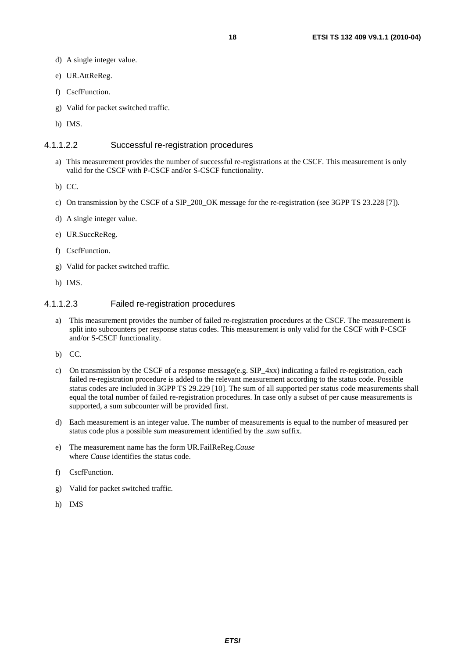- d) A single integer value.
- e) UR.AttReReg.
- f) CscfFunction.
- g) Valid for packet switched traffic.
- h) IMS.

#### 4.1.1.2.2 Successful re-registration procedures

- a) This measurement provides the number of successful re-registrations at the CSCF. This measurement is only valid for the CSCF with P-CSCF and/or S-CSCF functionality.
- b) CC.
- c) On transmission by the CSCF of a SIP\_200\_OK message for the re-registration (see 3GPP TS 23.228 [7]).
- d) A single integer value.
- e) UR.SuccReReg.
- f) CscfFunction.
- g) Valid for packet switched traffic.
- h) IMS.

# 4.1.1.2.3 Failed re-registration procedures

- a) This measurement provides the number of failed re-registration procedures at the CSCF. The measurement is split into subcounters per response status codes. This measurement is only valid for the CSCF with P-CSCF and/or S-CSCF functionality.
- b) CC.
- c) On transmission by the CSCF of a response message(e.g. SIP  $4xx$ ) indicating a failed re-registration, each failed re-registration procedure is added to the relevant measurement according to the status code. Possible status codes are included in 3GPP TS 29.229 [10]. The sum of all supported per status code measurements shall equal the total number of failed re-registration procedures. In case only a subset of per cause measurements is supported, a sum subcounter will be provided first.
- d) Each measurement is an integer value. The number of measurements is equal to the number of measured per status code plus a possible *sum* measurement identified by the .*sum* suffix.
- e) The measurement name has the form UR.FailReReg.*Cause* where *Cause* identifies the status code.
- f) CscfFunction.
- g) Valid for packet switched traffic.
- h) IMS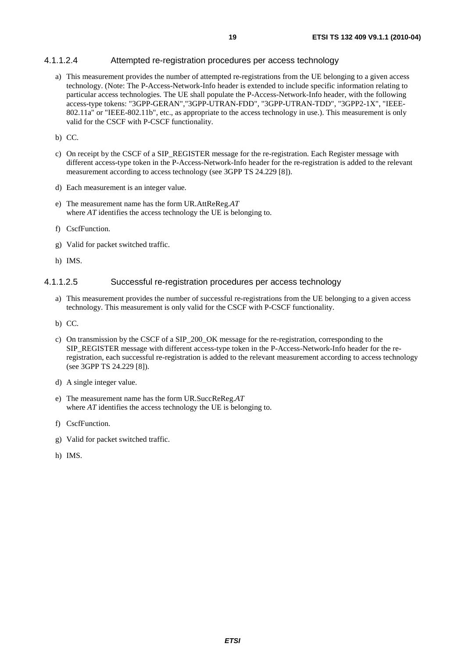# 4.1.1.2.4 Attempted re-registration procedures per access technology

- a) This measurement provides the number of attempted re-registrations from the UE belonging to a given access technology. (Note: The P-Access-Network-Info header is extended to include specific information relating to particular access technologies. The UE shall populate the P-Access-Network-Info header, with the following access-type tokens: "3GPP-GERAN","3GPP-UTRAN-FDD", "3GPP-UTRAN-TDD", "3GPP2-1X", "IEEE-802.11a" or "IEEE-802.11b", etc., as appropriate to the access technology in use.). This measurement is only valid for the CSCF with P-CSCF functionality.
- b) CC.
- c) On receipt by the CSCF of a SIP\_REGISTER message for the re-registration. Each Register message with different access-type token in the P-Access-Network-Info header for the re-registration is added to the relevant measurement according to access technology (see 3GPP TS 24.229 [8]).
- d) Each measurement is an integer value.
- e) The measurement name has the form UR.AttReReg.*AT* where *AT* identifies the access technology the UE is belonging to.
- f) CscfFunction.
- g) Valid for packet switched traffic.
- h) IMS.

#### 4.1.1.2.5 Successful re-registration procedures per access technology

- a) This measurement provides the number of successful re-registrations from the UE belonging to a given access technology. This measurement is only valid for the CSCF with P-CSCF functionality.
- b) CC.
- c) On transmission by the CSCF of a SIP\_200\_OK message for the re-registration, corresponding to the SIP\_REGISTER message with different access-type token in the P-Access-Network-Info header for the reregistration, each successful re-registration is added to the relevant measurement according to access technology (see 3GPP TS 24.229 [8]).
- d) A single integer value.
- e) The measurement name has the form UR.SuccReReg.*AT*  where *AT* identifies the access technology the UE is belonging to.
- f) CscfFunction.
- g) Valid for packet switched traffic.
- h) IMS.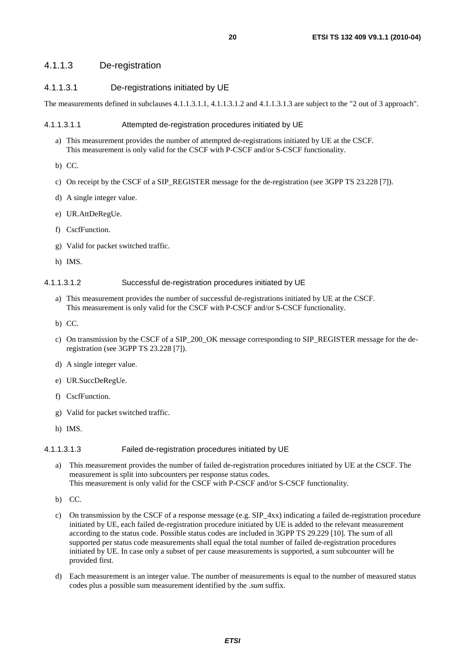# 4.1.1.3 De-registration

# 4.1.1.3.1 De-registrations initiated by UE

The measurements defined in subclauses 4.1.1.3.1.1, 4.1.1.3.1.2 and 4.1.1.3.1.3 are subject to the "2 out of 3 approach".

#### 4.1.1.3.1.1 Attempted de-registration procedures initiated by UE

- a) This measurement provides the number of attempted de-registrations initiated by UE at the CSCF. This measurement is only valid for the CSCF with P-CSCF and/or S-CSCF functionality.
- b) CC.
- c) On receipt by the CSCF of a SIP\_REGISTER message for the de-registration (see 3GPP TS 23.228 [7]).
- d) A single integer value.
- e) UR.AttDeRegUe.
- f) CscfFunction.
- g) Valid for packet switched traffic.
- h) IMS.

#### 4.1.1.3.1.2 Successful de-registration procedures initiated by UE

- a) This measurement provides the number of successful de-registrations initiated by UE at the CSCF. This measurement is only valid for the CSCF with P-CSCF and/or S-CSCF functionality.
- b) CC.
- c) On transmission by the CSCF of a SIP\_200\_OK message corresponding to SIP\_REGISTER message for the deregistration (see 3GPP TS 23.228 [7]).
- d) A single integer value.
- e) UR.SuccDeRegUe.
- f) CscfFunction.
- g) Valid for packet switched traffic.
- h) IMS.

#### 4.1.1.3.1.3 Failed de-registration procedures initiated by UE

- a) This measurement provides the number of failed de-registration procedures initiated by UE at the CSCF. The measurement is split into subcounters per response status codes. This measurement is only valid for the CSCF with P-CSCF and/or S-CSCF functionality.
- b) CC.
- c) On transmission by the CSCF of a response message (e.g.  $SIP_4xx$ ) indicating a failed de-registration procedure initiated by UE, each failed de-registration procedure initiated by UE is added to the relevant measurement according to the status code. Possible status codes are included in 3GPP TS 29.229 [10]. The sum of all supported per status code measurements shall equal the total number of failed de-registration procedures initiated by UE. In case only a subset of per cause measurements is supported, a sum subcounter will be provided first.
- d) Each measurement is an integer value. The number of measurements is equal to the number of measured status codes plus a possible sum measurement identified by the .*sum* suffix.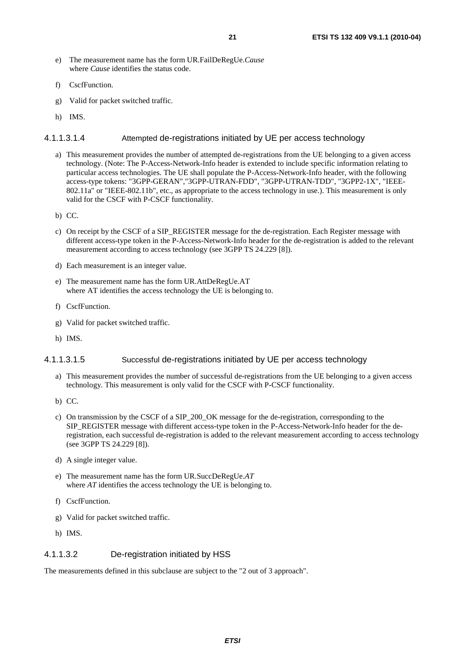- e) The measurement name has the form UR.FailDeRegUe.*Cause* where *Cause* identifies the status code.
- f) CscfFunction.
- g) Valid for packet switched traffic.
- h) IMS.

#### 4.1.1.3.1.4 Attempted de-registrations initiated by UE per access technology

- a) This measurement provides the number of attempted de-registrations from the UE belonging to a given access technology. (Note: The P-Access-Network-Info header is extended to include specific information relating to particular access technologies. The UE shall populate the P-Access-Network-Info header, with the following access-type tokens: "3GPP-GERAN","3GPP-UTRAN-FDD", "3GPP-UTRAN-TDD", "3GPP2-1X", "IEEE-802.11a" or "IEEE-802.11b", etc., as appropriate to the access technology in use.). This measurement is only valid for the CSCF with P-CSCF functionality.
- b) CC.
- c) On receipt by the CSCF of a SIP\_REGISTER message for the de-registration. Each Register message with different access-type token in the P-Access-Network-Info header for the de-registration is added to the relevant measurement according to access technology (see 3GPP TS 24.229 [8]).
- d) Each measurement is an integer value.
- e) The measurement name has the form UR.AttDeRegUe.AT where AT identifies the access technology the UE is belonging to.
- f) CscfFunction.
- g) Valid for packet switched traffic.
- h) IMS.

### 4.1.1.3.1.5 Successful de-registrations initiated by UE per access technology

- a) This measurement provides the number of successful de-registrations from the UE belonging to a given access technology. This measurement is only valid for the CSCF with P-CSCF functionality.
- b) CC.
- c) On transmission by the CSCF of a SIP\_200\_OK message for the de-registration, corresponding to the SIP\_REGISTER message with different access-type token in the P-Access-Network-Info header for the deregistration, each successful de-registration is added to the relevant measurement according to access technology (see 3GPP TS 24.229 [8]).
- d) A single integer value.
- e) The measurement name has the form UR.SuccDeRegUe.*AT*  where *AT* identifies the access technology the UE is belonging to.
- f) CscfFunction.
- g) Valid for packet switched traffic.
- h) IMS.

### 4.1.1.3.2 De-registration initiated by HSS

The measurements defined in this subclause are subject to the "2 out of 3 approach".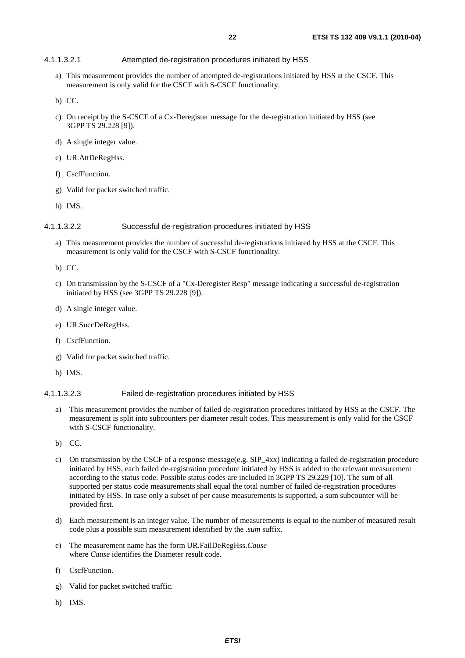### 4.1.1.3.2.1 Attempted de-registration procedures initiated by HSS

- a) This measurement provides the number of attempted de-registrations initiated by HSS at the CSCF. This measurement is only valid for the CSCF with S-CSCF functionality.
- b) CC.
- c) On receipt by the S-CSCF of a Cx-Deregister message for the de-registration initiated by HSS (see 3GPP TS 29.228 [9]).
- d) A single integer value.
- e) UR.AttDeRegHss.
- f) CscfFunction.
- g) Valid for packet switched traffic.
- h) IMS.

#### 4.1.1.3.2.2 Successful de-registration procedures initiated by HSS

- a) This measurement provides the number of successful de-registrations initiated by HSS at the CSCF. This measurement is only valid for the CSCF with S-CSCF functionality.
- b) CC.
- c) On transmission by the S-CSCF of a "Cx-Deregister Resp" message indicating a successful de-registration initiated by HSS (see 3GPP TS 29.228 [9]).
- d) A single integer value.
- e) UR.SuccDeRegHss.
- f) CscfFunction.
- g) Valid for packet switched traffic.
- h) IMS.

#### 4.1.1.3.2.3 Failed de-registration procedures initiated by HSS

- a) This measurement provides the number of failed de-registration procedures initiated by HSS at the CSCF. The measurement is split into subcounters per diameter result codes. This measurement is only valid for the CSCF with S-CSCF functionality.
- b) CC.
- c) On transmission by the CSCF of a response message(e.g. SIP\_4xx) indicating a failed de-registration procedure initiated by HSS, each failed de-registration procedure initiated by HSS is added to the relevant measurement according to the status code. Possible status codes are included in 3GPP TS 29.229 [10]. The sum of all supported per status code measurements shall equal the total number of failed de-registration procedures initiated by HSS. In case only a subset of per cause measurements is supported, a sum subcounter will be provided first.
- d) Each measurement is an integer value. The number of measurements is equal to the number of measured result code plus a possible sum measurement identified by the .*sum* suffix.
- e) The measurement name has the form UR.FailDeRegHss.*Cause* where *Cause* identifies the Diameter result code.
- f) CscfFunction.
- g) Valid for packet switched traffic.
- h) IMS.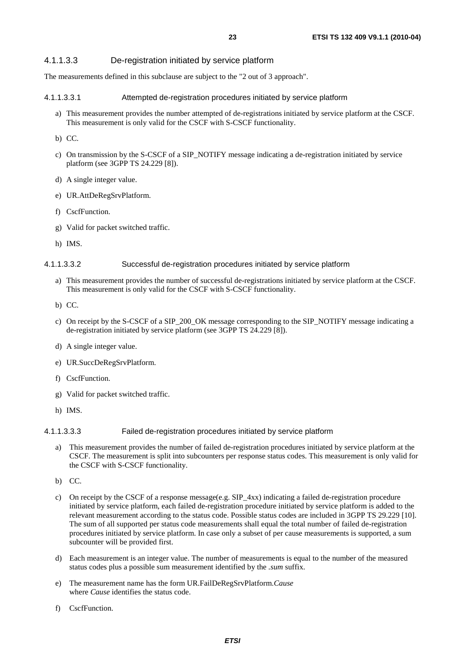# 4.1.1.3.3 De-registration initiated by service platform

The measurements defined in this subclause are subject to the "2 out of 3 approach".

#### 4.1.1.3.3.1 Attempted de-registration procedures initiated by service platform

- a) This measurement provides the number attempted of de-registrations initiated by service platform at the CSCF. This measurement is only valid for the CSCF with S-CSCF functionality.
- b) CC.
- c) On transmission by the S-CSCF of a SIP\_NOTIFY message indicating a de-registration initiated by service platform (see 3GPP TS 24.229 [8]).
- d) A single integer value.
- e) UR.AttDeRegSrvPlatform.
- f) CscfFunction
- g) Valid for packet switched traffic.
- h) IMS.

#### 4.1.1.3.3.2 Successful de-registration procedures initiated by service platform

- a) This measurement provides the number of successful de-registrations initiated by service platform at the CSCF. This measurement is only valid for the CSCF with S-CSCF functionality.
- b) CC.
- c) On receipt by the S-CSCF of a SIP\_200\_OK message corresponding to the SIP\_NOTIFY message indicating a de-registration initiated by service platform (see 3GPP TS 24.229 [8]).
- d) A single integer value.
- e) UR.SuccDeRegSrvPlatform.
- f) CscfFunction.
- g) Valid for packet switched traffic.
- h) IMS.

### 4.1.1.3.3.3 Failed de-registration procedures initiated by service platform

- a) This measurement provides the number of failed de-registration procedures initiated by service platform at the CSCF. The measurement is split into subcounters per response status codes. This measurement is only valid for the CSCF with S-CSCF functionality.
- b) CC.
- c) On receipt by the CSCF of a response message(e.g. SIP\_4xx) indicating a failed de-registration procedure initiated by service platform, each failed de-registration procedure initiated by service platform is added to the relevant measurement according to the status code. Possible status codes are included in 3GPP TS 29.229 [10]. The sum of all supported per status code measurements shall equal the total number of failed de-registration procedures initiated by service platform. In case only a subset of per cause measurements is supported, a sum subcounter will be provided first.
- d) Each measurement is an integer value. The number of measurements is equal to the number of the measured status codes plus a possible sum measurement identified by the *.sum* suffix.
- e) The measurement name has the form UR.FailDeRegSrvPlatform.*Cause* where *Cause* identifies the status code.
- f) CscfFunction.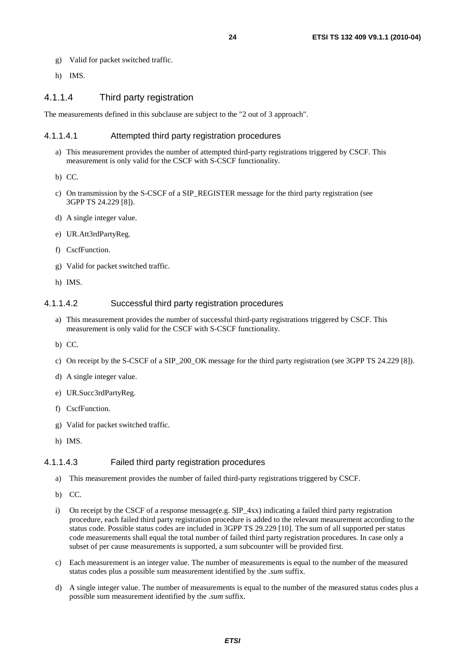- g) Valid for packet switched traffic.
- h) IMS.

# 4.1.1.4 Third party registration

The measurements defined in this subclause are subject to the "2 out of 3 approach".

#### 4.1.1.4.1 Attempted third party registration procedures

- a) This measurement provides the number of attempted third-party registrations triggered by CSCF. This measurement is only valid for the CSCF with S-CSCF functionality.
- b) CC.
- c) On transmission by the S-CSCF of a SIP\_REGISTER message for the third party registration (see 3GPP TS 24.229 [8]).
- d) A single integer value.
- e) UR.Att3rdPartyReg.
- f) CscfFunction.
- g) Valid for packet switched traffic.
- h) IMS.

#### 4.1.1.4.2 Successful third party registration procedures

- a) This measurement provides the number of successful third-party registrations triggered by CSCF. This measurement is only valid for the CSCF with S-CSCF functionality.
- b) CC.
- c) On receipt by the S-CSCF of a SIP\_200\_OK message for the third party registration (see 3GPP TS 24.229 [8]).
- d) A single integer value.
- e) UR.Succ3rdPartyReg.
- f) CscfFunction.
- g) Valid for packet switched traffic.
- h) IMS.

#### 4.1.1.4.3 Failed third party registration procedures

- a) This measurement provides the number of failed third-party registrations triggered by CSCF.
- b) CC.
- On receipt by the CSCF of a response message(e.g. SIP  $4xx$ ) indicating a failed third party registration procedure, each failed third party registration procedure is added to the relevant measurement according to the status code. Possible status codes are included in 3GPP TS 29.229 [10]. The sum of all supported per status code measurements shall equal the total number of failed third party registration procedures. In case only a subset of per cause measurements is supported, a sum subcounter will be provided first.
- c) Each measurement is an integer value. The number of measurements is equal to the number of the measured status codes plus a possible sum measurement identified by the *.sum* suffix.
- d) A single integer value. The number of measurements is equal to the number of the measured status codes plus a possible sum measurement identified by the *.sum* suffix.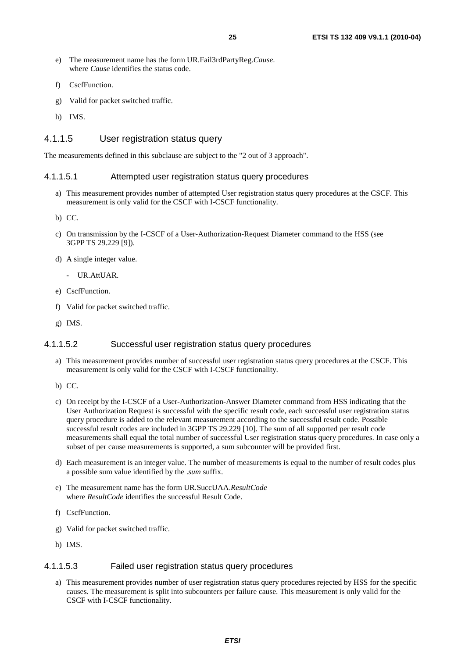- e) The measurement name has the form UR.Fail3rdPartyReg.*Cause*. where *Cause* identifies the status code.
- f) CscfFunction.
- g) Valid for packet switched traffic.
- h) IMS.

# 4.1.1.5 User registration status query

The measurements defined in this subclause are subject to the "2 out of 3 approach".

#### 4.1.1.5.1 Attempted user registration status query procedures

- a) This measurement provides number of attempted User registration status query procedures at the CSCF. This measurement is only valid for the CSCF with I-CSCF functionality.
- b) CC.
- c) On transmission by the I-CSCF of a User-Authorization-Request Diameter command to the HSS (see 3GPP TS 29.229 [9]).
- d) A single integer value.
	- UR.AttUAR.
- e) CscfFunction.
- f) Valid for packet switched traffic.
- g) IMS.

### 4.1.1.5.2 Successful user registration status query procedures

- a) This measurement provides number of successful user registration status query procedures at the CSCF. This measurement is only valid for the CSCF with I-CSCF functionality.
- b) CC.
- c) On receipt by the I-CSCF of a User-Authorization-Answer Diameter command from HSS indicating that the User Authorization Request is successful with the specific result code, each successful user registration status query procedure is added to the relevant measurement according to the successful result code. Possible successful result codes are included in 3GPP TS 29.229 [10]. The sum of all supported per result code measurements shall equal the total number of successful User registration status query procedures. In case only a subset of per cause measurements is supported, a sum subcounter will be provided first.
- d) Each measurement is an integer value. The number of measurements is equal to the number of result codes plus a possible sum value identified by the .*sum* suffix.
- e) The measurement name has the form UR.SuccUAA.*ResultCode*  where *ResultCode* identifies the successful Result Code.
- f) CscfFunction.
- g) Valid for packet switched traffic.
- h) IMS.

### 4.1.1.5.3 Failed user registration status query procedures

a) This measurement provides number of user registration status query procedures rejected by HSS for the specific causes. The measurement is split into subcounters per failure cause. This measurement is only valid for the CSCF with I-CSCF functionality.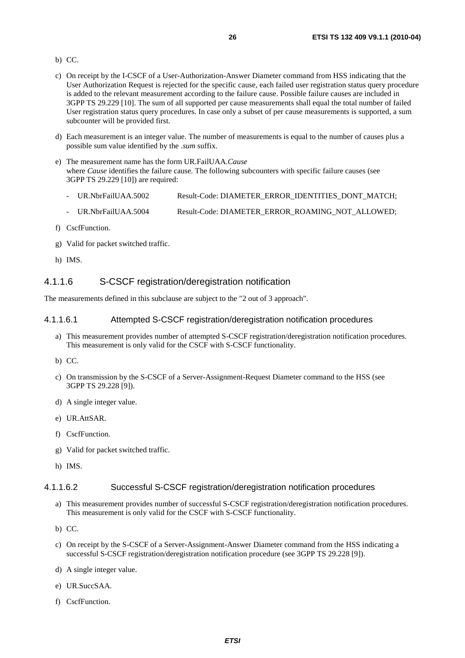#### b) CC.

- c) On receipt by the I-CSCF of a User-Authorization-Answer Diameter command from HSS indicating that the User Authorization Request is rejected for the specific cause, each failed user registration status query procedure is added to the relevant measurement according to the failure cause. Possible failure causes are included in 3GPP TS 29.229 [10]. The sum of all supported per cause measurements shall equal the total number of failed User registration status query procedures. In case only a subset of per cause measurements is supported, a sum subcounter will be provided first.
- d) Each measurement is an integer value. The number of measurements is equal to the number of causes plus a possible sum value identified by the .*sum* suffix.
- e) The measurement name has the form UR.FailUAA.*Cause*  where *Cause* identifies the failure cause. The following subcounters with specific failure causes (see 3GPP TS 29.229 [10]) are required:
	- UR.NbrFailUAA.5002 Result-Code: DIAMETER\_ERROR\_IDENTITIES\_DONT\_MATCH;
	- UR.NbrFailUAA.5004 Result-Code: DIAMETER\_ERROR\_ROAMING\_NOT\_ALLOWED;
- f) CscfFunction.
- g) Valid for packet switched traffic.
- h) IMS.

### 4.1.1.6 S-CSCF registration/deregistration notification

The measurements defined in this subclause are subject to the "2 out of 3 approach".

#### 4.1.1.6.1 Attempted S-CSCF registration/deregistration notification procedures

- a) This measurement provides number of attempted S-CSCF registration/deregistration notification procedures. This measurement is only valid for the CSCF with S-CSCF functionality.
- b) CC.
- c) On transmission by the S-CSCF of a Server-Assignment-Request Diameter command to the HSS (see 3GPP TS 29.228 [9]).
- d) A single integer value.
- e) UR.AttSAR.
- f) CscfFunction.
- g) Valid for packet switched traffic.
- h) IMS.

#### 4.1.1.6.2 Successful S-CSCF registration/deregistration notification procedures

- a) This measurement provides number of successful S-CSCF registration/deregistration notification procedures. This measurement is only valid for the CSCF with S-CSCF functionality.
- b) CC.
- c) On receipt by the S-CSCF of a Server-Assignment-Answer Diameter command from the HSS indicating a successful S-CSCF registration/deregistration notification procedure (see 3GPP TS 29.228 [9]).
- d) A single integer value.
- e) UR.SuccSAA.
- f) CscfFunction.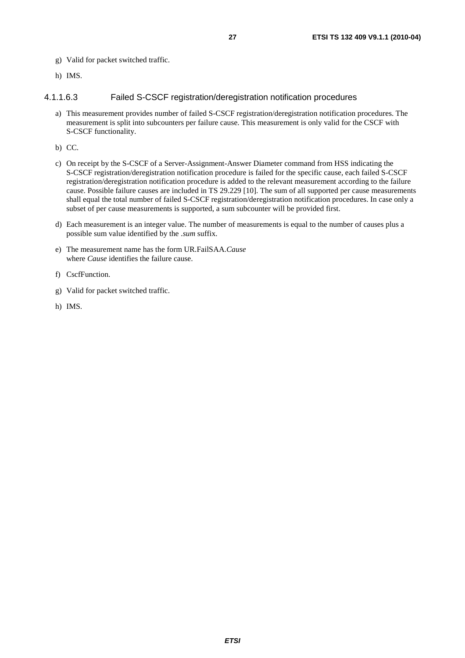- g) Valid for packet switched traffic.
- h) IMS.

# 4.1.1.6.3 Failed S-CSCF registration/deregistration notification procedures

- a) This measurement provides number of failed S-CSCF registration/deregistration notification procedures. The measurement is split into subcounters per failure cause. This measurement is only valid for the CSCF with S-CSCF functionality.
- b) CC.
- c) On receipt by the S-CSCF of a Server-Assignment-Answer Diameter command from HSS indicating the S-CSCF registration/deregistration notification procedure is failed for the specific cause, each failed S-CSCF registration/deregistration notification procedure is added to the relevant measurement according to the failure cause. Possible failure causes are included in TS 29.229 [10]. The sum of all supported per cause measurements shall equal the total number of failed S-CSCF registration/deregistration notification procedures. In case only a subset of per cause measurements is supported, a sum subcounter will be provided first.
- d) Each measurement is an integer value. The number of measurements is equal to the number of causes plus a possible sum value identified by the .*sum* suffix.
- e) The measurement name has the form UR.FailSAA.*Cause*  where *Cause* identifies the failure cause.
- f) CscfFunction.
- g) Valid for packet switched traffic.
- h) IMS.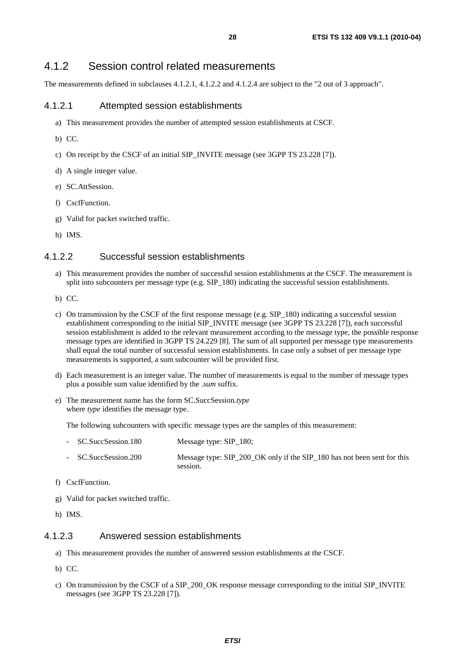# 4.1.2 Session control related measurements

The measurements defined in subclauses 4.1.2.1, 4.1.2.2 and 4.1.2.4 are subject to the "2 out of 3 approach".

# 4.1.2.1 Attempted session establishments

- a) This measurement provides the number of attempted session establishments at CSCF.
- b) CC.
- c) On receipt by the CSCF of an initial SIP\_INVITE message (see 3GPP TS 23.228 [7]).
- d) A single integer value.
- e) SC.AttSession.
- f) CscfFunction.
- g) Valid for packet switched traffic.
- h) IMS.

# 4.1.2.2 Successful session establishments

- a) This measurement provides the number of successful session establishments at the CSCF. The measurement is split into subcounters per message type (e.g. SIP\_180) indicating the successful session establishments.
- b) CC.
- c) On transmission by the CSCF of the first response message (e.g. SIP\_180) indicating a successful session establishment corresponding to the initial SIP\_INVITE message (see 3GPP TS 23.228 [7]), each successful session establishment is added to the relevant measurement according to the message type, the possible response message types are identified in 3GPP TS 24.229 [8]. The sum of all supported per message type measurements shall equal the total number of successful session establishments. In case only a subset of per message type measurements is supported, a sum subcounter will be provided first.
- d) Each measurement is an integer value. The number of measurements is equal to the number of message types plus a possible sum value identified by the .*sum* suffix.
- e) The measurement name has the form SC.SuccSession.*type*  where *type* identifies the message type.

The following subcounters with specific message types are the samples of this measurement:

- SC.SuccSession.180 Message type: SIP\_180; SC.SuccSession.200 Message type: SIP\_200\_OK only if the SIP\_180 has not been sent for this session.
- f) CscfFunction.
- g) Valid for packet switched traffic.
- h) IMS.

### 4.1.2.3 Answered session establishments

- a) This measurement provides the number of answered session establishments at the CSCF.
- b) CC.
- c) On transmission by the CSCF of a SIP\_200\_OK response message corresponding to the initial SIP\_INVITE messages (see 3GPP TS 23.228 [7]).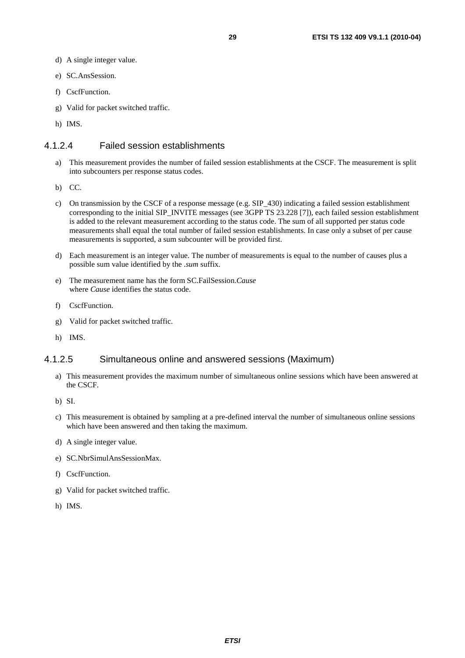- d) A single integer value.
- e) SC.AnsSession.
- f) CscfFunction.
- g) Valid for packet switched traffic.
- h) IMS.

# 4.1.2.4 Failed session establishments

- a) This measurement provides the number of failed session establishments at the CSCF. The measurement is split into subcounters per response status codes.
- b) CC.
- c) On transmission by the CSCF of a response message (e.g. SIP\_430) indicating a failed session establishment corresponding to the initial SIP\_INVITE messages (see 3GPP TS 23.228 [7]), each failed session establishment is added to the relevant measurement according to the status code. The sum of all supported per status code measurements shall equal the total number of failed session establishments. In case only a subset of per cause measurements is supported, a sum subcounter will be provided first.
- d) Each measurement is an integer value. The number of measurements is equal to the number of causes plus a possible sum value identified by the .*sum* suffix.
- e) The measurement name has the form SC.FailSession.*Cause* where *Cause* identifies the status code.
- f) CscfFunction.
- g) Valid for packet switched traffic.
- h) IMS.

# 4.1.2.5 Simultaneous online and answered sessions (Maximum)

- a) This measurement provides the maximum number of simultaneous online sessions which have been answered at the CSCF.
- b) SI.
- c) This measurement is obtained by sampling at a pre-defined interval the number of simultaneous online sessions which have been answered and then taking the maximum.
- d) A single integer value.
- e) SC.NbrSimulAnsSessionMax.
- f) CscfFunction.
- g) Valid for packet switched traffic.
- h) IMS.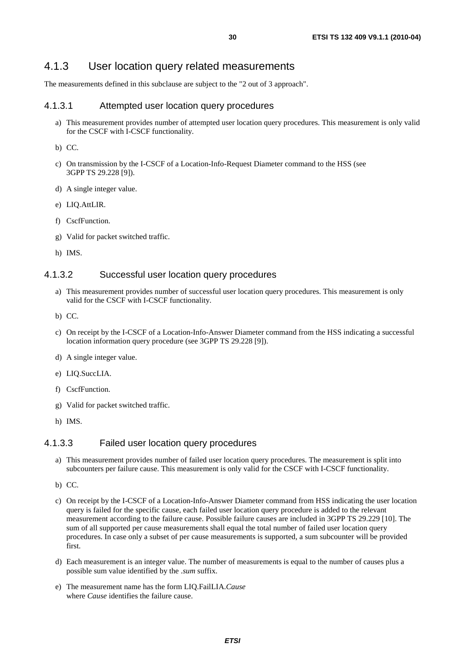# 4.1.3 User location query related measurements

The measurements defined in this subclause are subject to the "2 out of 3 approach".

# 4.1.3.1 Attempted user location query procedures

a) This measurement provides number of attempted user location query procedures. This measurement is only valid for the CSCF with I-CSCF functionality.

b) CC.

- c) On transmission by the I-CSCF of a Location-Info-Request Diameter command to the HSS (see 3GPP TS 29.228 [9]).
- d) A single integer value.
- e) LIQ.AttLIR.
- f) CscfFunction.
- g) Valid for packet switched traffic.
- h) IMS.

#### 4.1.3.2 Successful user location query procedures

- a) This measurement provides number of successful user location query procedures. This measurement is only valid for the CSCF with I-CSCF functionality.
- b) CC.
- c) On receipt by the I-CSCF of a Location-Info-Answer Diameter command from the HSS indicating a successful location information query procedure (see 3GPP TS 29.228 [9]).
- d) A single integer value.
- e) LIQ.SuccLIA.
- f) CscfFunction.
- g) Valid for packet switched traffic.
- h) IMS.

# 4.1.3.3 Failed user location query procedures

- a) This measurement provides number of failed user location query procedures. The measurement is split into subcounters per failure cause. This measurement is only valid for the CSCF with I-CSCF functionality.
- b) CC.
- c) On receipt by the I-CSCF of a Location-Info-Answer Diameter command from HSS indicating the user location query is failed for the specific cause, each failed user location query procedure is added to the relevant measurement according to the failure cause. Possible failure causes are included in 3GPP TS 29.229 [10]. The sum of all supported per cause measurements shall equal the total number of failed user location query procedures. In case only a subset of per cause measurements is supported, a sum subcounter will be provided first.
- d) Each measurement is an integer value. The number of measurements is equal to the number of causes plus a possible sum value identified by the .*sum* suffix.
- e) The measurement name has the form LIQ.FailLIA.*Cause*  where *Cause* identifies the failure cause.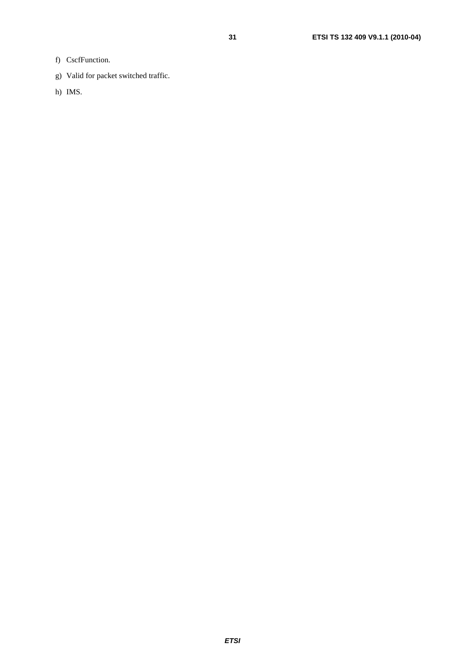- f) CscfFunction.
- g) Valid for packet switched traffic.
- h) IMS.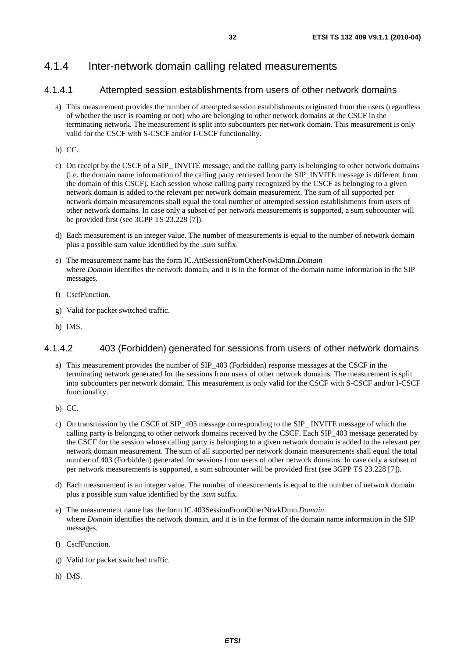# 4.1.4 Inter-network domain calling related measurements

# 4.1.4.1 Attempted session establishments from users of other network domains

- a) This measurement provides the number of attempted session establishments originated from the users (regardless of whether the user is roaming or not) who are belonging to other network domains at the CSCF in the terminating network. The measurement is split into subcounters per network domain. This measurement is only valid for the CSCF with S-CSCF and/or I-CSCF functionality.
- b) CC.
- c) On receipt by the CSCF of a SIP\_ INVITE message, and the calling party is belonging to other network domains (i.e. the domain name information of the calling party retrieved from the SIP\_INVITE message is different from the domain of this CSCF). Each session whose calling party recognized by the CSCF as belonging to a given network domain is added to the relevant per network domain measurement. The sum of all supported per network domain measurements shall equal the total number of attempted session establishments from users of other network domains. In case only a subset of per network measurements is supported, a sum subcounter will be provided first (see 3GPP TS 23.228 [7]).
- d) Each measurement is an integer value. The number of measurements is equal to the number of network domain plus a possible sum value identified by the *.sum* suffix.
- e) The measurement name has the form IC.AttSessionFromOtherNtwkDmn.*Domain* where *Domain* identifies the network domain, and it is in the format of the domain name information in the SIP messages.
- f) CscfFunction.
- g) Valid for packet switched traffic.
- h) IMS.

# 4.1.4.2 403 (Forbidden) generated for sessions from users of other network domains

- a) This measurement provides the number of SIP\_403 (Forbidden) response messages at the CSCF in the terminating network generated for the sessions from users of other network domains. The measurement is split into subcounters per network domain. This measurement is only valid for the CSCF with S-CSCF and/or I-CSCF functionality.
- b) CC.
- c) On transmission by the CSCF of SIP\_403 message corresponding to the SIP\_ INVITE message of which the calling party is belonging to other network domains received by the CSCF. Each SIP\_403 message generated by the CSCF for the session whose calling party is belonging to a given network domain is added to the relevant per network domain measurement. The sum of all supported per network domain measurements shall equal the total number of 403 (Forbidden) generated for sessions from users of other network domains. In case only a subset of per network measurements is supported, a sum subcounter will be provided first (see 3GPP TS 23.228 [7]).
- d) Each measurement is an integer value. The number of measurements is equal to the number of network domain plus a possible sum value identified by the *.sum* suffix.
- e) The measurement name has the form IC.403SessionFromOtherNtwkDmn.*Domain* where *Domain* identifies the network domain, and it is in the format of the domain name information in the SIP messages.
- f) CscfFunction.
- g) Valid for packet switched traffic.
- h) IMS.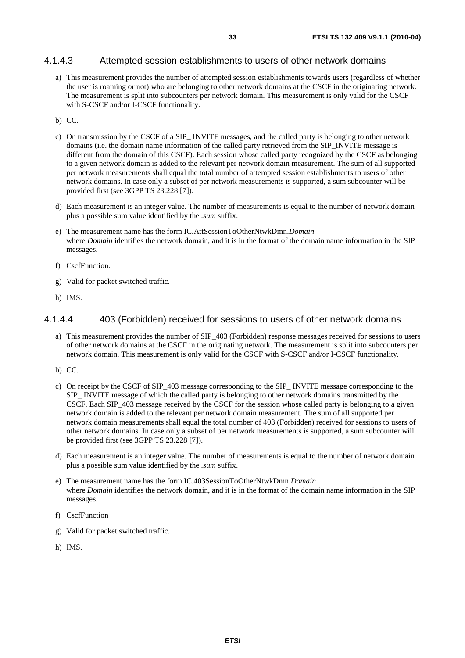# 4.1.4.3 Attempted session establishments to users of other network domains

- a) This measurement provides the number of attempted session establishments towards users (regardless of whether the user is roaming or not) who are belonging to other network domains at the CSCF in the originating network. The measurement is split into subcounters per network domain. This measurement is only valid for the CSCF with S-CSCF and/or I-CSCF functionality.
- b) CC.
- c) On transmission by the CSCF of a SIP\_ INVITE messages, and the called party is belonging to other network domains (i.e. the domain name information of the called party retrieved from the SIP\_INVITE message is different from the domain of this CSCF). Each session whose called party recognized by the CSCF as belonging to a given network domain is added to the relevant per network domain measurement. The sum of all supported per network measurements shall equal the total number of attempted session establishments to users of other network domains. In case only a subset of per network measurements is supported, a sum subcounter will be provided first (see 3GPP TS 23.228 [7]).
- d) Each measurement is an integer value. The number of measurements is equal to the number of network domain plus a possible sum value identified by the *.sum* suffix.
- e) The measurement name has the form IC.AttSessionToOtherNtwkDmn.*Domain* where *Domain* identifies the network domain, and it is in the format of the domain name information in the SIP messages.
- f) CscfFunction.
- g) Valid for packet switched traffic.
- h) IMS.

# 4.1.4.4 403 (Forbidden) received for sessions to users of other network domains

- a) This measurement provides the number of SIP\_403 (Forbidden) response messages received for sessions to users of other network domains at the CSCF in the originating network. The measurement is split into subcounters per network domain. This measurement is only valid for the CSCF with S-CSCF and/or I-CSCF functionality.
- b) CC.
- c) On receipt by the CSCF of SIP\_403 message corresponding to the SIP\_ INVITE message corresponding to the SIP\_ INVITE message of which the called party is belonging to other network domains transmitted by the CSCF. Each SIP\_403 message received by the CSCF for the session whose called party is belonging to a given network domain is added to the relevant per network domain measurement. The sum of all supported per network domain measurements shall equal the total number of 403 (Forbidden) received for sessions to users of other network domains. In case only a subset of per network measurements is supported, a sum subcounter will be provided first (see 3GPP TS 23.228 [7]).
- d) Each measurement is an integer value. The number of measurements is equal to the number of network domain plus a possible sum value identified by the *.sum* suffix.
- e) The measurement name has the form IC.403SessionToOtherNtwkDmn.*Domain* where *Domain* identifies the network domain, and it is in the format of the domain name information in the SIP messages.
- f) CscfFunction
- g) Valid for packet switched traffic.
- h) IMS.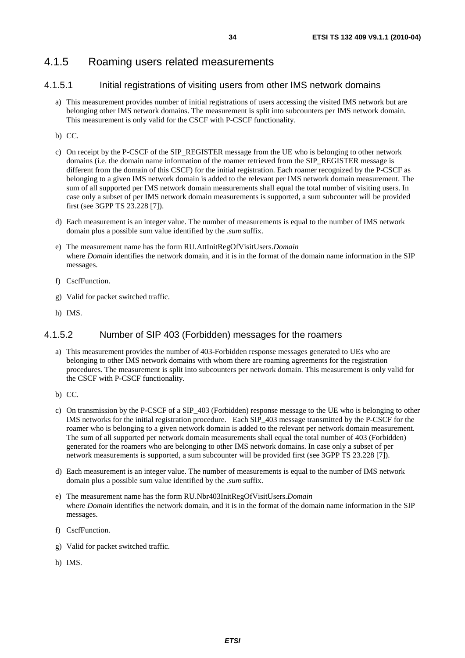# 4.1.5.1 Initial registrations of visiting users from other IMS network domains

- a) This measurement provides number of initial registrations of users accessing the visited IMS network but are belonging other IMS network domains. The measurement is split into subcounters per IMS network domain. This measurement is only valid for the CSCF with P-CSCF functionality.
- b) CC.
- c) On receipt by the P-CSCF of the SIP\_REGISTER message from the UE who is belonging to other network domains (i.e. the domain name information of the roamer retrieved from the SIP\_REGISTER message is different from the domain of this CSCF) for the initial registration. Each roamer recognized by the P-CSCF as belonging to a given IMS network domain is added to the relevant per IMS network domain measurement. The sum of all supported per IMS network domain measurements shall equal the total number of visiting users. In case only a subset of per IMS network domain measurements is supported, a sum subcounter will be provided first (see 3GPP TS 23.228 [7]).
- d) Each measurement is an integer value. The number of measurements is equal to the number of IMS network domain plus a possible sum value identified by the *.sum* suffix.
- e) The measurement name has the form RU.AttInitRegOfVisitUsers.*Domain* where *Domain* identifies the network domain, and it is in the format of the domain name information in the SIP messages.
- f) CscfFunction.
- g) Valid for packet switched traffic.
- h) IMS.

# 4.1.5.2 Number of SIP 403 (Forbidden) messages for the roamers

- a) This measurement provides the number of 403-Forbidden response messages generated to UEs who are belonging to other IMS network domains with whom there are roaming agreements for the registration procedures. The measurement is split into subcounters per network domain. This measurement is only valid for the CSCF with P-CSCF functionality.
- b) CC.
- c) On transmission by the P-CSCF of a SIP\_403 (Forbidden) response message to the UE who is belonging to other IMS networks for the initial registration procedure. Each SIP\_403 message transmitted by the P-CSCF for the roamer who is belonging to a given network domain is added to the relevant per network domain measurement. The sum of all supported per network domain measurements shall equal the total number of 403 (Forbidden) generated for the roamers who are belonging to other IMS network domains. In case only a subset of per network measurements is supported, a sum subcounter will be provided first (see 3GPP TS 23.228 [7]).
- d) Each measurement is an integer value. The number of measurements is equal to the number of IMS network domain plus a possible sum value identified by the *.sum* suffix.
- e) The measurement name has the form RU.Nbr403InitRegOfVisitUsers.*Domain*  where *Domain* identifies the network domain, and it is in the format of the domain name information in the SIP messages.
- f) CscfFunction.
- g) Valid for packet switched traffic.
- h) IMS.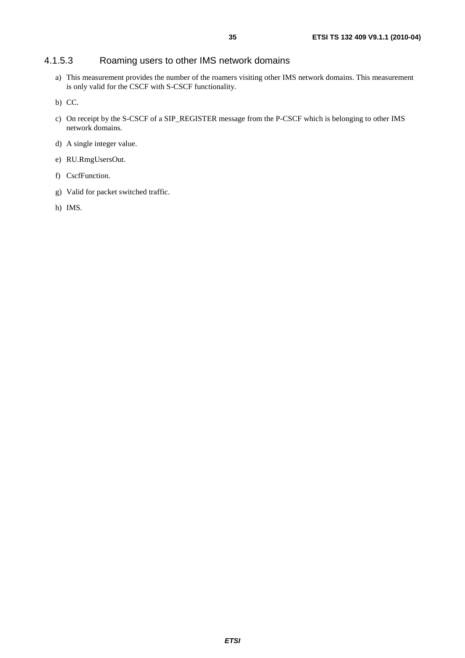# 4.1.5.3 Roaming users to other IMS network domains

- a) This measurement provides the number of the roamers visiting other IMS network domains. This measurement is only valid for the CSCF with S-CSCF functionality.
- b) CC.
- c) On receipt by the S-CSCF of a SIP\_REGISTER message from the P-CSCF which is belonging to other IMS network domains.
- d) A single integer value.
- e) RU.RmgUsersOut.
- f) CscfFunction.
- g) Valid for packet switched traffic.
- h) IMS.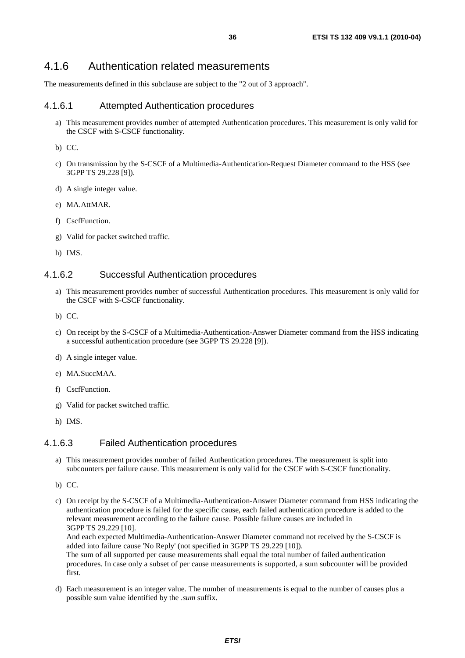# 4.1.6 Authentication related measurements

The measurements defined in this subclause are subject to the "2 out of 3 approach".

## 4.1.6.1 Attempted Authentication procedures

a) This measurement provides number of attempted Authentication procedures. This measurement is only valid for the CSCF with S-CSCF functionality.

b) CC.

- c) On transmission by the S-CSCF of a Multimedia-Authentication-Request Diameter command to the HSS (see 3GPP TS 29.228 [9]).
- d) A single integer value.
- e) MA.AttMAR.
- f) CscfFunction.
- g) Valid for packet switched traffic.
- h) IMS.

## 4.1.6.2 Successful Authentication procedures

- a) This measurement provides number of successful Authentication procedures. This measurement is only valid for the CSCF with S-CSCF functionality.
- b) CC.
- c) On receipt by the S-CSCF of a Multimedia-Authentication-Answer Diameter command from the HSS indicating a successful authentication procedure (see 3GPP TS 29.228 [9]).
- d) A single integer value.
- e) MA.SuccMAA.
- f) CscfFunction.
- g) Valid for packet switched traffic.
- h) IMS.

## 4.1.6.3 Failed Authentication procedures

- a) This measurement provides number of failed Authentication procedures. The measurement is split into subcounters per failure cause. This measurement is only valid for the CSCF with S-CSCF functionality.
- b) CC.
- c) On receipt by the S-CSCF of a Multimedia-Authentication-Answer Diameter command from HSS indicating the authentication procedure is failed for the specific cause, each failed authentication procedure is added to the relevant measurement according to the failure cause. Possible failure causes are included in 3GPP TS 29.229 [10].

And each expected Multimedia-Authentication-Answer Diameter command not received by the S-CSCF is added into failure cause 'No Reply' (not specified in 3GPP TS 29.229 [10]).

The sum of all supported per cause measurements shall equal the total number of failed authentication procedures. In case only a subset of per cause measurements is supported, a sum subcounter will be provided first.

d) Each measurement is an integer value. The number of measurements is equal to the number of causes plus a possible sum value identified by the .*sum* suffix.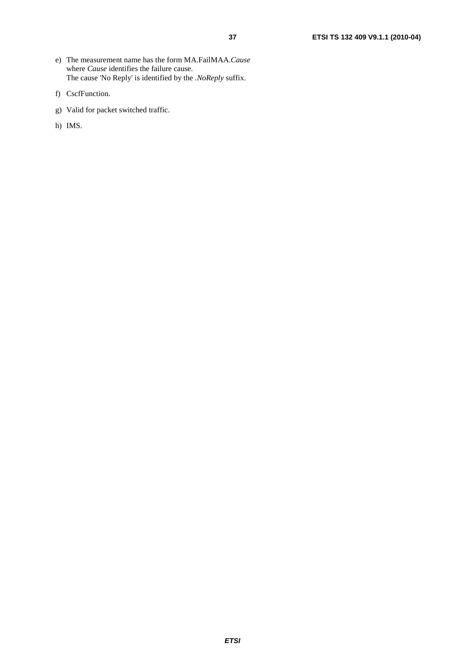- e) The measurement name has the form MA.FailMAA.*Cause*  where *Cause* identifies the failure cause. The cause 'No Reply' is identified by the *.NoReply* suffix.
- f) CscfFunction.
- g) Valid for packet switched traffic.
- h) IMS.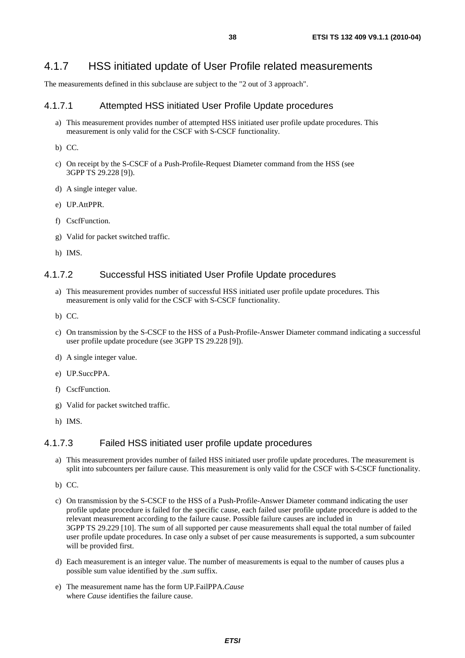# 4.1.7 HSS initiated update of User Profile related measurements

The measurements defined in this subclause are subject to the "2 out of 3 approach".

## 4.1.7.1 Attempted HSS initiated User Profile Update procedures

a) This measurement provides number of attempted HSS initiated user profile update procedures. This measurement is only valid for the CSCF with S-CSCF functionality.

b) CC.

- c) On receipt by the S-CSCF of a Push-Profile-Request Diameter command from the HSS (see 3GPP TS 29.228 [9]).
- d) A single integer value.
- e) UP.AttPPR.
- f) CscfFunction.
- g) Valid for packet switched traffic.
- h) IMS.

## 4.1.7.2 Successful HSS initiated User Profile Update procedures

- a) This measurement provides number of successful HSS initiated user profile update procedures. This measurement is only valid for the CSCF with S-CSCF functionality.
- b) CC.
- c) On transmission by the S-CSCF to the HSS of a Push-Profile-Answer Diameter command indicating a successful user profile update procedure (see 3GPP TS 29.228 [9]).
- d) A single integer value.
- e) UP.SuccPPA.
- f) CscfFunction.
- g) Valid for packet switched traffic.
- h) IMS.

### 4.1.7.3 Failed HSS initiated user profile update procedures

- a) This measurement provides number of failed HSS initiated user profile update procedures. The measurement is split into subcounters per failure cause. This measurement is only valid for the CSCF with S-CSCF functionality.
- b) CC.
- c) On transmission by the S-CSCF to the HSS of a Push-Profile-Answer Diameter command indicating the user profile update procedure is failed for the specific cause, each failed user profile update procedure is added to the relevant measurement according to the failure cause. Possible failure causes are included in 3GPP TS 29.229 [10]. The sum of all supported per cause measurements shall equal the total number of failed user profile update procedures. In case only a subset of per cause measurements is supported, a sum subcounter will be provided first.
- d) Each measurement is an integer value. The number of measurements is equal to the number of causes plus a possible sum value identified by the .*sum* suffix.
- e) The measurement name has the form UP.FailPPA.*Cause*  where *Cause* identifies the failure cause.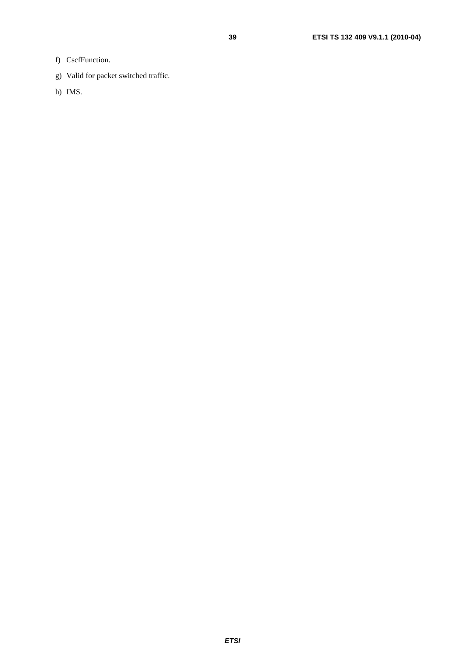- f) CscfFunction.
- g) Valid for packet switched traffic.
- h) IMS.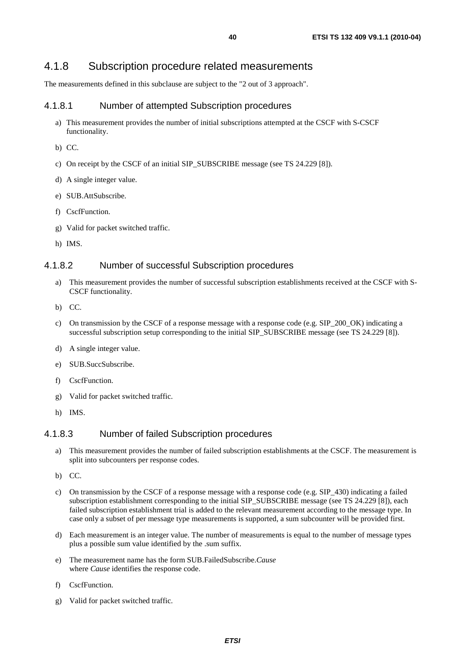# 4.1.8 Subscription procedure related measurements

The measurements defined in this subclause are subject to the "2 out of 3 approach".

# 4.1.8.1 Number of attempted Subscription procedures

- a) This measurement provides the number of initial subscriptions attempted at the CSCF with S-CSCF functionality.
- b) CC.
- c) On receipt by the CSCF of an initial SIP\_SUBSCRIBE message (see TS 24.229 [8]).
- d) A single integer value.
- e) SUB.AttSubscribe.
- f) CscfFunction.
- g) Valid for packet switched traffic.
- h) IMS.

## 4.1.8.2 Number of successful Subscription procedures

- a) This measurement provides the number of successful subscription establishments received at the CSCF with S-CSCF functionality.
- b) CC.
- c) On transmission by the CSCF of a response message with a response code (e.g. SIP\_200\_OK) indicating a successful subscription setup corresponding to the initial SIP\_SUBSCRIBE message (see TS 24.229 [8]).
- d) A single integer value.
- e) SUB.SuccSubscribe.
- f) CscfFunction.
- g) Valid for packet switched traffic.
- h) IMS.

# 4.1.8.3 Number of failed Subscription procedures

- a) This measurement provides the number of failed subscription establishments at the CSCF. The measurement is split into subcounters per response codes.
- b) CC.
- c) On transmission by the CSCF of a response message with a response code (e.g. SIP\_430) indicating a failed subscription establishment corresponding to the initial SIP\_SUBSCRIBE message (see TS 24.229 [8]), each failed subscription establishment trial is added to the relevant measurement according to the message type. In case only a subset of per message type measurements is supported, a sum subcounter will be provided first.
- d) Each measurement is an integer value. The number of measurements is equal to the number of message types plus a possible sum value identified by the .sum suffix.
- e) The measurement name has the form SUB.FailedSubscribe.*Cause* where *Cause* identifies the response code.
- f) CscfFunction.
- g) Valid for packet switched traffic.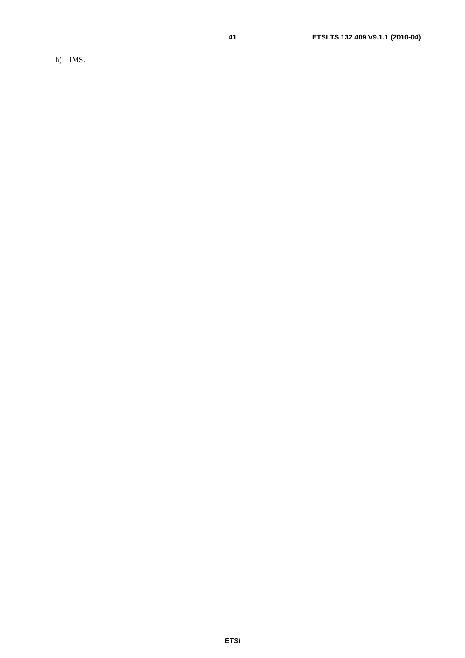h) IMS.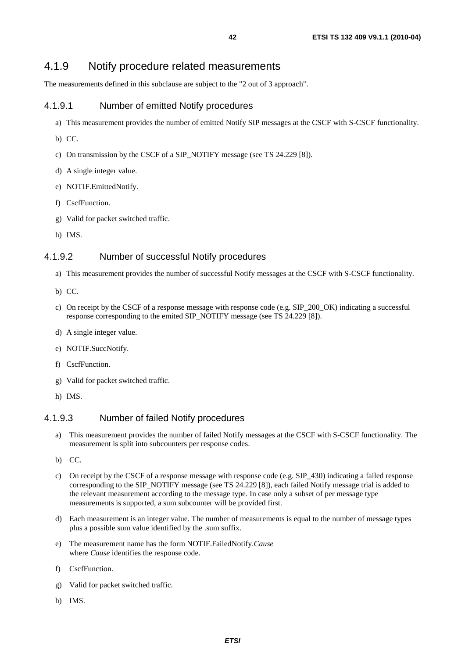# 4.1.9 Notify procedure related measurements

The measurements defined in this subclause are subject to the "2 out of 3 approach".

## 4.1.9.1 Number of emitted Notify procedures

- a) This measurement provides the number of emitted Notify SIP messages at the CSCF with S-CSCF functionality.
- b) CC.
- c) On transmission by the CSCF of a SIP\_NOTIFY message (see TS 24.229 [8]).
- d) A single integer value.
- e) NOTIF.EmittedNotify.
- f) CscfFunction.
- g) Valid for packet switched traffic.
- h) IMS.

## 4.1.9.2 Number of successful Notify procedures

- a) This measurement provides the number of successful Notify messages at the CSCF with S-CSCF functionality.
- b) CC.
- c) On receipt by the CSCF of a response message with response code (e.g. SIP\_200\_OK) indicating a successful response corresponding to the emited SIP\_NOTIFY message (see TS 24.229 [8]).
- d) A single integer value.
- e) NOTIF.SuccNotify.
- f) CscfFunction.
- g) Valid for packet switched traffic.
- h) IMS.

## 4.1.9.3 Number of failed Notify procedures

- a) This measurement provides the number of failed Notify messages at the CSCF with S-CSCF functionality. The measurement is split into subcounters per response codes.
- b) CC.
- c) On receipt by the CSCF of a response message with response code (e.g. SIP\_430) indicating a failed response corresponding to the SIP\_NOTIFY message (see TS 24.229 [8]), each failed Notify message trial is added to the relevant measurement according to the message type. In case only a subset of per message type measurements is supported, a sum subcounter will be provided first.
- d) Each measurement is an integer value. The number of measurements is equal to the number of message types plus a possible sum value identified by the .sum suffix.
- e) The measurement name has the form NOTIF.FailedNotify.*Cause* where *Cause* identifies the response code.
- f) CscfFunction.
- g) Valid for packet switched traffic.
- h) IMS.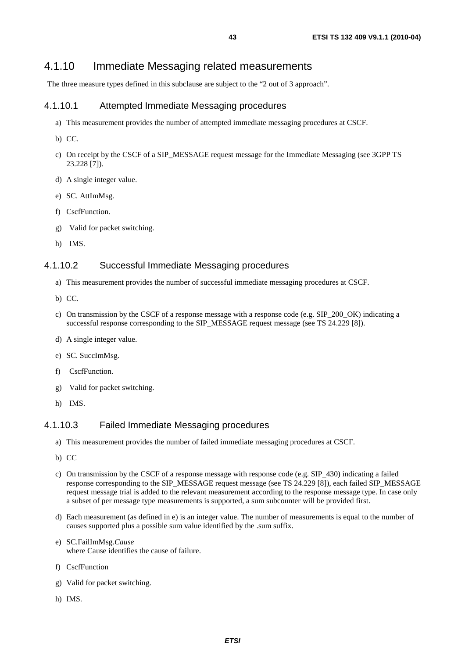# 4.1.10 Immediate Messaging related measurements

The three measure types defined in this subclause are subject to the "2 out of 3 approach".

## 4.1.10.1 Attempted Immediate Messaging procedures

- a) This measurement provides the number of attempted immediate messaging procedures at CSCF.
- b) CC.
- c) On receipt by the CSCF of a SIP\_MESSAGE request message for the Immediate Messaging (see 3GPP TS 23.228 [7]).
- d) A single integer value.
- e) SC. AttImMsg.
- f) CscfFunction.
- g) Valid for packet switching.
- h) IMS.

### 4.1.10.2 Successful Immediate Messaging procedures

- a) This measurement provides the number of successful immediate messaging procedures at CSCF.
- b) CC.
- c) On transmission by the CSCF of a response message with a response code (e.g. SIP\_200\_OK) indicating a successful response corresponding to the SIP\_MESSAGE request message (see TS 24.229 [8]).
- d) A single integer value.
- e) SC. SuccImMsg.
- f) CscfFunction.
- g) Valid for packet switching.
- h) IMS.

## 4.1.10.3 Failed Immediate Messaging procedures

- a) This measurement provides the number of failed immediate messaging procedures at CSCF.
- b) CC
- c) On transmission by the CSCF of a response message with response code (e.g. SIP\_430) indicating a failed response corresponding to the SIP\_MESSAGE request message (see TS 24.229 [8]), each failed SIP\_MESSAGE request message trial is added to the relevant measurement according to the response message type. In case only a subset of per message type measurements is supported, a sum subcounter will be provided first.
- d) Each measurement (as defined in e) is an integer value. The number of measurements is equal to the number of causes supported plus a possible sum value identified by the .sum suffix.
- e) SC.FailImMsg.*Cause* where Cause identifies the cause of failure.
- f) CscfFunction
- g) Valid for packet switching.
- h) IMS.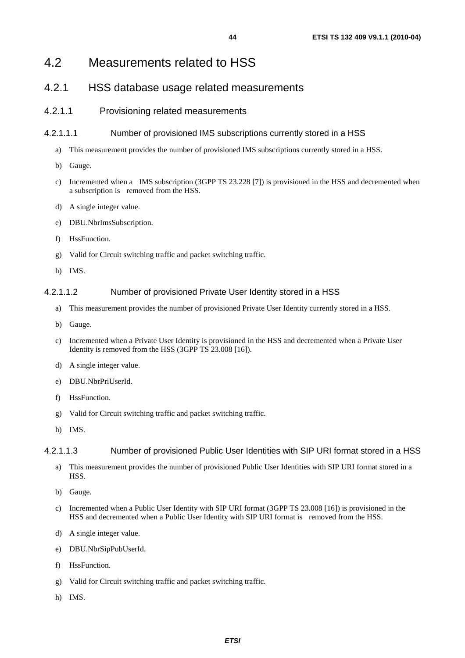# 4.2 Measurements related to HSS

# 4.2.1 HSS database usage related measurements

## 4.2.1.1 Provisioning related measurements

## 4.2.1.1.1 Number of provisioned IMS subscriptions currently stored in a HSS

- a) This measurement provides the number of provisioned IMS subscriptions currently stored in a HSS.
- b) Gauge.
- c) Incremented when a IMS subscription (3GPP TS 23.228 [7]) is provisioned in the HSS and decremented when a subscription is removed from the HSS.
- d) A single integer value.
- e) DBU.NbrImsSubscription.
- f) HssFunction.
- g) Valid for Circuit switching traffic and packet switching traffic.
- h) IMS.

## 4.2.1.1.2 Number of provisioned Private User Identity stored in a HSS

- a) This measurement provides the number of provisioned Private User Identity currently stored in a HSS.
- b) Gauge.
- c) Incremented when a Private User Identity is provisioned in the HSS and decremented when a Private User Identity is removed from the HSS (3GPP TS 23.008 [16]).
- d) A single integer value.
- e) DBU.NbrPriUserId.
- f) HssFunction.
- g) Valid for Circuit switching traffic and packet switching traffic.
- h) IMS.

### 4.2.1.1.3 Number of provisioned Public User Identities with SIP URI format stored in a HSS

- a) This measurement provides the number of provisioned Public User Identities with SIP URI format stored in a HSS.
- b) Gauge.
- c) Incremented when a Public User Identity with SIP URI format (3GPP TS 23.008 [16]) is provisioned in the HSS and decremented when a Public User Identity with SIP URI format is removed from the HSS.
- d) A single integer value.
- e) DBU.NbrSipPubUserId.
- f) HssFunction.
- g) Valid for Circuit switching traffic and packet switching traffic.
- h) IMS.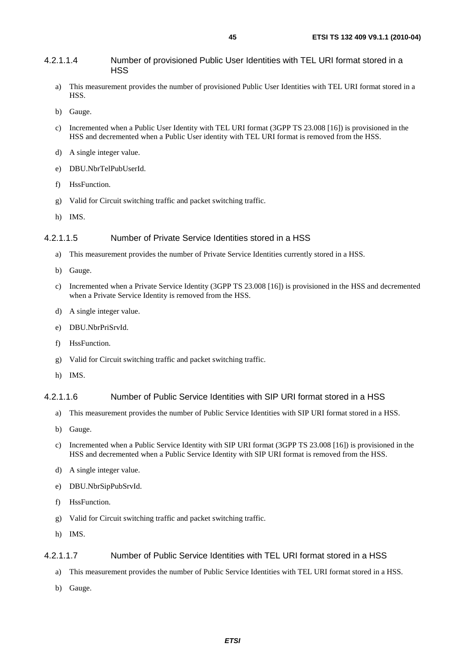#### 4.2.1.1.4 Number of provisioned Public User Identities with TEL URI format stored in a **HSS**

- a) This measurement provides the number of provisioned Public User Identities with TEL URI format stored in a HSS.
- b) Gauge.
- c) Incremented when a Public User Identity with TEL URI format (3GPP TS 23.008 [16]) is provisioned in the HSS and decremented when a Public User identity with TEL URI format is removed from the HSS.
- d) A single integer value.
- e) DBU.NbrTelPubUserId.
- f) HssFunction.
- g) Valid for Circuit switching traffic and packet switching traffic.
- h) IMS.

#### 4.2.1.1.5 Number of Private Service Identities stored in a HSS

- a) This measurement provides the number of Private Service Identities currently stored in a HSS.
- b) Gauge.
- c) Incremented when a Private Service Identity (3GPP TS 23.008 [16]) is provisioned in the HSS and decremented when a Private Service Identity is removed from the HSS.
- d) A single integer value.
- e) DBU.NbrPriSrvId.
- f) HssFunction.
- g) Valid for Circuit switching traffic and packet switching traffic.
- h) IMS.

#### 4.2.1.1.6 Number of Public Service Identities with SIP URI format stored in a HSS

- a) This measurement provides the number of Public Service Identities with SIP URI format stored in a HSS.
- b) Gauge.
- c) Incremented when a Public Service Identity with SIP URI format (3GPP TS 23.008 [16]) is provisioned in the HSS and decremented when a Public Service Identity with SIP URI format is removed from the HSS.
- d) A single integer value.
- e) DBU.NbrSipPubSrvId.
- f) HssFunction.
- g) Valid for Circuit switching traffic and packet switching traffic.
- h) IMS.

### 4.2.1.1.7 Number of Public Service Identities with TEL URI format stored in a HSS

- a) This measurement provides the number of Public Service Identities with TEL URI format stored in a HSS.
- b) Gauge.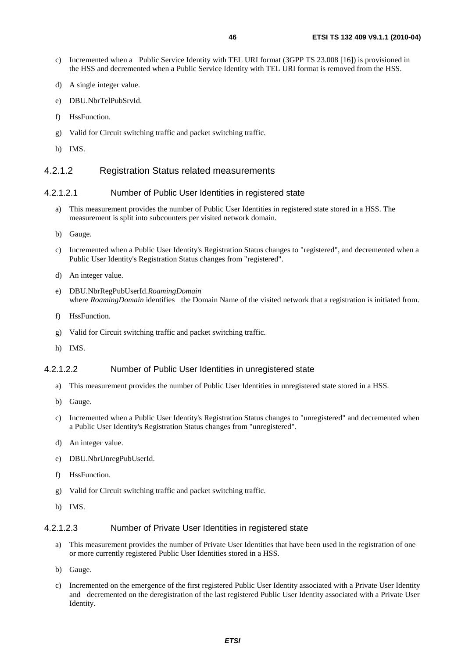- c) Incremented when a Public Service Identity with TEL URI format (3GPP TS 23.008 [16]) is provisioned in the HSS and decremented when a Public Service Identity with TEL URI format is removed from the HSS.
- d) A single integer value.
- e) DBU.NbrTelPubSrvId.
- f) HssFunction.
- g) Valid for Circuit switching traffic and packet switching traffic.
- h) IMS.

#### 4.2.1.2 Registration Status related measurements

#### 4.2.1.2.1 Number of Public User Identities in registered state

- a) This measurement provides the number of Public User Identities in registered state stored in a HSS. The measurement is split into subcounters per visited network domain.
- b) Gauge.
- c) Incremented when a Public User Identity's Registration Status changes to "registered", and decremented when a Public User Identity's Registration Status changes from "registered".
- d) An integer value.
- e) DBU.NbrRegPubUserId.*RoamingDomain*  where *RoamingDomain* identifies the Domain Name of the visited network that a registration is initiated from.
- f) HssFunction.
- g) Valid for Circuit switching traffic and packet switching traffic.
- h) IMS.

#### 4.2.1.2.2 Number of Public User Identities in unregistered state

- a) This measurement provides the number of Public User Identities in unregistered state stored in a HSS.
- b) Gauge.
- c) Incremented when a Public User Identity's Registration Status changes to "unregistered" and decremented when a Public User Identity's Registration Status changes from "unregistered".
- d) An integer value.
- e) DBU.NbrUnregPubUserId.
- f) HssFunction.
- g) Valid for Circuit switching traffic and packet switching traffic.
- h) IMS.

#### 4.2.1.2.3 Number of Private User Identities in registered state

- a) This measurement provides the number of Private User Identities that have been used in the registration of one or more currently registered Public User Identities stored in a HSS.
- b) Gauge.
- c) Incremented on the emergence of the first registered Public User Identity associated with a Private User Identity and decremented on the deregistration of the last registered Public User Identity associated with a Private User Identity.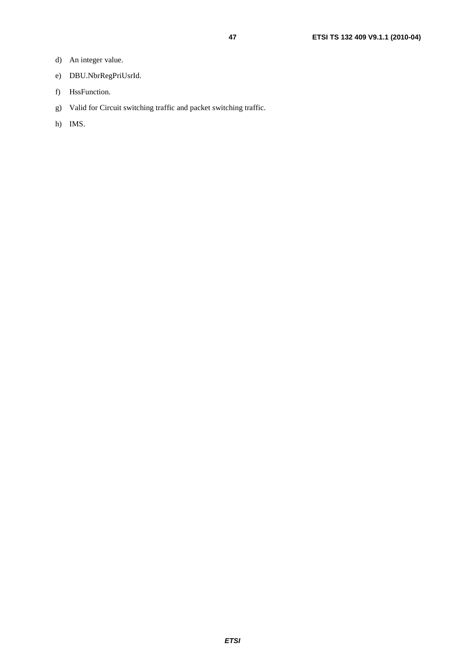- d) An integer value.
- e) DBU.NbrRegPriUsrId.
- f) HssFunction.
- g) Valid for Circuit switching traffic and packet switching traffic.
- h) IMS.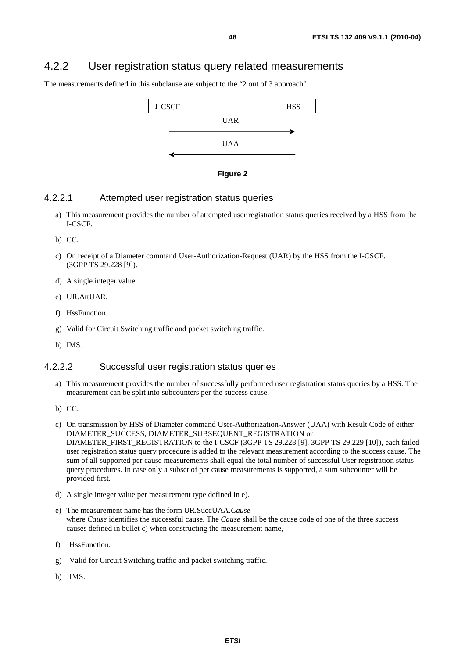# 4.2.2 User registration status query related measurements

The measurements defined in this subclause are subject to the "2 out of 3 approach".





### 4.2.2.1 Attempted user registration status queries

- a) This measurement provides the number of attempted user registration status queries received by a HSS from the I-CSCF.
- b) CC.
- c) On receipt of a Diameter command User-Authorization-Request (UAR) by the HSS from the I-CSCF. (3GPP TS 29.228 [9]).
- d) A single integer value.
- e) UR.AttUAR.
- f) HssFunction.
- g) Valid for Circuit Switching traffic and packet switching traffic.
- h) IMS.

### 4.2.2.2 Successful user registration status queries

- a) This measurement provides the number of successfully performed user registration status queries by a HSS. The measurement can be split into subcounters per the success cause.
- b) CC.
- c) On transmission by HSS of Diameter command User-Authorization-Answer (UAA) with Result Code of either DIAMETER\_SUCCESS, DIAMETER\_SUBSEQUENT\_REGISTRATION or DIAMETER\_FIRST\_REGISTRATION to the I-CSCF (3GPP TS 29.228 [9], 3GPP TS 29.229 [10]), each failed user registration status query procedure is added to the relevant measurement according to the success cause. The sum of all supported per cause measurements shall equal the total number of successful User registration status query procedures. In case only a subset of per cause measurements is supported, a sum subcounter will be provided first.
- d) A single integer value per measurement type defined in e).
- e) The measurement name has the form UR.SuccUAA.*Cause* where *Cause* identifies the successful cause. The *Cause* shall be the cause code of one of the three success causes defined in bullet c) when constructing the measurement name,
- f) HssFunction.
- g) Valid for Circuit Switching traffic and packet switching traffic.
- h) IMS.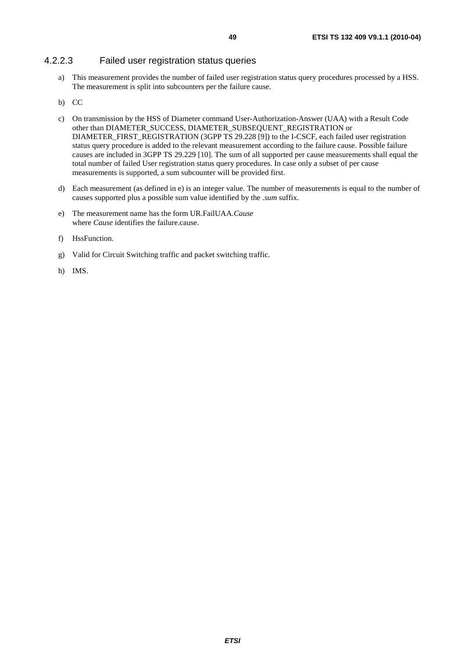## 4.2.2.3 Failed user registration status queries

a) This measurement provides the number of failed user registration status query procedures processed by a HSS. The measurement is split into subcounters per the failure cause.

#### b) CC

- c) On transmission by the HSS of Diameter command User-Authorization-Answer (UAA) with a Result Code other than DIAMETER\_SUCCESS, DIAMETER\_SUBSEQUENT\_REGISTRATION or DIAMETER\_FIRST\_REGISTRATION (3GPP TS 29.228 [9]) to the I-CSCF, each failed user registration status query procedure is added to the relevant measurement according to the failure cause. Possible failure causes are included in 3GPP TS 29.229 [10]. The sum of all supported per cause measurements shall equal the total number of failed User registration status query procedures. In case only a subset of per cause measurements is supported, a sum subcounter will be provided first.
- d) Each measurement (as defined in e) is an integer value. The number of measurements is equal to the number of causes supported plus a possible sum value identified by the *.sum* suffix.
- e) The measurement name has the form UR.FailUAA.*Cause* where *Cause* identifies the failure.cause.
- f) HssFunction.
- g) Valid for Circuit Switching traffic and packet switching traffic.
- h) IMS.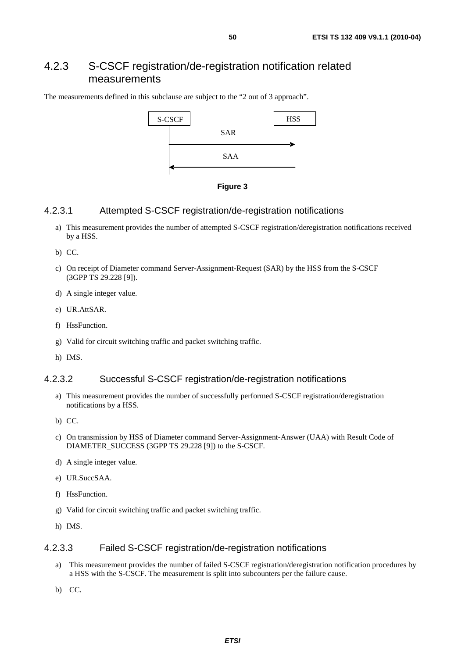# 4.2.3 S-CSCF registration/de-registration notification related measurements

The measurements defined in this subclause are subject to the "2 out of 3 approach".





## 4.2.3.1 Attempted S-CSCF registration/de-registration notifications

- a) This measurement provides the number of attempted S-CSCF registration/deregistration notifications received by a HSS.
- b) CC.
- c) On receipt of Diameter command Server-Assignment-Request (SAR) by the HSS from the S-CSCF (3GPP TS 29.228 [9]).
- d) A single integer value.
- e) UR.AttSAR.
- f) HssFunction.
- g) Valid for circuit switching traffic and packet switching traffic.
- h) IMS.

## 4.2.3.2 Successful S-CSCF registration/de-registration notifications

a) This measurement provides the number of successfully performed S-CSCF registration/deregistration notifications by a HSS.

b) CC.

- c) On transmission by HSS of Diameter command Server-Assignment-Answer (UAA) with Result Code of DIAMETER\_SUCCESS (3GPP TS 29.228 [9]) to the S-CSCF.
- d) A single integer value.
- e) UR.SuccSAA.
- f) HssFunction.
- g) Valid for circuit switching traffic and packet switching traffic.
- h) IMS.

### 4.2.3.3 Failed S-CSCF registration/de-registration notifications

- a) This measurement provides the number of failed S-CSCF registration/deregistration notification procedures by a HSS with the S-CSCF. The measurement is split into subcounters per the failure cause.
- b) CC.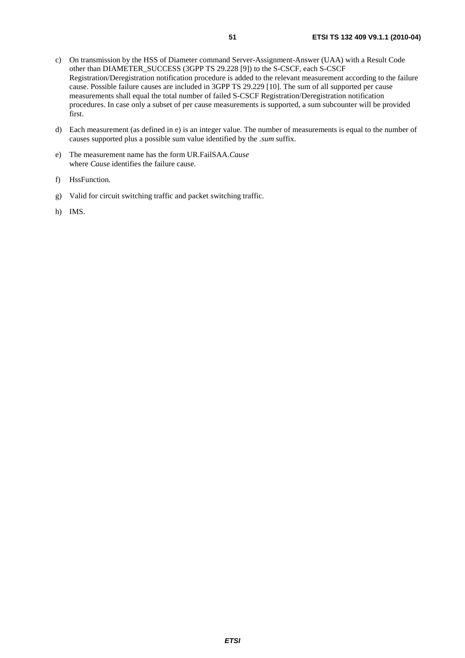- c) On transmission by the HSS of Diameter command Server-Assignment-Answer (UAA) with a Result Code other than DIAMETER\_SUCCESS (3GPP TS 29.228 [9]) to the S-CSCF, each S-CSCF Registration/Deregistration notification procedure is added to the relevant measurement according to the failure cause. Possible failure causes are included in 3GPP TS 29.229 [10]. The sum of all supported per cause measurements shall equal the total number of failed S-CSCF Registration/Deregistration notification procedures. In case only a subset of per cause measurements is supported, a sum subcounter will be provided first.
- d) Each measurement (as defined in e) is an integer value. The number of measurements is equal to the number of causes supported plus a possible sum value identified by the *.sum* suffix.
- e) The measurement name has the form UR.FailSAA.*Cause*  where *Cause* identifies the failure cause.
- f) HssFunction.
- g) Valid for circuit switching traffic and packet switching traffic.
- h) IMS.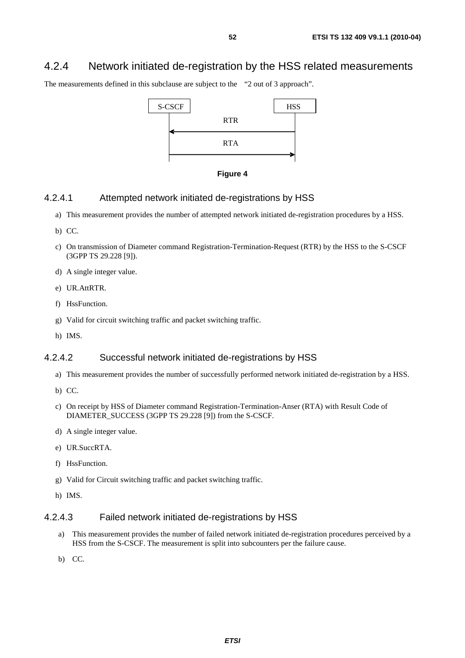# 4.2.4 Network initiated de-registration by the HSS related measurements

The measurements defined in this subclause are subject to the "2 out of 3 approach".





#### 4.2.4.1 Attempted network initiated de-registrations by HSS

- a) This measurement provides the number of attempted network initiated de-registration procedures by a HSS.
- b) CC.
- c) On transmission of Diameter command Registration-Termination-Request (RTR) by the HSS to the S-CSCF (3GPP TS 29.228 [9]).
- d) A single integer value.
- e) UR.AttRTR.
- f) HssFunction.
- g) Valid for circuit switching traffic and packet switching traffic.
- h) IMS.

## 4.2.4.2 Successful network initiated de-registrations by HSS

- a) This measurement provides the number of successfully performed network initiated de-registration by a HSS.
- b) CC.
- c) On receipt by HSS of Diameter command Registration-Termination-Anser (RTA) with Result Code of DIAMETER\_SUCCESS (3GPP TS 29.228 [9]) from the S-CSCF.
- d) A single integer value.
- e) UR.SuccRTA.
- f) HssFunction.
- g) Valid for Circuit switching traffic and packet switching traffic.
- h) IMS.

#### 4.2.4.3 Failed network initiated de-registrations by HSS

- a) This measurement provides the number of failed network initiated de-registration procedures perceived by a HSS from the S-CSCF. The measurement is split into subcounters per the failure cause.
- b) CC.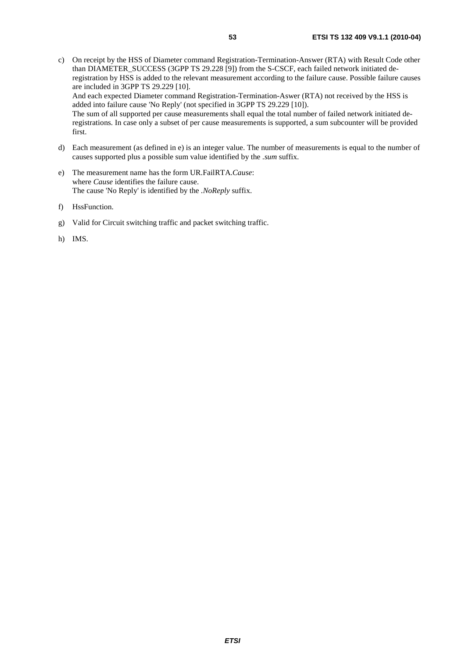The sum of all supported per cause measurements shall equal the total number of failed network initiated deregistrations. In case only a subset of per cause measurements is supported, a sum subcounter will be provided first.

- d) Each measurement (as defined in e) is an integer value. The number of measurements is equal to the number of causes supported plus a possible sum value identified by the *.sum* suffix.
- e) The measurement name has the form UR.FailRTA.*Cause*: where *Cause* identifies the failure cause. The cause 'No Reply' is identified by the *.NoReply* suffix.
- f) HssFunction.
- g) Valid for Circuit switching traffic and packet switching traffic.
- h) IMS.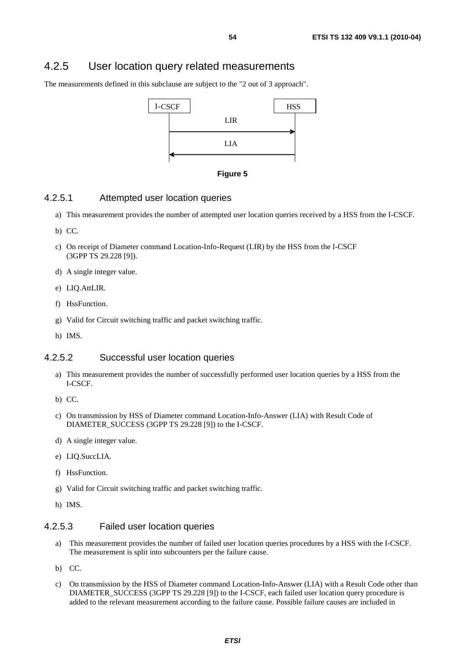# 4.2.5 User location query related measurements

The measurements defined in this subclause are subject to the "2 out of 3 approach".





## 4.2.5.1 Attempted user location queries

- a) This measurement provides the number of attempted user location queries received by a HSS from the I-CSCF.
- b) CC.
- c) On receipt of Diameter command Location-Info-Request (LIR) by the HSS from the I-CSCF (3GPP TS 29.228 [9]).
- d) A single integer value.
- e) LIQ.AttLIR.
- f) HssFunction.
- g) Valid for Circuit switching traffic and packet switching traffic.
- h) IMS.

## 4.2.5.2 Successful user location queries

- a) This measurement provides the number of successfully performed user location queries by a HSS from the I-CSCF.
- b) CC.
- c) On transmission by HSS of Diameter command Location-Info-Answer (LIA) with Result Code of DIAMETER\_SUCCESS (3GPP TS 29.228 [9]) to the I-CSCF.
- d) A single integer value.
- e) LIQ.SuccLIA.
- f) HssFunction.
- g) Valid for Circuit switching traffic and packet switching traffic.
- h) IMS.

### 4.2.5.3 Failed user location queries

- a) This measurement provides the number of failed user location queries procedures by a HSS with the I-CSCF. The measurement is split into subcounters per the failure cause.
- b) CC.
- c) On transmission by the HSS of Diameter command Location-Info-Answer (LIA) with a Result Code other than DIAMETER\_SUCCESS (3GPP TS 29.228 [9]) to the I-CSCF, each failed user location query procedure is added to the relevant measurement according to the failure cause. Possible failure causes are included in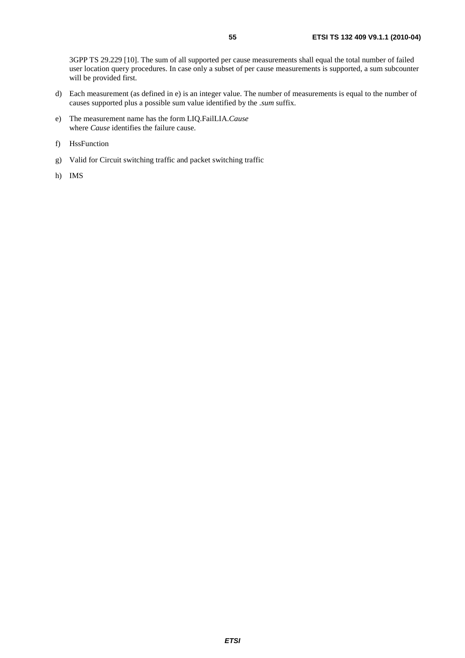3GPP TS 29.229 [10]. The sum of all supported per cause measurements shall equal the total number of failed user location query procedures. In case only a subset of per cause measurements is supported, a sum subcounter will be provided first.

- d) Each measurement (as defined in e) is an integer value. The number of measurements is equal to the number of causes supported plus a possible sum value identified by the *.sum* suffix.
- e) The measurement name has the form LIQ.FailLIA.*Cause*  where *Cause* identifies the failure cause.
- f) HssFunction
- g) Valid for Circuit switching traffic and packet switching traffic
- h) IMS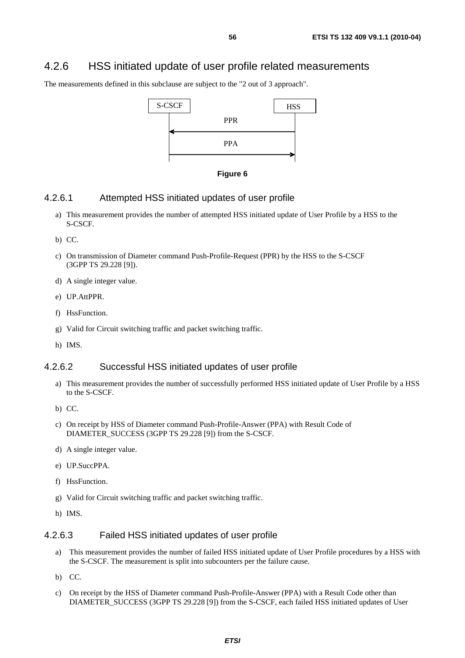# 4.2.6 HSS initiated update of user profile related measurements

The measurements defined in this subclause are subject to the "2 out of 3 approach".





#### 4.2.6.1 Attempted HSS initiated updates of user profile

- a) This measurement provides the number of attempted HSS initiated update of User Profile by a HSS to the S-CSCF.
- b) CC.
- c) On transmission of Diameter command Push-Profile-Request (PPR) by the HSS to the S-CSCF (3GPP TS 29.228 [9]).
- d) A single integer value.
- e) UP.AttPPR.
- f) HssFunction.
- g) Valid for Circuit switching traffic and packet switching traffic.
- h) IMS.

## 4.2.6.2 Successful HSS initiated updates of user profile

- a) This measurement provides the number of successfully performed HSS initiated update of User Profile by a HSS to the S-CSCF.
- b) CC.
- c) On receipt by HSS of Diameter command Push-Profile-Answer (PPA) with Result Code of DIAMETER\_SUCCESS (3GPP TS 29.228 [9]) from the S-CSCF.
- d) A single integer value.
- e) UP.SuccPPA.
- f) HssFunction.
- g) Valid for Circuit switching traffic and packet switching traffic.
- h) IMS.

### 4.2.6.3 Failed HSS initiated updates of user profile

- a) This measurement provides the number of failed HSS initiated update of User Profile procedures by a HSS with the S-CSCF. The measurement is split into subcounters per the failure cause.
- b) CC.
- c) On receipt by the HSS of Diameter command Push-Profile-Answer (PPA) with a Result Code other than DIAMETER\_SUCCESS (3GPP TS 29.228 [9]) from the S-CSCF, each failed HSS initiated updates of User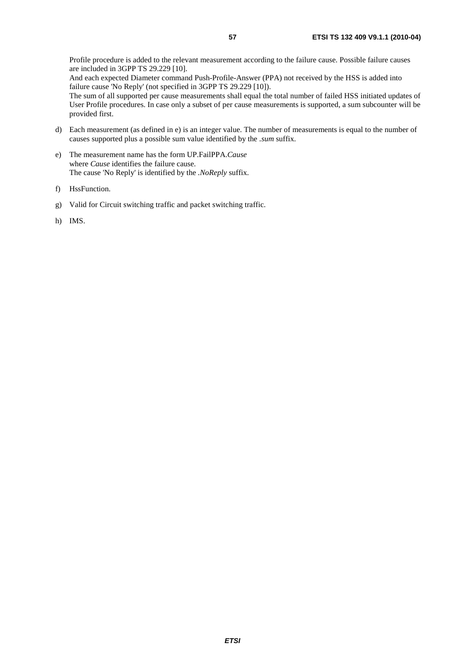Profile procedure is added to the relevant measurement according to the failure cause. Possible failure causes are included in 3GPP TS 29.229 [10].

And each expected Diameter command Push-Profile-Answer (PPA) not received by the HSS is added into failure cause 'No Reply' (not specified in 3GPP TS 29.229 [10]).

The sum of all supported per cause measurements shall equal the total number of failed HSS initiated updates of User Profile procedures. In case only a subset of per cause measurements is supported, a sum subcounter will be provided first.

- d) Each measurement (as defined in e) is an integer value. The number of measurements is equal to the number of causes supported plus a possible sum value identified by the *.sum* suffix.
- e) The measurement name has the form UP.FailPPA.*Cause* where *Cause* identifies the failure cause. The cause 'No Reply' is identified by the *.NoReply* suffix.
- f) HssFunction.
- g) Valid for Circuit switching traffic and packet switching traffic.
- h) IMS.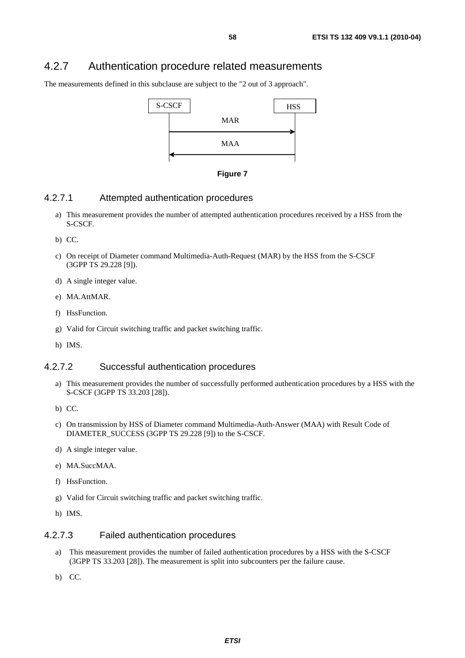# 4.2.7 Authentication procedure related measurements

The measurements defined in this subclause are subject to the "2 out of 3 approach".





### 4.2.7.1 Attempted authentication procedures

- a) This measurement provides the number of attempted authentication procedures received by a HSS from the S-CSCF.
- b) CC.
- c) On receipt of Diameter command Multimedia-Auth-Request (MAR) by the HSS from the S-CSCF (3GPP TS 29.228 [9]).
- d) A single integer value.
- e) MA.AttMAR.
- f) HssFunction.
- g) Valid for Circuit switching traffic and packet switching traffic.
- h) IMS.

## 4.2.7.2 Successful authentication procedures

- a) This measurement provides the number of successfully performed authentication procedures by a HSS with the S-CSCF (3GPP TS 33.203 [28]).
- b) CC.
- c) On transmission by HSS of Diameter command Multimedia-Auth-Answer (MAA) with Result Code of DIAMETER\_SUCCESS (3GPP TS 29.228 [9]) to the S-CSCF.
- d) A single integer value.
- e) MA.SuccMAA.
- f) HssFunction.
- g) Valid for Circuit switching traffic and packet switching traffic.
- h) IMS.

#### 4.2.7.3 Failed authentication procedures

- a) This measurement provides the number of failed authentication procedures by a HSS with the S-CSCF (3GPP TS 33.203 [28]). The measurement is split into subcounters per the failure cause.
- b) CC.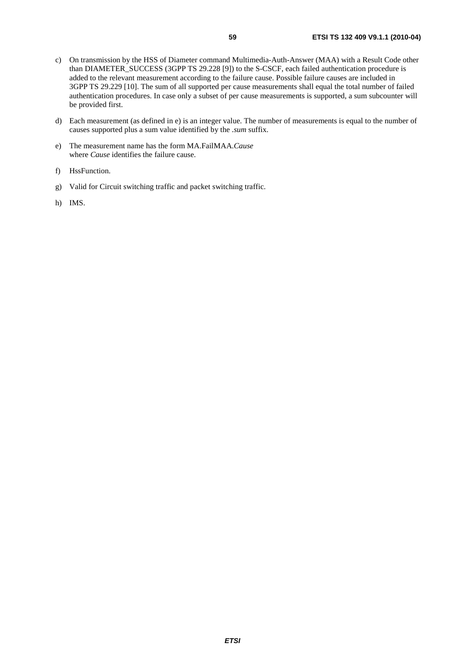- c) On transmission by the HSS of Diameter command Multimedia-Auth-Answer (MAA) with a Result Code other than DIAMETER\_SUCCESS (3GPP TS 29.228 [9]) to the S-CSCF, each failed authentication procedure is added to the relevant measurement according to the failure cause. Possible failure causes are included in 3GPP TS 29.229 [10]. The sum of all supported per cause measurements shall equal the total number of failed authentication procedures. In case only a subset of per cause measurements is supported, a sum subcounter will be provided first.
- d) Each measurement (as defined in e) is an integer value. The number of measurements is equal to the number of causes supported plus a sum value identified by the *.sum* suffix.
- e) The measurement name has the form MA.FailMAA.*Cause* where *Cause* identifies the failure cause.
- f) HssFunction.
- g) Valid for Circuit switching traffic and packet switching traffic.
- h) IMS.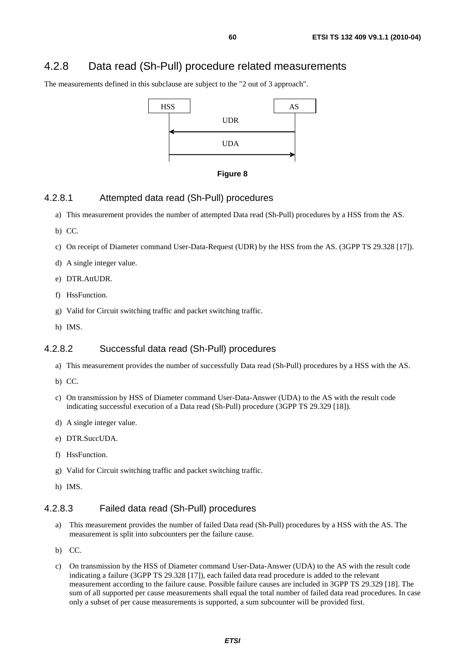# 4.2.8 Data read (Sh-Pull) procedure related measurements

The measurements defined in this subclause are subject to the "2 out of 3 approach".





#### 4.2.8.1 Attempted data read (Sh-Pull) procedures

- a) This measurement provides the number of attempted Data read (Sh-Pull) procedures by a HSS from the AS.
- b) CC.
- c) On receipt of Diameter command User-Data-Request (UDR) by the HSS from the AS. (3GPP TS 29.328 [17]).
- d) A single integer value.
- e) DTR.AttUDR.
- f) HssFunction.
- g) Valid for Circuit switching traffic and packet switching traffic.
- h) IMS.

#### 4.2.8.2 Successful data read (Sh-Pull) procedures

- a) This measurement provides the number of successfully Data read (Sh-Pull) procedures by a HSS with the AS.
- b) CC.
- c) On transmission by HSS of Diameter command User-Data-Answer (UDA) to the AS with the result code indicating successful execution of a Data read (Sh-Pull) procedure (3GPP TS 29.329 [18]).
- d) A single integer value.
- e) DTR.SuccUDA.
- f) HssFunction.
- g) Valid for Circuit switching traffic and packet switching traffic.
- h) IMS.

## 4.2.8.3 Failed data read (Sh-Pull) procedures

- a) This measurement provides the number of failed Data read (Sh-Pull) procedures by a HSS with the AS. The measurement is split into subcounters per the failure cause.
- b) CC.
- c) On transmission by the HSS of Diameter command User-Data-Answer (UDA) to the AS with the result code indicating a failure (3GPP TS 29.328 [17]), each failed data read procedure is added to the relevant measurement according to the failure cause. Possible failure causes are included in 3GPP TS 29.329 [18]. The sum of all supported per cause measurements shall equal the total number of failed data read procedures. In case only a subset of per cause measurements is supported, a sum subcounter will be provided first.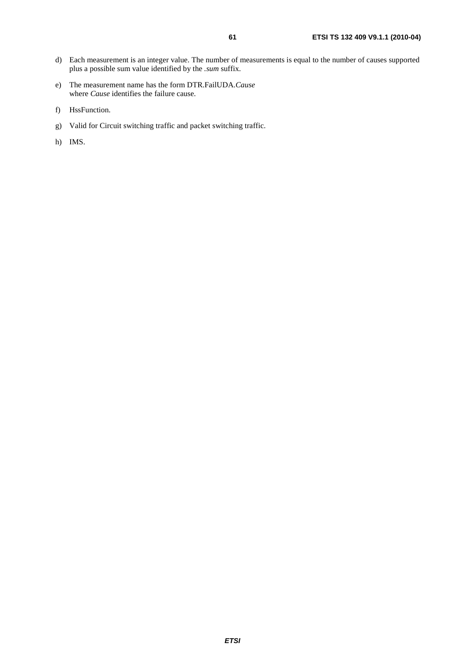- d) Each measurement is an integer value. The number of measurements is equal to the number of causes supported plus a possible sum value identified by the *.sum* suffix.
- e) The measurement name has the form DTR.FailUDA.*Cause* where *Cause* identifies the failure cause.
- f) HssFunction.
- g) Valid for Circuit switching traffic and packet switching traffic.
- h) IMS.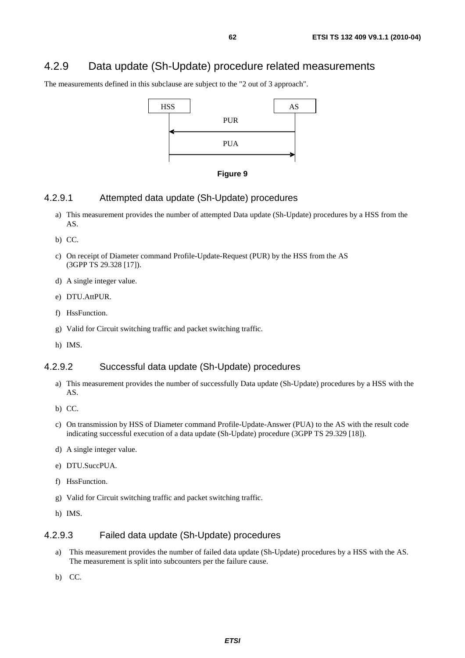# 4.2.9 Data update (Sh-Update) procedure related measurements

The measurements defined in this subclause are subject to the "2 out of 3 approach".





### 4.2.9.1 Attempted data update (Sh-Update) procedures

- a) This measurement provides the number of attempted Data update (Sh-Update) procedures by a HSS from the AS.
- b) CC.
- c) On receipt of Diameter command Profile-Update-Request (PUR) by the HSS from the AS (3GPP TS 29.328 [17]).
- d) A single integer value.
- e) DTU.AttPUR.
- f) HssFunction.
- g) Valid for Circuit switching traffic and packet switching traffic.
- h) IMS.

## 4.2.9.2 Successful data update (Sh-Update) procedures

- a) This measurement provides the number of successfully Data update (Sh-Update) procedures by a HSS with the AS.
- b) CC.
- c) On transmission by HSS of Diameter command Profile-Update-Answer (PUA) to the AS with the result code indicating successful execution of a data update (Sh-Update) procedure (3GPP TS 29.329 [18]).
- d) A single integer value.
- e) DTU.SuccPUA.
- f) HssFunction.
- g) Valid for Circuit switching traffic and packet switching traffic.
- h) IMS.

#### 4.2.9.3 Failed data update (Sh-Update) procedures

- a) This measurement provides the number of failed data update (Sh-Update) procedures by a HSS with the AS. The measurement is split into subcounters per the failure cause.
- b) CC.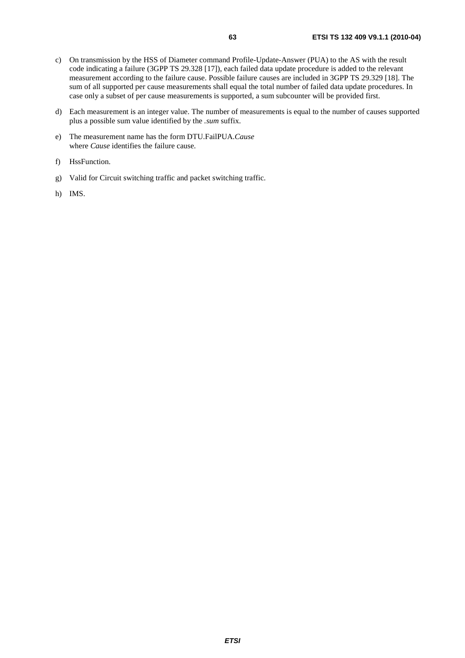- c) On transmission by the HSS of Diameter command Profile-Update-Answer (PUA) to the AS with the result code indicating a failure (3GPP TS 29.328 [17]), each failed data update procedure is added to the relevant measurement according to the failure cause. Possible failure causes are included in 3GPP TS 29.329 [18]. The sum of all supported per cause measurements shall equal the total number of failed data update procedures. In case only a subset of per cause measurements is supported, a sum subcounter will be provided first.
- d) Each measurement is an integer value. The number of measurements is equal to the number of causes supported plus a possible sum value identified by the *.sum* suffix.
- e) The measurement name has the form DTU.FailPUA.*Cause* where *Cause* identifies the failure cause.
- f) HssFunction.
- g) Valid for Circuit switching traffic and packet switching traffic.
- h) IMS.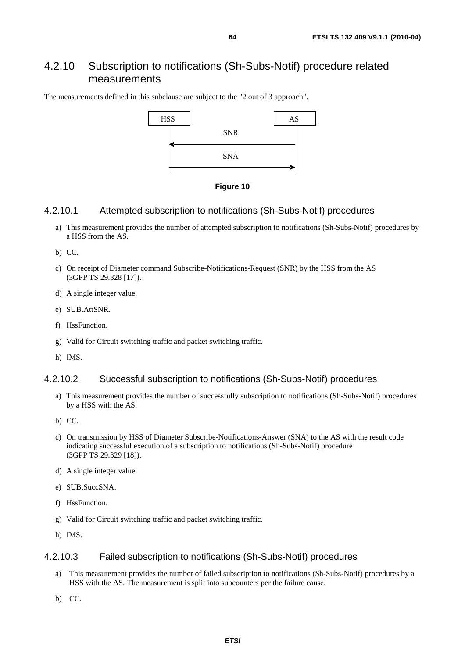# 4.2.10 Subscription to notifications (Sh-Subs-Notif) procedure related measurements

The measurements defined in this subclause are subject to the "2 out of 3 approach".



**Figure 10** 

### 4.2.10.1 Attempted subscription to notifications (Sh-Subs-Notif) procedures

- a) This measurement provides the number of attempted subscription to notifications (Sh-Subs-Notif) procedures by a HSS from the AS.
- b) CC.
- c) On receipt of Diameter command Subscribe-Notifications-Request (SNR) by the HSS from the AS (3GPP TS 29.328 [17]).
- d) A single integer value.
- e) SUB.AttSNR.
- f) HssFunction.
- g) Valid for Circuit switching traffic and packet switching traffic.
- h) IMS.

### 4.2.10.2 Successful subscription to notifications (Sh-Subs-Notif) procedures

- a) This measurement provides the number of successfully subscription to notifications (Sh-Subs-Notif) procedures by a HSS with the AS.
- b) CC.
- c) On transmission by HSS of Diameter Subscribe-Notifications-Answer (SNA) to the AS with the result code indicating successful execution of a subscription to notifications (Sh-Subs-Notif) procedure (3GPP TS 29.329 [18]).
- d) A single integer value.
- e) SUB.SuccSNA.
- f) HssFunction.
- g) Valid for Circuit switching traffic and packet switching traffic.
- h) IMS.

### 4.2.10.3 Failed subscription to notifications (Sh-Subs-Notif) procedures

- a) This measurement provides the number of failed subscription to notifications (Sh-Subs-Notif) procedures by a HSS with the AS. The measurement is split into subcounters per the failure cause.
- b) CC.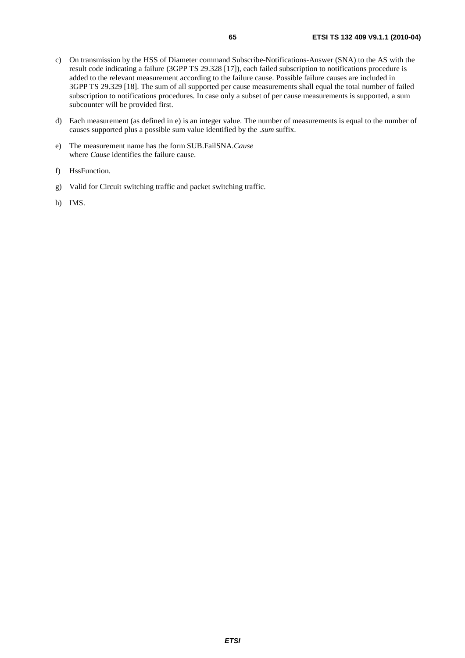- c) On transmission by the HSS of Diameter command Subscribe-Notifications-Answer (SNA) to the AS with the result code indicating a failure (3GPP TS 29.328 [17]), each failed subscription to notifications procedure is added to the relevant measurement according to the failure cause. Possible failure causes are included in 3GPP TS 29.329 [18]. The sum of all supported per cause measurements shall equal the total number of failed subscription to notifications procedures. In case only a subset of per cause measurements is supported, a sum subcounter will be provided first.
- d) Each measurement (as defined in e) is an integer value. The number of measurements is equal to the number of causes supported plus a possible sum value identified by the *.sum* suffix.
- e) The measurement name has the form SUB.FailSNA.*Cause* where *Cause* identifies the failure cause.
- f) HssFunction.
- g) Valid for Circuit switching traffic and packet switching traffic.
- h) IMS.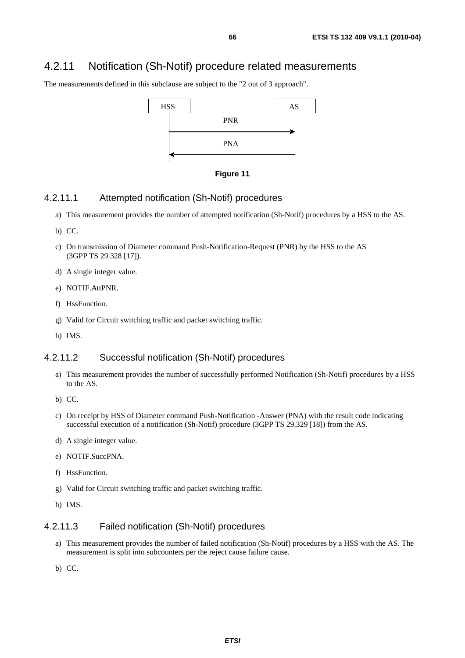# 4.2.11 Notification (Sh-Notif) procedure related measurements

The measurements defined in this subclause are subject to the "2 out of 3 approach".



**Figure 11** 

### 4.2.11.1 Attempted notification (Sh-Notif) procedures

- a) This measurement provides the number of attempted notification (Sh-Notif) procedures by a HSS to the AS.
- b) CC.
- c) On transmission of Diameter command Push-Notification-Request (PNR) by the HSS to the AS (3GPP TS 29.328 [17]).
- d) A single integer value.
- e) NOTIF.AttPNR.
- f) HssFunction.
- g) Valid for Circuit switching traffic and packet switching traffic.
- h) IMS.

## 4.2.11.2 Successful notification (Sh-Notif) procedures

- a) This measurement provides the number of successfully performed Notification (Sh-Notif) procedures by a HSS to the AS.
- b) CC.
- c) On receipt by HSS of Diameter command Push-Notification -Answer (PNA) with the result code indicating successful execution of a notification (Sh-Notif) procedure (3GPP TS 29.329 [18]) from the AS.
- d) A single integer value.
- e) NOTIF.SuccPNA.
- f) HssFunction.
- g) Valid for Circuit switching traffic and packet switching traffic.
- h) IMS.

## 4.2.11.3 Failed notification (Sh-Notif) procedures

- a) This measurement provides the number of failed notification (Sh-Notif) procedures by a HSS with the AS. The measurement is split into subcounters per the reject cause failure cause.
- b) CC.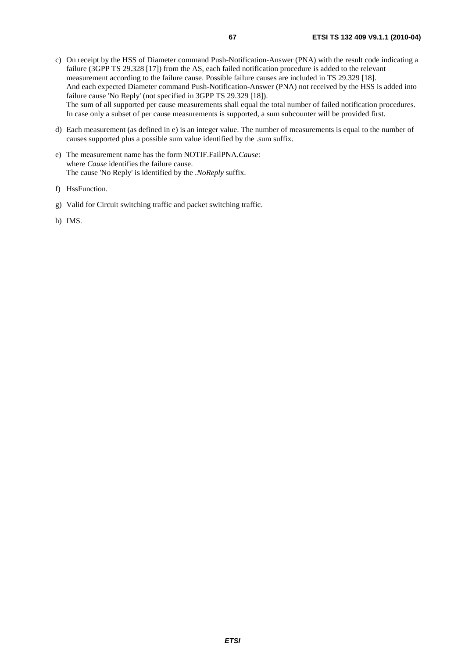- d) Each measurement (as defined in e) is an integer value. The number of measurements is equal to the number of causes supported plus a possible sum value identified by the .sum suffix.
- e) The measurement name has the form NOTIF.FailPNA.*Cause*: where *Cause* identifies the failure cause. The cause 'No Reply' is identified by the *.NoReply* suffix.
- f) HssFunction.
- g) Valid for Circuit switching traffic and packet switching traffic.
- h) IMS.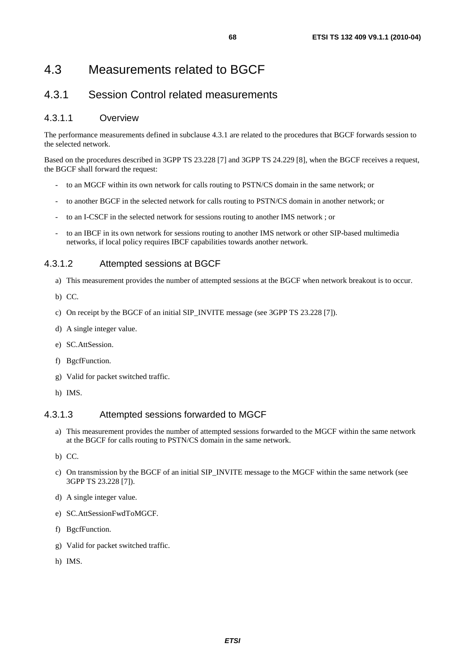# 4.3.1 Session Control related measurements

## 4.3.1.1 Overview

The performance measurements defined in subclause 4.3.1 are related to the procedures that BGCF forwards session to the selected network.

Based on the procedures described in 3GPP TS 23.228 [7] and 3GPP TS 24.229 [8], when the BGCF receives a request, the BGCF shall forward the request:

- to an MGCF within its own network for calls routing to PSTN/CS domain in the same network; or
- to another BGCF in the selected network for calls routing to PSTN/CS domain in another network; or
- to an I-CSCF in the selected network for sessions routing to another IMS network ; or
- to an IBCF in its own network for sessions routing to another IMS network or other SIP-based multimedia networks, if local policy requires IBCF capabilities towards another network.

## 4.3.1.2 Attempted sessions at BGCF

- a) This measurement provides the number of attempted sessions at the BGCF when network breakout is to occur.
- b) CC.
- c) On receipt by the BGCF of an initial SIP\_INVITE message (see 3GPP TS 23.228 [7]).
- d) A single integer value.
- e) SC.AttSession.
- f) BgcfFunction.
- g) Valid for packet switched traffic.
- h) IMS.

### 4.3.1.3 Attempted sessions forwarded to MGCF

- a) This measurement provides the number of attempted sessions forwarded to the MGCF within the same network at the BGCF for calls routing to PSTN/CS domain in the same network.
- b) CC.
- c) On transmission by the BGCF of an initial SIP\_INVITE message to the MGCF within the same network (see 3GPP TS 23.228 [7]).
- d) A single integer value.
- e) SC.AttSessionFwdToMGCF.
- f) BgcfFunction.
- g) Valid for packet switched traffic.
- h) IMS.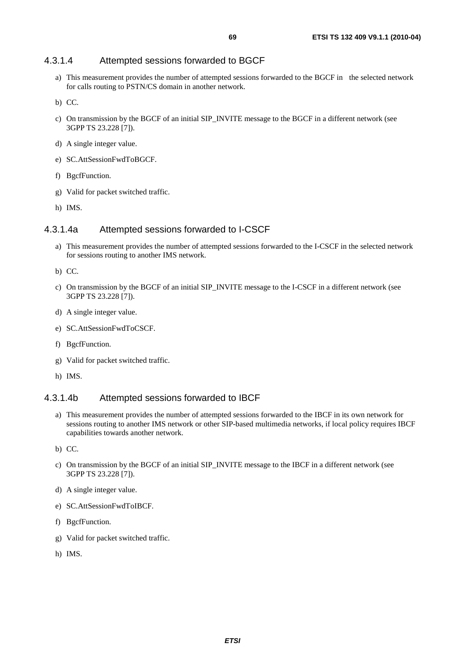## 4.3.1.4 Attempted sessions forwarded to BGCF

a) This measurement provides the number of attempted sessions forwarded to the BGCF in the selected network for calls routing to PSTN/CS domain in another network.

b) CC.

- c) On transmission by the BGCF of an initial SIP\_INVITE message to the BGCF in a different network (see 3GPP TS 23.228 [7]).
- d) A single integer value.
- e) SC.AttSessionFwdToBGCF.
- f) BgcfFunction.
- g) Valid for packet switched traffic.
- h) IMS.

## 4.3.1.4a Attempted sessions forwarded to I-CSCF

a) This measurement provides the number of attempted sessions forwarded to the I-CSCF in the selected network for sessions routing to another IMS network.

b) CC.

- c) On transmission by the BGCF of an initial SIP\_INVITE message to the I-CSCF in a different network (see 3GPP TS 23.228 [7]).
- d) A single integer value.
- e) SC.AttSessionFwdToCSCF.
- f) BgcfFunction.
- g) Valid for packet switched traffic.
- h) IMS.

#### 4.3.1.4b Attempted sessions forwarded to IBCF

a) This measurement provides the number of attempted sessions forwarded to the IBCF in its own network for sessions routing to another IMS network or other SIP-based multimedia networks, if local policy requires IBCF capabilities towards another network.

b) CC.

- c) On transmission by the BGCF of an initial SIP\_INVITE message to the IBCF in a different network (see 3GPP TS 23.228 [7]).
- d) A single integer value.
- e) SC.AttSessionFwdToIBCF.
- f) BgcfFunction.
- g) Valid for packet switched traffic.
- h) IMS.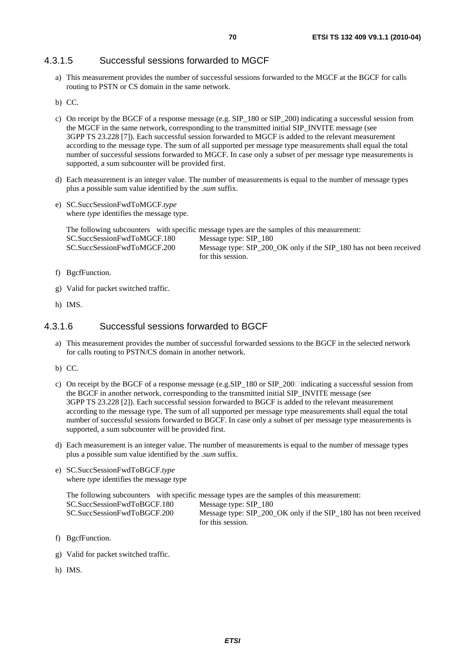## 4.3.1.5 Successful sessions forwarded to MGCF

- a) This measurement provides the number of successful sessions forwarded to the MGCF at the BGCF for calls routing to PSTN or CS domain in the same network.
- b) CC.
- c) On receipt by the BGCF of a response message (e.g. SIP\_180 or SIP\_200) indicating a successful session from the MGCF in the same network, corresponding to the transmitted initial SIP\_INVITE message (see 3GPP TS 23.228 [7]). Each successful session forwarded to MGCF is added to the relevant measurement according to the message type. The sum of all supported per message type measurements shall equal the total number of successful sessions forwarded to MGCF. In case only a subset of per message type measurements is supported, a sum subcounter will be provided first.
- d) Each measurement is an integer value. The number of measurements is equal to the number of message types plus a possible sum value identified by the .*sum* suffix.
- e) SC.SuccSessionFwdToMGCF.*type*  where *type* identifies the message type.

The following subcounters with specific message types are the samples of this measurement: SC.SuccSessionFwdToMGCF.180 Message type: SIP\_180 SC.SuccSessionFwdToMGCF.200 Message type: SIP\_200\_OK only if the SIP\_180 has not been received for this session.

- f) BgcfFunction.
- g) Valid for packet switched traffic.
- h) IMS.

### 4.3.1.6 Successful sessions forwarded to BGCF

- a) This measurement provides the number of successful forwarded sessions to the BGCF in the selected network for calls routing to PSTN/CS domain in another network.
- b) CC.
- c) On receipt by the BGCF of a response message (e.g. SIP\_180 or SIP\_200<sup>c</sup> indicating a successful session from the BGCF in another network, corresponding to the transmitted initial SIP\_INVITE message (see 3GPP TS 23.228 [2]). Each successful session forwarded to BGCF is added to the relevant measurement according to the message type. The sum of all supported per message type measurements shall equal the total number of successful sessions forwarded to BGCF. In case only a subset of per message type measurements is supported, a sum subcounter will be provided first.
- d) Each measurement is an integer value. The number of measurements is equal to the number of message types plus a possible sum value identified by the .*sum* suffix.
- e) SC.SuccSessionFwdToBGCF.*type*  where *type* identifies the message type

The following subcounters with specific message types are the samples of this measurement: SC.SuccSessionFwdToBGCF.180 Message type: SIP\_180 SC.SuccSessionFwdToBGCF.200 Message type: SIP\_200\_OK only if the SIP\_180 has not been received for this session.

- f) BgcfFunction.
- g) Valid for packet switched traffic.
- h) IMS.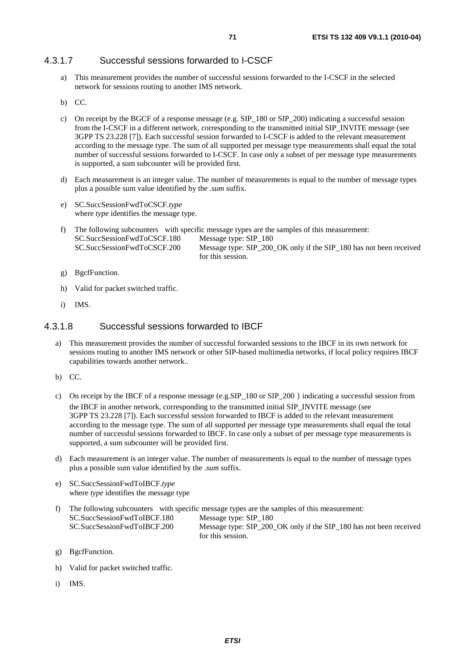## 4.3.1.7 Successful sessions forwarded to I-CSCF

- a) This measurement provides the number of successful sessions forwarded to the I-CSCF in the selected network for sessions routing to another IMS network.
- b) CC.
- c) On receipt by the BGCF of a response message (e.g. SIP\_180 or SIP\_200) indicating a successful session from the I-CSCF in a different network, corresponding to the transmitted initial SIP\_INVITE message (see 3GPP TS 23.228 [7]). Each successful session forwarded to I-CSCF is added to the relevant measurement according to the message type. The sum of all supported per message type measurements shall equal the total number of successful sessions forwarded to I-CSCF. In case only a subset of per message type measurements is supported, a sum subcounter will be provided first.
- d) Each measurement is an integer value. The number of measurements is equal to the number of message types plus a possible sum value identified by the .*sum* suffix.
- e) SC.SuccSessionFwdToCSCF.*type*  where *type* identifies the message type.
- f) The following subcounters with specific message types are the samples of this measurement: SC.SuccSessionFwdToCSCF.180 Message type: SIP\_180 SC.SuccSessionFwdToCSCF.200 Message type: SIP\_200\_OK only if the SIP\_180 has not been received for this session.
- g) BgcfFunction.
- h) Valid for packet switched traffic.
- i) IMS.

## 4.3.1.8 Successful sessions forwarded to IBCF

- a) This measurement provides the number of successful forwarded sessions to the IBCF in its own network for sessions routing to another IMS network or other SIP-based multimedia networks, if local policy requires IBCF capabilities towards another network..
- b) CC.
- c) On receipt by the IBCF of a response message (e.g.SIP 180 or SIP 200) indicating a successful session from the IBCF in another network, corresponding to the transmitted initial SIP\_INVITE message (see 3GPP TS 23.228 [7]). Each successful session forwarded to IBCF is added to the relevant measurement according to the message type. The sum of all supported per message type measurements shall equal the total number of successful sessions forwarded to IBCF. In case only a subset of per message type measurements is supported, a sum subcounter will be provided first.
- d) Each measurement is an integer value. The number of measurements is equal to the number of message types plus a possible sum value identified by the .*sum* suffix.
- e) SC.SuccSessionFwdToIBCF.*type*  where *type* identifies the message type
- f) The following subcounters with specific message types are the samples of this measurement: SC.SuccSessionFwdToIBCF.180 Message type: SIP\_180<br>SC.SuccSessionFwdToIBCF.200 Message type: SIP\_200 Message type: SIP\_200\_OK only if the SIP\_180 has not been received for this session.
- g) BgcfFunction.
- h) Valid for packet switched traffic.
- i) IMS.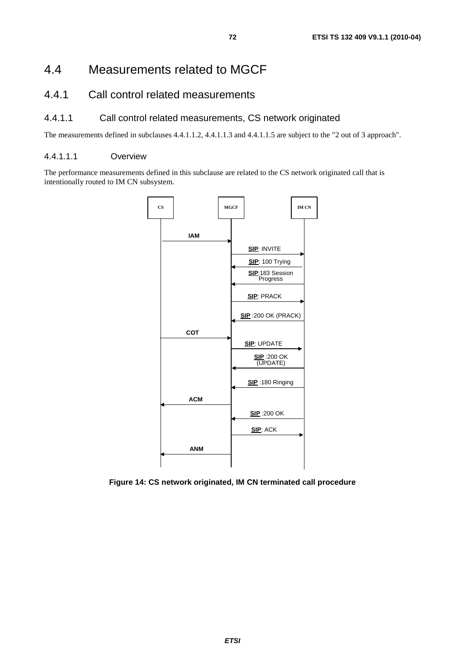# 4.4 Measurements related to MGCF

# 4.4.1 Call control related measurements

## 4.4.1.1 Call control related measurements, CS network originated

The measurements defined in subclauses 4.4.1.1.2, 4.4.1.1.3 and 4.4.1.1.5 are subject to the "2 out of 3 approach".

### 4.4.1.1.1 Overview

The performance measurements defined in this subclause are related to the CS network originated call that is intentionally routed to IM CN subsystem.



**Figure 14: CS network originated, IM CN terminated call procedure**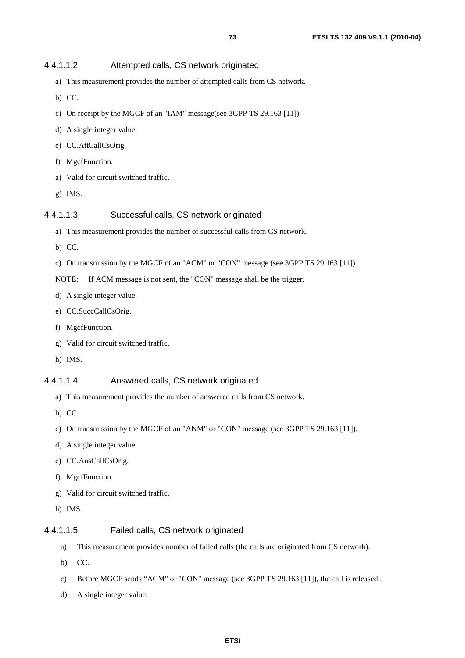#### 4.4.1.1.2 Attempted calls, CS network originated

- a) This measurement provides the number of attempted calls from CS network.
- b) CC.
- c) On receipt by the MGCF of an "IAM" message(see 3GPP TS 29.163 [11]).
- d) A single integer value.
- e) CC.AttCallCsOrig.
- f) MgcfFunction.
- a) Valid for circuit switched traffic.
- g) IMS.

#### 4.4.1.1.3 Successful calls, CS network originated

- a) This measurement provides the number of successful calls from CS network.
- b) CC.
- c) On transmission by the MGCF of an "ACM" or "CON" message (see 3GPP TS 29.163 [11]).

NOTE: If ACM message is not sent, the "CON" message shall be the trigger.

- d) A single integer value.
- e) CC.SuccCallCsOrig.
- f) MgcfFunction.
- g) Valid for circuit switched traffic.
- h) IMS.

#### 4.4.1.1.4 Answered calls, CS network originated

- a) This measurement provides the number of answered calls from CS network.
- b) CC.
- c) On transmission by the MGCF of an "ANM" or "CON" message (see 3GPP TS 29.163 [11]).
- d) A single integer value.
- e) CC.AnsCallCsOrig.
- f) MgcfFunction.
- g) Valid for circuit switched traffic.
- h) IMS.

### 4.4.1.1.5 Failed calls, CS network originated

- a) This measurement provides number of failed calls (the calls are originated from CS network).
- b) CC.
- c) Before MGCF sends "ACM" or "CON" message (see 3GPP TS 29.163 [11]), the call is released..
- d) A single integer value.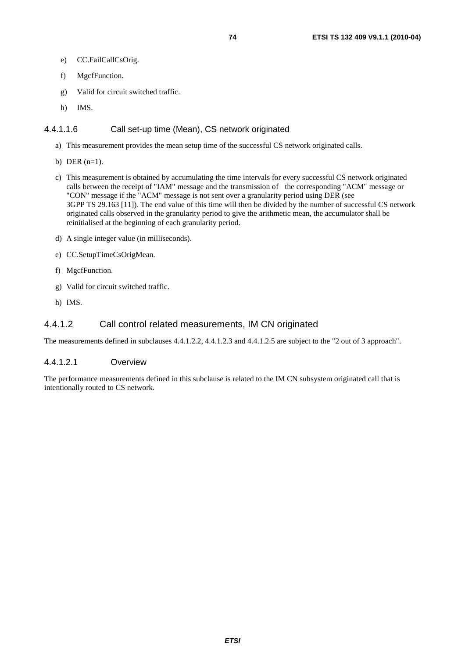- e) CC.FailCallCsOrig.
- f) MgcfFunction.
- g) Valid for circuit switched traffic.
- h) IMS.

#### 4.4.1.1.6 Call set-up time (Mean), CS network originated

- a) This measurement provides the mean setup time of the successful CS network originated calls.
- b) DER (n=1).
- c) This measurement is obtained by accumulating the time intervals for every successful CS network originated calls between the receipt of "IAM" message and the transmission of the corresponding "ACM" message or "CON" message if the "ACM" message is not sent over a granularity period using DER (see 3GPP TS 29.163 [11]). The end value of this time will then be divided by the number of successful CS network originated calls observed in the granularity period to give the arithmetic mean, the accumulator shall be reinitialised at the beginning of each granularity period.
- d) A single integer value (in milliseconds).
- e) CC.SetupTimeCsOrigMean.
- f) MgcfFunction.
- g) Valid for circuit switched traffic.
- h) IMS.

## 4.4.1.2 Call control related measurements, IM CN originated

The measurements defined in subclauses 4.4.1.2.2, 4.4.1.2.3 and 4.4.1.2.5 are subject to the "2 out of 3 approach".

#### 4.4.1.2.1 Overview

The performance measurements defined in this subclause is related to the IM CN subsystem originated call that is intentionally routed to CS network.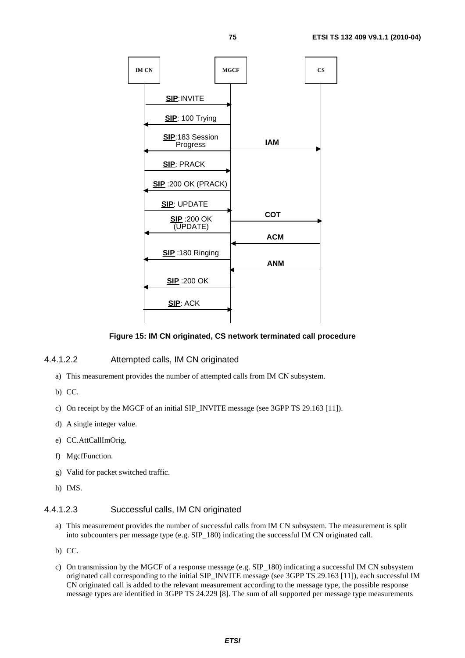

#### **Figure 15: IM CN originated, CS network terminated call procedure**

## 4.4.1.2.2 Attempted calls, IM CN originated

- a) This measurement provides the number of attempted calls from IM CN subsystem.
- b) CC.
- c) On receipt by the MGCF of an initial SIP\_INVITE message (see 3GPP TS 29.163 [11]).
- d) A single integer value.
- e) CC.AttCallImOrig.
- f) MgcfFunction.
- g) Valid for packet switched traffic.
- h) IMS.

### 4.4.1.2.3 Successful calls, IM CN originated

- a) This measurement provides the number of successful calls from IM CN subsystem. The measurement is split into subcounters per message type (e.g. SIP\_180) indicating the successful IM CN originated call.
- b) CC.
- c) On transmission by the MGCF of a response message (e.g. SIP\_180) indicating a successful IM CN subsystem originated call corresponding to the initial SIP\_INVITE message (see 3GPP TS 29.163 [11]), each successful IM CN originated call is added to the relevant measurement according to the message type, the possible response message types are identified in 3GPP TS 24.229 [8]. The sum of all supported per message type measurements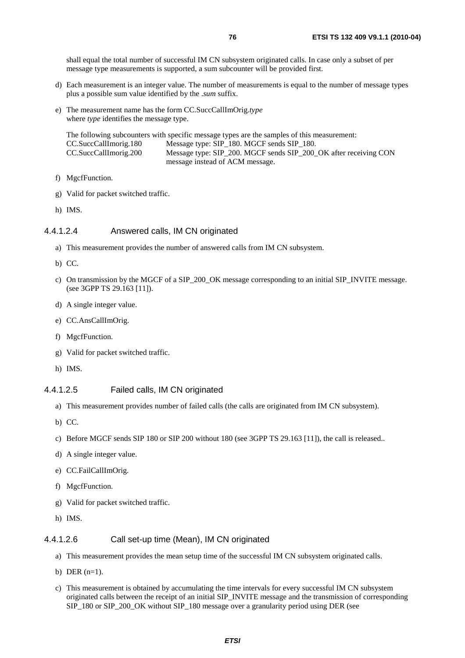shall equal the total number of successful IM CN subsystem originated calls. In case only a subset of per message type measurements is supported, a sum subcounter will be provided first.

- d) Each measurement is an integer value. The number of measurements is equal to the number of message types plus a possible sum value identified by the .*sum* suffix.
- e) The measurement name has the form CC.SuccCallImOrig.*type*  where *type* identifies the message type.

The following subcounters with specific message types are the samples of this measurement: CC.SuccCallImorig.180 Message type: SIP\_180. MGCF sends SIP\_180. CC.SuccCallImorig.200 Message type: SIP\_200. MGCF sends SIP\_200\_OK after receiving CON message instead of ACM message.

- f) MgcfFunction.
- g) Valid for packet switched traffic.
- h) IMS.

#### 4.4.1.2.4 Answered calls, IM CN originated

- a) This measurement provides the number of answered calls from IM CN subsystem.
- b) CC.
- c) On transmission by the MGCF of a SIP\_200\_OK message corresponding to an initial SIP\_INVITE message. (see 3GPP TS 29.163 [11]).
- d) A single integer value.
- e) CC.AnsCallImOrig.
- f) MgcfFunction.
- g) Valid for packet switched traffic.
- h) IMS.

#### 4.4.1.2.5 Failed calls, IM CN originated

- a) This measurement provides number of failed calls (the calls are originated from IM CN subsystem).
- b) CC.
- c) Before MGCF sends SIP 180 or SIP 200 without 180 (see 3GPP TS 29.163 [11]), the call is released..
- d) A single integer value.
- e) CC.FailCallImOrig.
- f) MgcfFunction.
- g) Valid for packet switched traffic.
- h) IMS.

#### 4.4.1.2.6 Call set-up time (Mean), IM CN originated

- a) This measurement provides the mean setup time of the successful IM CN subsystem originated calls.
- b) DER  $(n=1)$ .
- c) This measurement is obtained by accumulating the time intervals for every successful IM CN subsystem originated calls between the receipt of an initial SIP\_INVITE message and the transmission of corresponding SIP\_180 or SIP\_200\_OK without SIP\_180 message over a granularity period using DER (see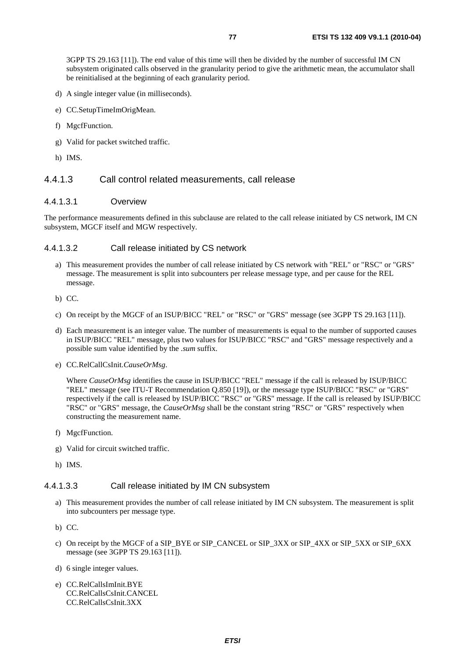3GPP TS 29.163 [11]). The end value of this time will then be divided by the number of successful IM CN subsystem originated calls observed in the granularity period to give the arithmetic mean, the accumulator shall be reinitialised at the beginning of each granularity period.

- d) A single integer value (in milliseconds).
- e) CC.SetupTimeImOrigMean.
- f) MgcfFunction.
- g) Valid for packet switched traffic.
- h) IMS.

### 4.4.1.3 Call control related measurements, call release

#### 4.4.1.3.1 Overview

The performance measurements defined in this subclause are related to the call release initiated by CS network, IM CN subsystem, MGCF itself and MGW respectively.

#### 4.4.1.3.2 Call release initiated by CS network

- a) This measurement provides the number of call release initiated by CS network with "REL" or "RSC" or "GRS" message. The measurement is split into subcounters per release message type, and per cause for the REL message.
- b) CC.
- c) On receipt by the MGCF of an ISUP/BICC "REL" or "RSC" or "GRS" message (see 3GPP TS 29.163 [11]).
- d) Each measurement is an integer value. The number of measurements is equal to the number of supported causes in ISUP/BICC "REL" message, plus two values for ISUP/BICC "RSC" and "GRS" message respectively and a possible sum value identified by the .*sum* suffix.
- e) CC.RelCallCsInit.*CauseOrMsg*.

Where *CauseOrMsg* identifies the cause in ISUP/BICC "REL" message if the call is released by ISUP/BICC "REL" message (see ITU-T Recommendation Q.850 [19]), or the message type ISUP/BICC "RSC" or "GRS" respectively if the call is released by ISUP/BICC "RSC" or "GRS" message. If the call is released by ISUP/BICC "RSC" or "GRS" message, the *CauseOrMsg* shall be the constant string "RSC" or "GRS" respectively when constructing the measurement name.

- f) MgcfFunction.
- g) Valid for circuit switched traffic.
- h) IMS.

### 4.4.1.3.3 Call release initiated by IM CN subsystem

- a) This measurement provides the number of call release initiated by IM CN subsystem. The measurement is split into subcounters per message type.
- b) CC.
- c) On receipt by the MGCF of a SIP\_BYE or SIP\_CANCEL or SIP\_3XX or SIP\_4XX or SIP\_5XX or SIP\_6XX message (see 3GPP TS 29.163 [11]).
- d) 6 single integer values.
- e) CC.RelCallsImInit.BYE CC.RelCallsCsInit.CANCEL CC.RelCallsCsInit.3XX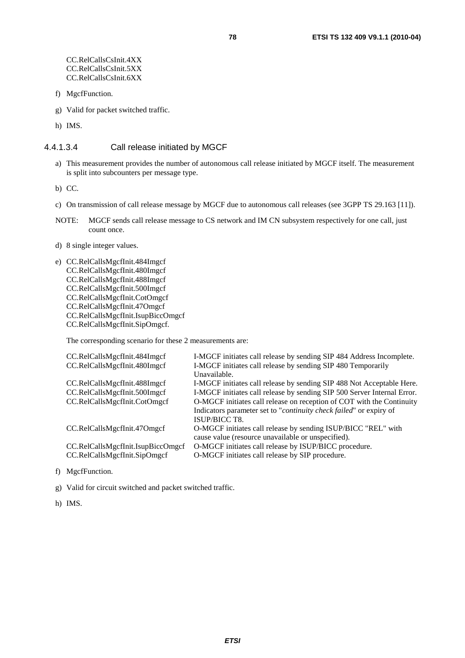- f) MgcfFunction.
- g) Valid for packet switched traffic.

h) IMS.

#### 4.4.1.3.4 Call release initiated by MGCF

a) This measurement provides the number of autonomous call release initiated by MGCF itself. The measurement is split into subcounters per message type.

b) CC.

- c) On transmission of call release message by MGCF due to autonomous call releases (see 3GPP TS 29.163 [11]).
- NOTE: MGCF sends call release message to CS network and IM CN subsystem respectively for one call, just count once.
- d) 8 single integer values.
- e) CC.RelCallsMgcfInit.484Imgcf CC.RelCallsMgcfInit.480Imgcf CC.RelCallsMgcfInit.488Imgcf CC.RelCallsMgcfInit.500Imgcf CC.RelCallsMgcfInit.CotOmgcf CC.RelCallsMgcfInit.47Omgcf CC.RelCallsMgcfInit.IsupBiccOmgcf CC.RelCallsMgcfInit.SipOmgcf.

The corresponding scenario for these 2 measurements are:

| I-MGCF initiates call release by sending SIP 484 Address Incomplete.        |
|-----------------------------------------------------------------------------|
| I-MGCF initiates call release by sending SIP 480 Temporarily                |
| Unavailable.                                                                |
| I-MGCF initiates call release by sending SIP 488 Not Acceptable Here.       |
| I-MGCF initiates call release by sending SIP 500 Server Internal Error.     |
| O-MGCF initiates call release on reception of COT with the Continuity       |
| Indicators parameter set to " <i>continuity check failed</i> " or expiry of |
| ISUP/BICC T8.                                                               |
| O-MGCF initiates call release by sending ISUP/BICC "REL" with               |
| cause value (resource unavailable or unspecified).                          |
| O-MGCF initiates call release by ISUP/BICC procedure.                       |
| O-MGCF initiates call release by SIP procedure.                             |
|                                                                             |

f) MgcfFunction.

g) Valid for circuit switched and packet switched traffic.

h) IMS.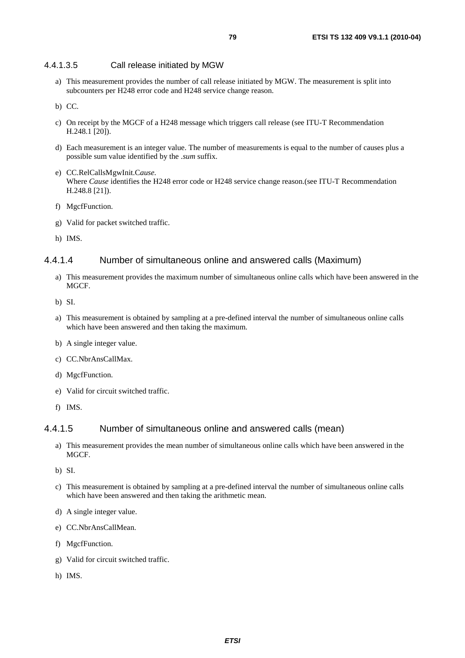#### 4.4.1.3.5 Call release initiated by MGW

a) This measurement provides the number of call release initiated by MGW. The measurement is split into subcounters per H248 error code and H248 service change reason.

b) CC.

- c) On receipt by the MGCF of a H248 message which triggers call release (see ITU-T Recommendation H.248.1 [20]).
- d) Each measurement is an integer value. The number of measurements is equal to the number of causes plus a possible sum value identified by the .*sum* suffix.
- e) CC.RelCallsMgwInit.C*ause.*  Where *Cause* identifies the H248 error code or H248 service change reason.(see ITU-T Recommendation H.248.8 [21]).
- f) MgcfFunction.
- g) Valid for packet switched traffic.
- h) IMS.

### 4.4.1.4 Number of simultaneous online and answered calls (Maximum)

- a) This measurement provides the maximum number of simultaneous online calls which have been answered in the MGCF.
- b) SI.
- a) This measurement is obtained by sampling at a pre-defined interval the number of simultaneous online calls which have been answered and then taking the maximum.
- b) A single integer value.
- c) CC.NbrAnsCallMax.
- d) MgcfFunction.
- e) Valid for circuit switched traffic.
- f) IMS.

#### 4.4.1.5 Number of simultaneous online and answered calls (mean)

- a) This measurement provides the mean number of simultaneous online calls which have been answered in the MGCF.
- b) SI.
- c) This measurement is obtained by sampling at a pre-defined interval the number of simultaneous online calls which have been answered and then taking the arithmetic mean.
- d) A single integer value.
- e) CC.NbrAnsCallMean.
- f) MgcfFunction.
- g) Valid for circuit switched traffic.
- h) IMS.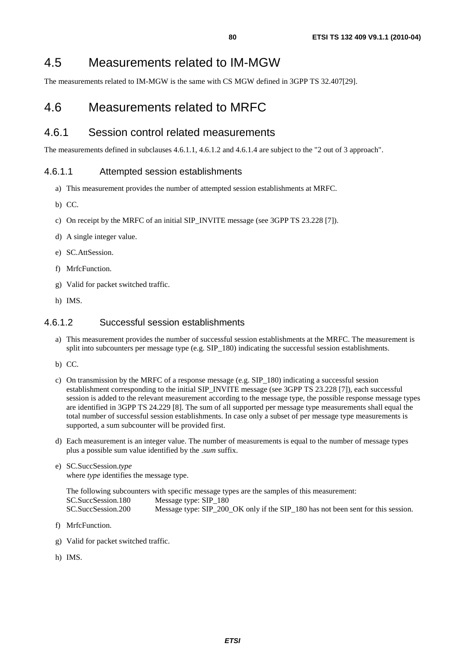The measurements related to IM-MGW is the same with CS MGW defined in 3GPP TS 32.407[29].

# 4.6 Measurements related to MRFC

## 4.6.1 Session control related measurements

The measurements defined in subclauses 4.6.1.1, 4.6.1.2 and 4.6.1.4 are subject to the "2 out of 3 approach".

## 4.6.1.1 Attempted session establishments

- a) This measurement provides the number of attempted session establishments at MRFC.
- b) CC.
- c) On receipt by the MRFC of an initial SIP\_INVITE message (see 3GPP TS 23.228 [7]).
- d) A single integer value.
- e) SC.AttSession.
- f) MrfcFunction.
- g) Valid for packet switched traffic.
- h) IMS.

## 4.6.1.2 Successful session establishments

- a) This measurement provides the number of successful session establishments at the MRFC. The measurement is split into subcounters per message type (e.g. SIP 180) indicating the successful session establishments.
- b) CC.
- c) On transmission by the MRFC of a response message (e.g. SIP\_180) indicating a successful session establishment corresponding to the initial SIP\_INVITE message (see 3GPP TS 23.228 [7]), each successful session is added to the relevant measurement according to the message type, the possible response message types are identified in 3GPP TS 24.229 [8]. The sum of all supported per message type measurements shall equal the total number of successful session establishments. In case only a subset of per message type measurements is supported, a sum subcounter will be provided first.
- d) Each measurement is an integer value. The number of measurements is equal to the number of message types plus a possible sum value identified by the .*sum* suffix.
- e) SC.SuccSession.*type*  where *type* identifies the message type.

The following subcounters with specific message types are the samples of this measurement: SC.SuccSession.180 Message type: SIP\_180<br>SC.SuccSession.200 Message type: SIP\_200 Message type: SIP\_200\_OK only if the SIP\_180 has not been sent for this session.

- f) MrfcFunction.
- g) Valid for packet switched traffic.
- h) IMS.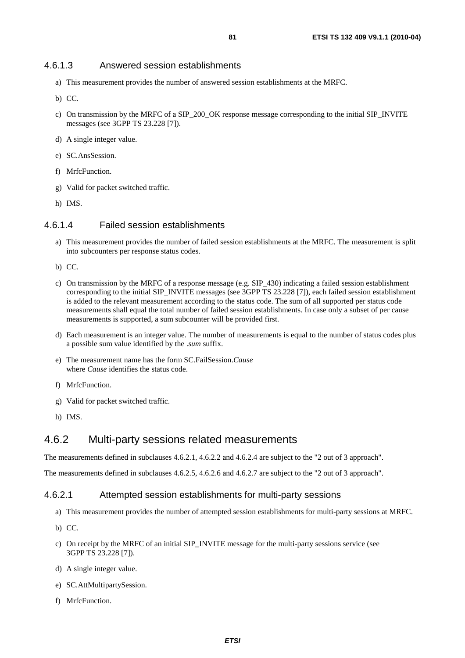#### 4.6.1.3 Answered session establishments

- a) This measurement provides the number of answered session establishments at the MRFC.
- b) CC.
- c) On transmission by the MRFC of a SIP\_200\_OK response message corresponding to the initial SIP\_INVITE messages (see 3GPP TS 23.228 [7]).
- d) A single integer value.
- e) SC.AnsSession.
- f) MrfcFunction.
- g) Valid for packet switched traffic.
- h) IMS.

#### 4.6.1.4 Failed session establishments

- a) This measurement provides the number of failed session establishments at the MRFC. The measurement is split into subcounters per response status codes.
- b) CC.
- c) On transmission by the MRFC of a response message (e.g. SIP\_430) indicating a failed session establishment corresponding to the initial SIP\_INVITE messages (see 3GPP TS 23.228 [7]), each failed session establishment is added to the relevant measurement according to the status code. The sum of all supported per status code measurements shall equal the total number of failed session establishments. In case only a subset of per cause measurements is supported, a sum subcounter will be provided first.
- d) Each measurement is an integer value. The number of measurements is equal to the number of status codes plus a possible sum value identified by the .*sum* suffix.
- e) The measurement name has the form SC.FailSession.*Cause*  where *Cause* identifies the status code.
- f) MrfcFunction.
- g) Valid for packet switched traffic.
- h) IMS.

## 4.6.2 Multi-party sessions related measurements

The measurements defined in subclauses 4.6.2.1, 4.6.2.2 and 4.6.2.4 are subject to the "2 out of 3 approach".

The measurements defined in subclauses 4.6.2.5, 4.6.2.6 and 4.6.2.7 are subject to the "2 out of 3 approach".

#### 4.6.2.1 Attempted session establishments for multi-party sessions

- a) This measurement provides the number of attempted session establishments for multi-party sessions at MRFC.
- b) CC.
- c) On receipt by the MRFC of an initial SIP\_INVITE message for the multi-party sessions service (see 3GPP TS 23.228 [7]).
- d) A single integer value.
- e) SC.AttMultipartySession.
- f) MrfcFunction.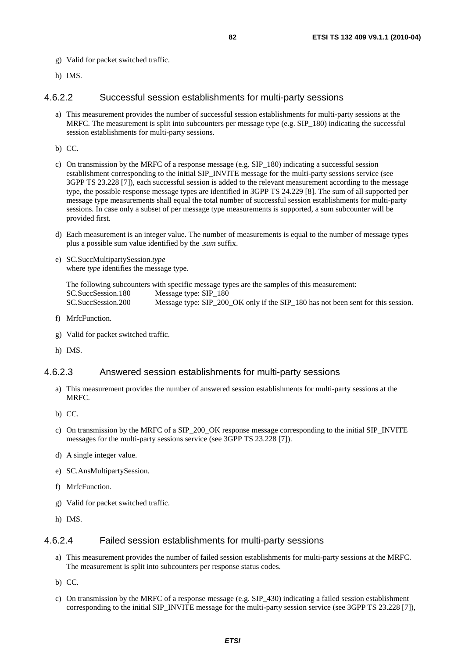- g) Valid for packet switched traffic.
- h) IMS.

#### 4.6.2.2 Successful session establishments for multi-party sessions

a) This measurement provides the number of successful session establishments for multi-party sessions at the MRFC. The measurement is split into subcounters per message type (e.g. SIP\_180) indicating the successful session establishments for multi-party sessions.

b) CC.

- c) On transmission by the MRFC of a response message (e.g. SIP 180) indicating a successful session establishment corresponding to the initial SIP\_INVITE message for the multi-party sessions service (see 3GPP TS 23.228 [7]), each successful session is added to the relevant measurement according to the message type, the possible response message types are identified in 3GPP TS 24.229 [8]. The sum of all supported per message type measurements shall equal the total number of successful session establishments for multi-party sessions. In case only a subset of per message type measurements is supported, a sum subcounter will be provided first.
- d) Each measurement is an integer value. The number of measurements is equal to the number of message types plus a possible sum value identified by the .*sum* suffix.
- e) SC.SuccMultipartySession.*type*  where *type* identifies the message type.

The following subcounters with specific message types are the samples of this measurement: SC.SuccSession.180 Message type: SIP\_180<br>SC.SuccSession.200 Message type: SIP\_200 Message type: SIP\_200\_OK only if the SIP\_180 has not been sent for this session.

- f) MrfcFunction.
- g) Valid for packet switched traffic.
- h) IMS.

### 4.6.2.3 Answered session establishments for multi-party sessions

- a) This measurement provides the number of answered session establishments for multi-party sessions at the MRFC.
- b) CC.
- c) On transmission by the MRFC of a SIP\_200\_OK response message corresponding to the initial SIP\_INVITE messages for the multi-party sessions service (see 3GPP TS 23.228 [7]).
- d) A single integer value.
- e) SC.AnsMultipartySession.
- f) MrfcFunction.
- g) Valid for packet switched traffic.
- h) IMS.

#### 4.6.2.4 Failed session establishments for multi-party sessions

- a) This measurement provides the number of failed session establishments for multi-party sessions at the MRFC. The measurement is split into subcounters per response status codes.
- b) CC.
- c) On transmission by the MRFC of a response message (e.g. SIP\_430) indicating a failed session establishment corresponding to the initial SIP\_INVITE message for the multi-party session service (see 3GPP TS 23.228 [7]),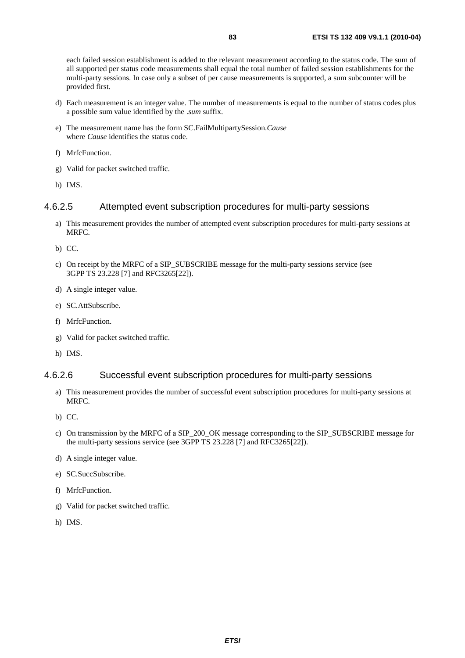each failed session establishment is added to the relevant measurement according to the status code. The sum of all supported per status code measurements shall equal the total number of failed session establishments for the multi-party sessions. In case only a subset of per cause measurements is supported, a sum subcounter will be provided first.

- d) Each measurement is an integer value. The number of measurements is equal to the number of status codes plus a possible sum value identified by the .*sum* suffix.
- e) The measurement name has the form SC.FailMultipartySession.*Cause*  where *Cause* identifies the status code.
- f) MrfcFunction.
- g) Valid for packet switched traffic.
- h) IMS.

## 4.6.2.5 Attempted event subscription procedures for multi-party sessions

- a) This measurement provides the number of attempted event subscription procedures for multi-party sessions at MRFC.
- b) CC.
- c) On receipt by the MRFC of a SIP\_SUBSCRIBE message for the multi-party sessions service (see 3GPP TS 23.228 [7] and RFC3265[22]).
- d) A single integer value.
- e) SC.AttSubscribe.
- f) MrfcFunction.
- g) Valid for packet switched traffic.
- h) IMS.

## 4.6.2.6 Successful event subscription procedures for multi-party sessions

- a) This measurement provides the number of successful event subscription procedures for multi-party sessions at MRFC.
- b) CC.
- c) On transmission by the MRFC of a SIP\_200\_OK message corresponding to the SIP\_SUBSCRIBE message for the multi-party sessions service (see 3GPP TS 23.228 [7] and RFC3265[22]).
- d) A single integer value.
- e) SC.SuccSubscribe.
- f) MrfcFunction.
- g) Valid for packet switched traffic.
- h) IMS.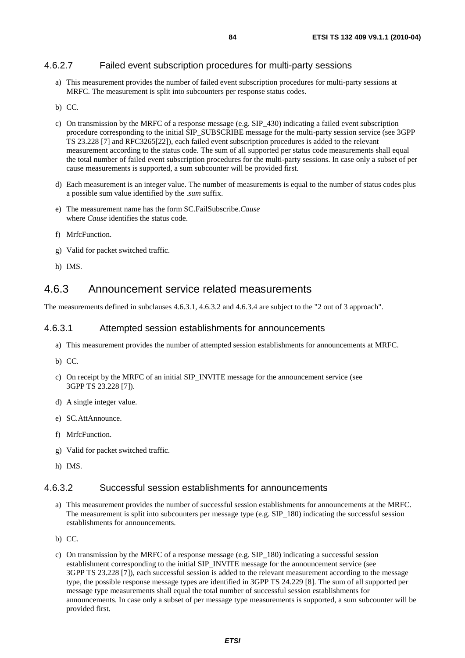## 4.6.2.7 Failed event subscription procedures for multi-party sessions

a) This measurement provides the number of failed event subscription procedures for multi-party sessions at MRFC. The measurement is split into subcounters per response status codes.

- c) On transmission by the MRFC of a response message (e.g. SIP\_430) indicating a failed event subscription procedure corresponding to the initial SIP\_SUBSCRIBE message for the multi-party session service (see 3GPP TS 23.228 [7] and RFC3265[22]), each failed event subscription procedures is added to the relevant measurement according to the status code. The sum of all supported per status code measurements shall equal the total number of failed event subscription procedures for the multi-party sessions. In case only a subset of per cause measurements is supported, a sum subcounter will be provided first.
- d) Each measurement is an integer value. The number of measurements is equal to the number of status codes plus a possible sum value identified by the .*sum* suffix.
- e) The measurement name has the form SC.FailSubscribe.*Cause*  where *Cause* identifies the status code.
- f) MrfcFunction.
- g) Valid for packet switched traffic.
- h) IMS.

## 4.6.3 Announcement service related measurements

The measurements defined in subclauses 4.6.3.1, 4.6.3.2 and 4.6.3.4 are subject to the "2 out of 3 approach".

#### 4.6.3.1 Attempted session establishments for announcements

- a) This measurement provides the number of attempted session establishments for announcements at MRFC.
- b) CC.
- c) On receipt by the MRFC of an initial SIP\_INVITE message for the announcement service (see 3GPP TS 23.228 [7]).
- d) A single integer value.
- e) SC.AttAnnounce.
- f) MrfcFunction.
- g) Valid for packet switched traffic.
- h) IMS.

#### 4.6.3.2 Successful session establishments for announcements

- a) This measurement provides the number of successful session establishments for announcements at the MRFC. The measurement is split into subcounters per message type (e.g. SIP 180) indicating the successful session establishments for announcements.
- b) CC.
- c) On transmission by the MRFC of a response message (e.g. SIP\_180) indicating a successful session establishment corresponding to the initial SIP\_INVITE message for the announcement service (see 3GPP TS 23.228 [7]), each successful session is added to the relevant measurement according to the message type, the possible response message types are identified in 3GPP TS 24.229 [8]. The sum of all supported per message type measurements shall equal the total number of successful session establishments for announcements. In case only a subset of per message type measurements is supported, a sum subcounter will be provided first.

b) CC.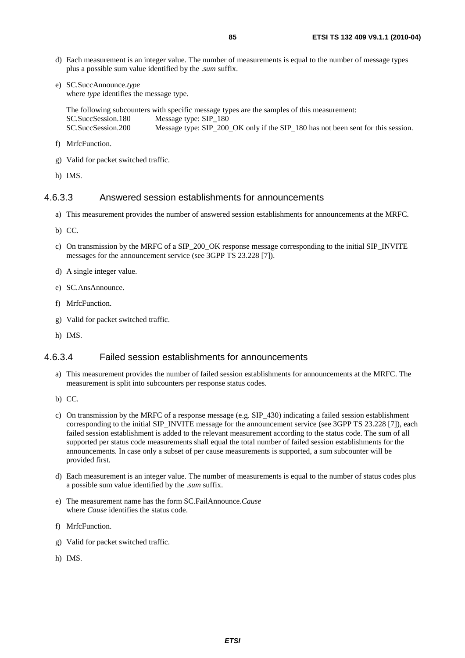- d) Each measurement is an integer value. The number of measurements is equal to the number of message types plus a possible sum value identified by the .*sum* suffix.
- e) SC.SuccAnnounce.*type*  where *type* identifies the message type.

The following subcounters with specific message types are the samples of this measurement: SC.SuccSession.180 Message type: SIP\_180 SC.SuccSession.200 Message type: SIP\_200\_OK only if the SIP\_180 has not been sent for this session.

- f) MrfcFunction.
- g) Valid for packet switched traffic.
- h) IMS.

#### 4.6.3.3 Answered session establishments for announcements

- a) This measurement provides the number of answered session establishments for announcements at the MRFC.
- b) CC.
- c) On transmission by the MRFC of a SIP\_200\_OK response message corresponding to the initial SIP\_INVITE messages for the announcement service (see 3GPP TS 23.228 [7]).
- d) A single integer value.
- e) SC.AnsAnnounce.
- f) MrfcFunction.
- g) Valid for packet switched traffic.
- h) IMS.

## 4.6.3.4 Failed session establishments for announcements

- a) This measurement provides the number of failed session establishments for announcements at the MRFC. The measurement is split into subcounters per response status codes.
- b) CC.
- c) On transmission by the MRFC of a response message (e.g. SIP\_430) indicating a failed session establishment corresponding to the initial SIP\_INVITE message for the announcement service (see 3GPP TS 23.228 [7]), each failed session establishment is added to the relevant measurement according to the status code. The sum of all supported per status code measurements shall equal the total number of failed session establishments for the announcements. In case only a subset of per cause measurements is supported, a sum subcounter will be provided first.
- d) Each measurement is an integer value. The number of measurements is equal to the number of status codes plus a possible sum value identified by the .*sum* suffix.
- e) The measurement name has the form SC.FailAnnounce.*Cause*  where *Cause* identifies the status code.
- f) MrfcFunction.
- g) Valid for packet switched traffic.
- h) IMS.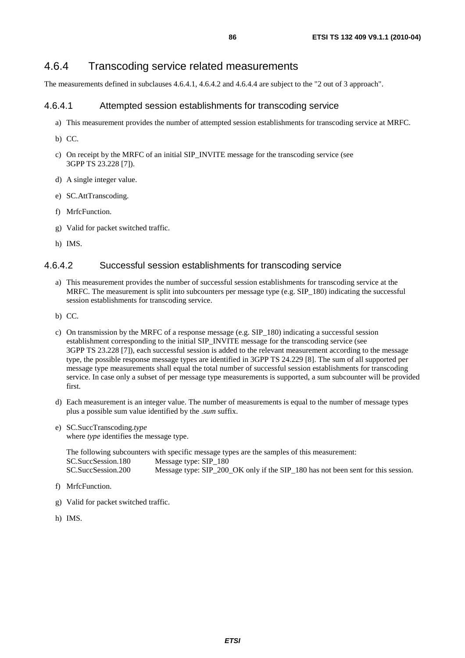## 4.6.4 Transcoding service related measurements

The measurements defined in subclauses 4.6.4.1, 4.6.4.2 and 4.6.4.4 are subject to the "2 out of 3 approach".

## 4.6.4.1 Attempted session establishments for transcoding service

- a) This measurement provides the number of attempted session establishments for transcoding service at MRFC.
- b) CC.
- c) On receipt by the MRFC of an initial SIP\_INVITE message for the transcoding service (see 3GPP TS 23.228 [7]).
- d) A single integer value.
- e) SC.AttTranscoding.
- f) MrfcFunction.
- g) Valid for packet switched traffic.
- h) IMS.

## 4.6.4.2 Successful session establishments for transcoding service

- a) This measurement provides the number of successful session establishments for transcoding service at the MRFC. The measurement is split into subcounters per message type  $(e.g.$  SIP  $\,180)$  indicating the successful session establishments for transcoding service.
- b) CC.
- c) On transmission by the MRFC of a response message (e.g. SIP\_180) indicating a successful session establishment corresponding to the initial SIP\_INVITE message for the transcoding service (see 3GPP TS 23.228 [7]), each successful session is added to the relevant measurement according to the message type, the possible response message types are identified in 3GPP TS 24.229 [8]. The sum of all supported per message type measurements shall equal the total number of successful session establishments for transcoding service. In case only a subset of per message type measurements is supported, a sum subcounter will be provided first.
- d) Each measurement is an integer value. The number of measurements is equal to the number of message types plus a possible sum value identified by the .*sum* suffix.
- e) SC.SuccTranscoding.*type*  where *type* identifies the message type.

The following subcounters with specific message types are the samples of this measurement: SC.SuccSession.180 Message type: SIP\_180 SC.SuccSession.200 Message type: SIP\_200\_OK only if the SIP\_180 has not been sent for this session.

- f) MrfcFunction.
- g) Valid for packet switched traffic.
- h) IMS.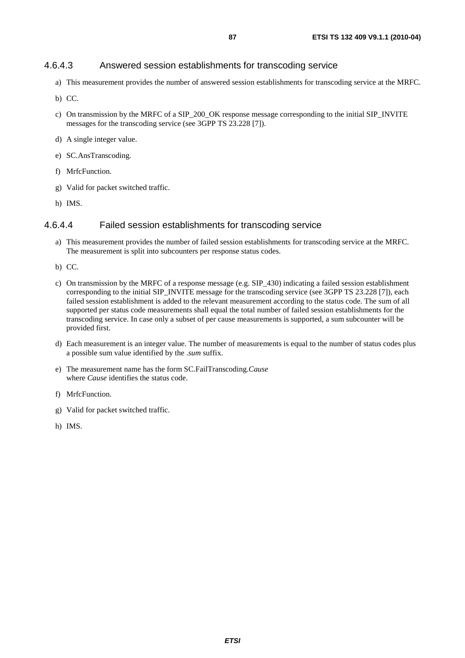#### 4.6.4.3 Answered session establishments for transcoding service

- a) This measurement provides the number of answered session establishments for transcoding service at the MRFC.
- b) CC.
- c) On transmission by the MRFC of a SIP\_200\_OK response message corresponding to the initial SIP\_INVITE messages for the transcoding service (see 3GPP TS 23.228 [7]).
- d) A single integer value.
- e) SC.AnsTranscoding.
- f) MrfcFunction.
- g) Valid for packet switched traffic.
- h) IMS.

#### 4.6.4.4 Failed session establishments for transcoding service

- a) This measurement provides the number of failed session establishments for transcoding service at the MRFC. The measurement is split into subcounters per response status codes.
- b) CC.
- c) On transmission by the MRFC of a response message (e.g. SIP\_430) indicating a failed session establishment corresponding to the initial SIP\_INVITE message for the transcoding service (see 3GPP TS 23.228 [7]), each failed session establishment is added to the relevant measurement according to the status code. The sum of all supported per status code measurements shall equal the total number of failed session establishments for the transcoding service. In case only a subset of per cause measurements is supported, a sum subcounter will be provided first.
- d) Each measurement is an integer value. The number of measurements is equal to the number of status codes plus a possible sum value identified by the .*sum* suffix.
- e) The measurement name has the form SC.FailTranscoding.*Cause*  where *Cause* identifies the status code.
- f) MrfcFunction.
- g) Valid for packet switched traffic.
- h) IMS.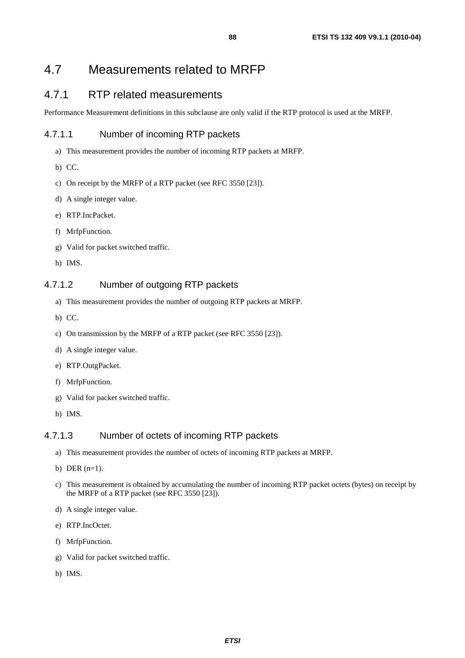# 4.7 Measurements related to MRFP

## 4.7.1 RTP related measurements

Performance Measurement definitions in this subclause are only valid if the RTP protocol is used at the MRFP.

## 4.7.1.1 Number of incoming RTP packets

- a) This measurement provides the number of incoming RTP packets at MRFP.
- b) CC.
- c) On receipt by the MRFP of a RTP packet (see RFC 3550 [23]).
- d) A single integer value.
- e) RTP.IncPacket.
- f) MrfpFunction.
- g) Valid for packet switched traffic.
- h) IMS.

## 4.7.1.2 Number of outgoing RTP packets

- a) This measurement provides the number of outgoing RTP packets at MRFP.
- b) CC.
- c) On transmission by the MRFP of a RTP packet (see RFC 3550 [23]).
- d) A single integer value.
- e) RTP.OutgPacket.
- f) MrfpFunction.
- g) Valid for packet switched traffic.
- h) IMS.

#### 4.7.1.3 Number of octets of incoming RTP packets

- a) This measurement provides the number of octets of incoming RTP packets at MRFP.
- b) DER  $(n=1)$ .
- c) This measurement is obtained by accumulating the number of incoming RTP packet octets (bytes) on receipt by the MRFP of a RTP packet (see RFC 3550 [23]).
- d) A single integer value.
- e) RTP.IncOctet.
- f) MrfpFunction.
- g) Valid for packet switched traffic.
- h) IMS.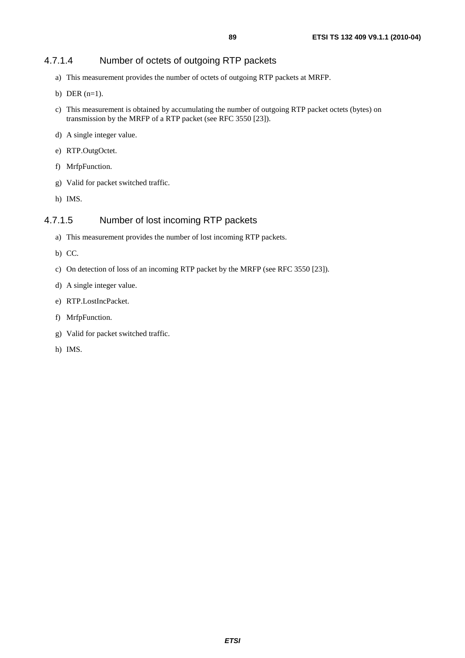## 4.7.1.4 Number of octets of outgoing RTP packets

- a) This measurement provides the number of octets of outgoing RTP packets at MRFP.
- b) DER  $(n=1)$ .
- c) This measurement is obtained by accumulating the number of outgoing RTP packet octets (bytes) on transmission by the MRFP of a RTP packet (see RFC 3550 [23]).
- d) A single integer value.
- e) RTP.OutgOctet.
- f) MrfpFunction.
- g) Valid for packet switched traffic.
- h) IMS.

## 4.7.1.5 Number of lost incoming RTP packets

- a) This measurement provides the number of lost incoming RTP packets.
- b) CC.
- c) On detection of loss of an incoming RTP packet by the MRFP (see RFC 3550 [23]).
- d) A single integer value.
- e) RTP.LostIncPacket.
- f) MrfpFunction.
- g) Valid for packet switched traffic.
- h) IMS.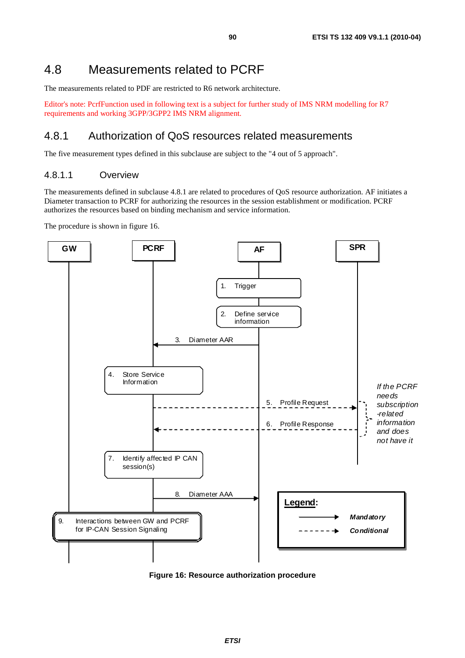# 4.8 Measurements related to PCRF

The measurements related to PDF are restricted to R6 network architecture.

Editor's note: PcrfFunction used in following text is a subject for further study of IMS NRM modelling for R7 requirements and working 3GPP/3GPP2 IMS NRM alignment.

## 4.8.1 Authorization of QoS resources related measurements

The five measurement types defined in this subclause are subject to the "4 out of 5 approach".

## 4.8.1.1 Overview

The measurements defined in subclause 4.8.1 are related to procedures of QoS resource authorization. AF initiates a Diameter transaction to PCRF for authorizing the resources in the session establishment or modification. PCRF authorizes the resources based on binding mechanism and service information.

The procedure is shown in figure 16.



**Figure 16: Resource authorization procedure**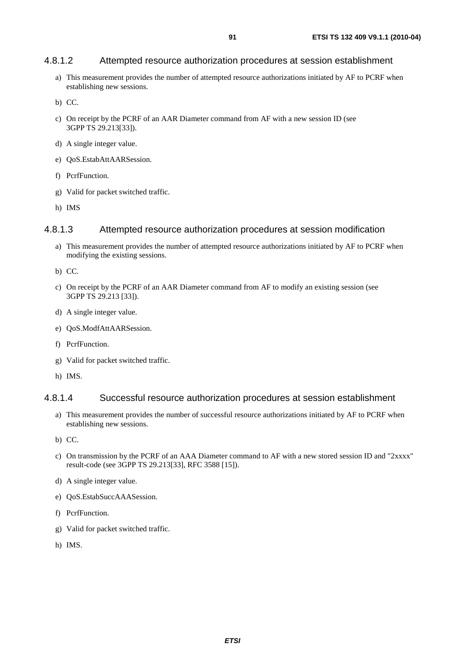### 4.8.1.2 Attempted resource authorization procedures at session establishment

a) This measurement provides the number of attempted resource authorizations initiated by AF to PCRF when establishing new sessions.

b) CC.

- c) On receipt by the PCRF of an AAR Diameter command from AF with a new session ID (see 3GPP TS 29.213[33]).
- d) A single integer value.
- e) QoS.EstabAttAARSession.
- f) PcrfFunction.
- g) Valid for packet switched traffic.
- h) IMS

### 4.8.1.3 Attempted resource authorization procedures at session modification

a) This measurement provides the number of attempted resource authorizations initiated by AF to PCRF when modifying the existing sessions.

b) CC.

- c) On receipt by the PCRF of an AAR Diameter command from AF to modify an existing session (see 3GPP TS 29.213 [33]).
- d) A single integer value.
- e) QoS.ModfAttAARSession.
- f) PcrfFunction.
- g) Valid for packet switched traffic.
- h) IMS.

#### 4.8.1.4 Successful resource authorization procedures at session establishment

- a) This measurement provides the number of successful resource authorizations initiated by AF to PCRF when establishing new sessions.
- b) CC.
- c) On transmission by the PCRF of an AAA Diameter command to AF with a new stored session ID and "2xxxx" result-code (see 3GPP TS 29.213[33], RFC 3588 [15]).
- d) A single integer value.
- e) QoS.EstabSuccAAASession.
- f) PcrfFunction.
- g) Valid for packet switched traffic.
- h) IMS.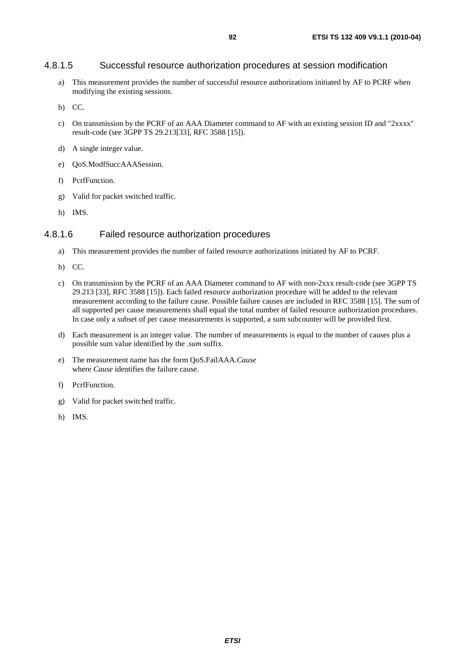#### 4.8.1.5 Successful resource authorization procedures at session modification

- a) This measurement provides the number of successful resource authorizations initiated by AF to PCRF when modifying the existing sessions.
- b) CC.
- c) On transmission by the PCRF of an AAA Diameter command to AF with an existing session ID and "2xxxx" result-code (see 3GPP TS 29.213[33], RFC 3588 [15]).
- d) A single integer value.
- e) QoS.ModfSuccAAASession.
- f) PcrfFunction.
- g) Valid for packet switched traffic.
- h) IMS.

#### 4.8.1.6 Failed resource authorization procedures

- a) This measurement provides the number of failed resource authorizations initiated by AF to PCRF.
- b) CC.
- c) On transmission by the PCRF of an AAA Diameter command to AF with non-2xxx result-code (see 3GPP TS 29.213 [33], RFC 3588 [15]). Each failed resource authorization procedure will be added to the relevant measurement according to the failure cause. Possible failure causes are included in RFC 3588 [15]. The sum of all supported per cause measurements shall equal the total number of failed resource authorization procedures. In case only a subset of per cause measurements is supported, a sum subcounter will be provided first.
- d) Each measurement is an integer value. The number of measurements is equal to the number of causes plus a possible sum value identified by the .*sum* suffix.
- e) The measurement name has the form QoS.FailAAA.*Cause* where *Cause* identifies the failure cause.
- f) PcrfFunction.
- g) Valid for packet switched traffic.
- h) IMS.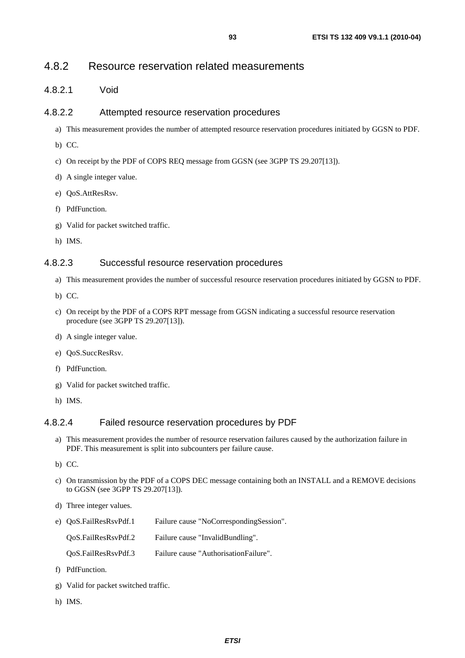## 4.8.2 Resource reservation related measurements

4.8.2.1 Void

### 4.8.2.2 Attempted resource reservation procedures

- a) This measurement provides the number of attempted resource reservation procedures initiated by GGSN to PDF.
- b) CC.
- c) On receipt by the PDF of COPS REQ message from GGSN (see 3GPP TS 29.207[13]).
- d) A single integer value.
- e) QoS.AttResRsv.
- f) PdfFunction.
- g) Valid for packet switched traffic.
- h) IMS.

## 4.8.2.3 Successful resource reservation procedures

- a) This measurement provides the number of successful resource reservation procedures initiated by GGSN to PDF.
- b) CC.
- c) On receipt by the PDF of a COPS RPT message from GGSN indicating a successful resource reservation procedure (see 3GPP TS 29.207[13]).
- d) A single integer value.
- e) QoS.SuccResRsv.
- f) PdfFunction.
- g) Valid for packet switched traffic.
- h) IMS.

#### 4.8.2.4 Failed resource reservation procedures by PDF

- a) This measurement provides the number of resource reservation failures caused by the authorization failure in PDF. This measurement is split into subcounters per failure cause.
- b) CC.
- c) On transmission by the PDF of a COPS DEC message containing both an INSTALL and a REMOVE decisions to GGSN (see 3GPP TS 29.207[13]).
- d) Three integer values.
- e) QoS.FailResRsvPdf.1 Failure cause "NoCorrespondingSession".

QoS.FailResRsvPdf.2 Failure cause "InvalidBundling".

QoS.FailResRsvPdf.3 Failure cause "AuthorisationFailure".

- f) PdfFunction.
- g) Valid for packet switched traffic.
- h) IMS.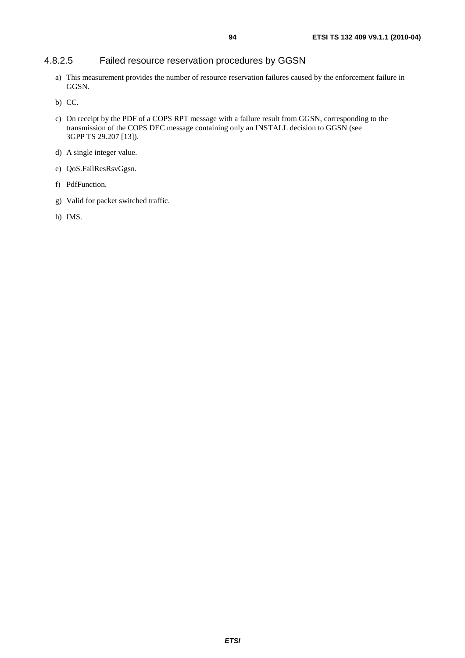## 4.8.2.5 Failed resource reservation procedures by GGSN

- a) This measurement provides the number of resource reservation failures caused by the enforcement failure in GGSN.
- b) CC.
- c) On receipt by the PDF of a COPS RPT message with a failure result from GGSN, corresponding to the transmission of the COPS DEC message containing only an INSTALL decision to GGSN (see 3GPP TS 29.207 [13]).
- d) A single integer value.
- e) QoS.FailResRsvGgsn.
- f) PdfFunction.
- g) Valid for packet switched traffic.
- h) IMS.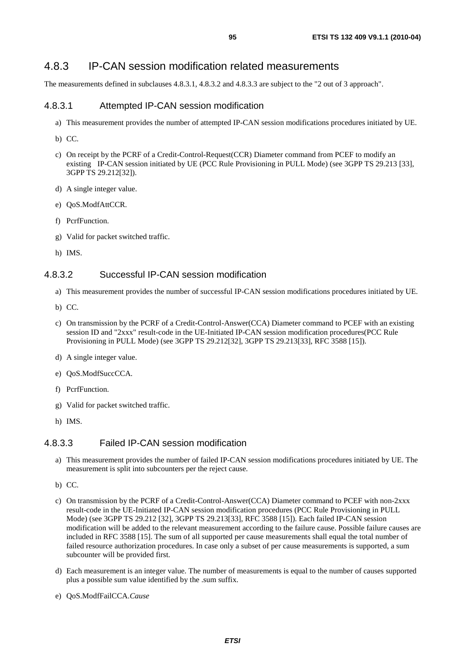## 4.8.3 IP-CAN session modification related measurements

The measurements defined in subclauses 4.8.3.1, 4.8.3.2 and 4.8.3.3 are subject to the "2 out of 3 approach".

### 4.8.3.1 Attempted IP-CAN session modification

- a) This measurement provides the number of attempted IP-CAN session modifications procedures initiated by UE.
- b) CC.
- c) On receipt by the PCRF of a Credit-Control-Request(CCR) Diameter command from PCEF to modify an existing IP-CAN session initiated by UE (PCC Rule Provisioning in PULL Mode) (see 3GPP TS 29.213 [33], 3GPP TS 29.212[32]).
- d) A single integer value.
- e) QoS.ModfAttCCR.
- f) PcrfFunction.
- g) Valid for packet switched traffic.
- h) IMS.

#### 4.8.3.2 Successful IP-CAN session modification

- a) This measurement provides the number of successful IP-CAN session modifications procedures initiated by UE.
- b) CC.
- c) On transmission by the PCRF of a Credit-Control-Answer(CCA) Diameter command to PCEF with an existing session ID and "2xxx" result-code in the UE-Initiated IP-CAN session modification procedures(PCC Rule Provisioning in PULL Mode) (see 3GPP TS 29.212[32], 3GPP TS 29.213[33], RFC 3588 [15]).
- d) A single integer value.
- e) QoS.ModfSuccCCA.
- f) PcrfFunction.
- g) Valid for packet switched traffic.
- h) IMS.

## 4.8.3.3 Failed IP-CAN session modification

- a) This measurement provides the number of failed IP-CAN session modifications procedures initiated by UE. The measurement is split into subcounters per the reject cause.
- b) CC.
- c) On transmission by the PCRF of a Credit-Control-Answer(CCA) Diameter command to PCEF with non-2xxx result-code in the UE-Initiated IP-CAN session modification procedures (PCC Rule Provisioning in PULL Mode) (see 3GPP TS 29.212 [32], 3GPP TS 29.213[33], RFC 3588 [15]). Each failed IP-CAN session modification will be added to the relevant measurement according to the failure cause. Possible failure causes are included in RFC 3588 [15]. The sum of all supported per cause measurements shall equal the total number of failed resource authorization procedures. In case only a subset of per cause measurements is supported, a sum subcounter will be provided first.
- d) Each measurement is an integer value. The number of measurements is equal to the number of causes supported plus a possible sum value identified by the .sum suffix.
- e) QoS.ModfFailCCA.*Cause*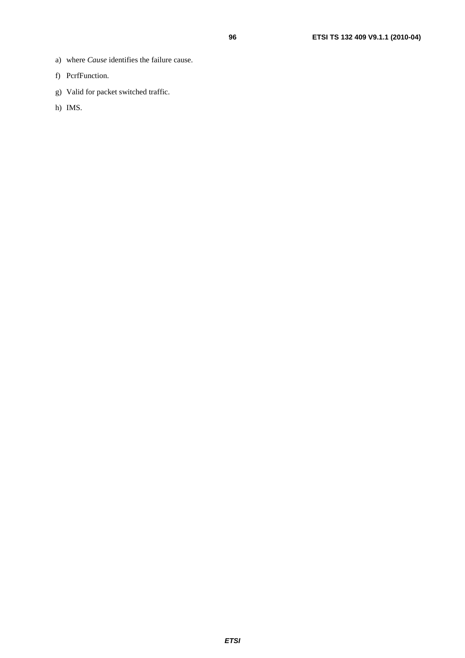- a) where *Cause* identifies the failure cause.
- f) PcrfFunction.
- g) Valid for packet switched traffic.
- h) IMS.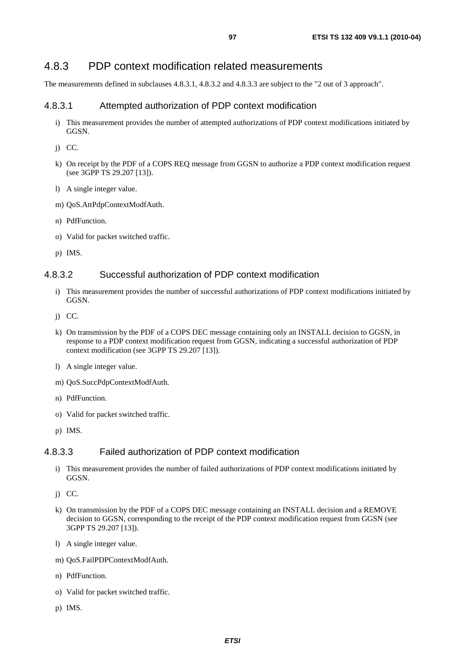## 4.8.3 PDP context modification related measurements

The measurements defined in subclauses 4.8.3.1, 4.8.3.2 and 4.8.3.3 are subject to the "2 out of 3 approach".

### 4.8.3.1 Attempted authorization of PDP context modification

- i) This measurement provides the number of attempted authorizations of PDP context modifications initiated by GGSN.
- j) CC.
- k) On receipt by the PDF of a COPS REQ message from GGSN to authorize a PDP context modification request (see 3GPP TS 29.207 [13]).
- l) A single integer value.
- m) QoS.AttPdpContextModfAuth.
- n) PdfFunction.
- o) Valid for packet switched traffic.
- p) IMS.

#### 4.8.3.2 Successful authorization of PDP context modification

- i) This measurement provides the number of successful authorizations of PDP context modifications initiated by GGSN.
- j) CC.
- k) On transmission by the PDF of a COPS DEC message containing only an INSTALL decision to GGSN, in response to a PDP context modification request from GGSN, indicating a successful authorization of PDP context modification (see 3GPP TS 29.207 [13]).
- l) A single integer value.
- m) QoS.SuccPdpContextModfAuth.
- n) PdfFunction.
- o) Valid for packet switched traffic.
- p) IMS.

#### 4.8.3.3 Failed authorization of PDP context modification

- i) This measurement provides the number of failed authorizations of PDP context modifications initiated by GGSN.
- j) CC.
- k) On transmission by the PDF of a COPS DEC message containing an INSTALL decision and a REMOVE decision to GGSN, corresponding to the receipt of the PDP context modification request from GGSN (see 3GPP TS 29.207 [13]).
- l) A single integer value.
- m) QoS.FailPDPContextModfAuth.
- n) PdfFunction.
- o) Valid for packet switched traffic.
- p) IMS.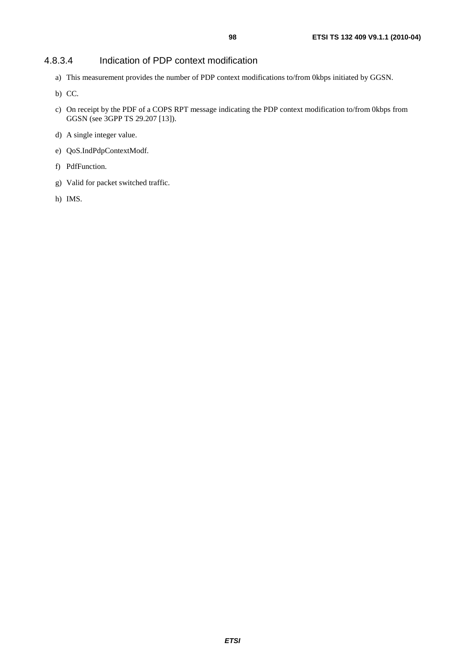## 4.8.3.4 Indication of PDP context modification

- a) This measurement provides the number of PDP context modifications to/from 0kbps initiated by GGSN.
- b) CC.
- c) On receipt by the PDF of a COPS RPT message indicating the PDP context modification to/from 0kbps from GGSN (see 3GPP TS 29.207 [13]).
- d) A single integer value.
- e) QoS.IndPdpContextModf.
- f) PdfFunction.
- g) Valid for packet switched traffic.
- h) IMS.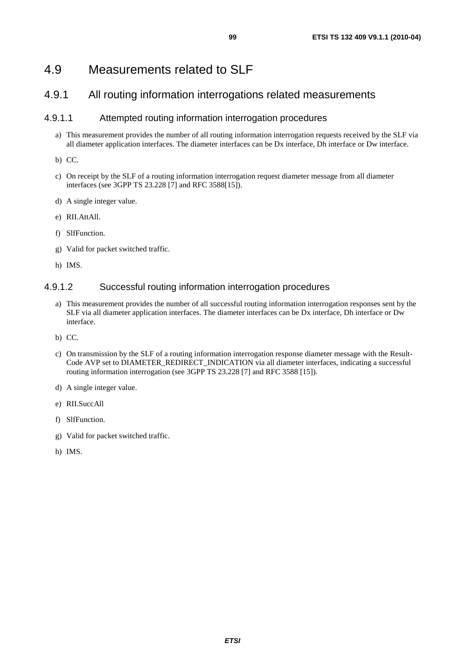# 4.9 Measurements related to SLF

## 4.9.1 All routing information interrogations related measurements

## 4.9.1.1 Attempted routing information interrogation procedures

a) This measurement provides the number of all routing information interrogation requests received by the SLF via all diameter application interfaces. The diameter interfaces can be Dx interface, Dh interface or Dw interface.

b) CC.

- c) On receipt by the SLF of a routing information interrogation request diameter message from all diameter interfaces (see 3GPP TS 23.228 [7] and RFC 3588[15]).
- d) A single integer value.
- e) RII.AttAll.
- f) SlfFunction.
- g) Valid for packet switched traffic.
- h) IMS.

## 4.9.1.2 Successful routing information interrogation procedures

- a) This measurement provides the number of all successful routing information interrogation responses sent by the SLF via all diameter application interfaces. The diameter interfaces can be Dx interface, Dh interface or Dw interface.
- b) CC.
- c) On transmission by the SLF of a routing information interrogation response diameter message with the Result-Code AVP set to DIAMETER\_REDIRECT\_INDICATION via all diameter interfaces, indicating a successful routing information interrogation (see 3GPP TS 23.228 [7] and RFC 3588 [15]).
- d) A single integer value.
- e) RII.SuccAll
- f) SlfFunction.
- g) Valid for packet switched traffic.
- h) IMS.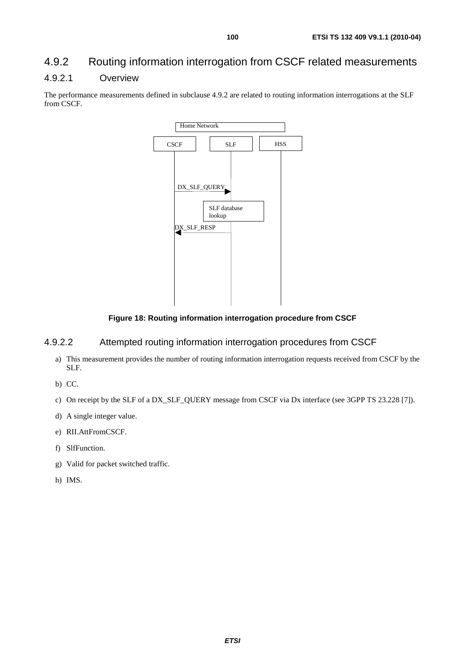## 4.9.2 Routing information interrogation from CSCF related measurements

## 4.9.2.1 Overview

The performance measurements defined in subclause 4.9.2 are related to routing information interrogations at the SLF from CSCF.



**Figure 18: Routing information interrogation procedure from CSCF** 

## 4.9.2.2 Attempted routing information interrogation procedures from CSCF

a) This measurement provides the number of routing information interrogation requests received from CSCF by the SLF.

b) CC.

- c) On receipt by the SLF of a DX\_SLF\_QUERY message from CSCF via Dx interface (see 3GPP TS 23.228 [7]).
- d) A single integer value.
- e) RII.AttFromCSCF.
- f) SlfFunction.
- g) Valid for packet switched traffic.
- h) IMS.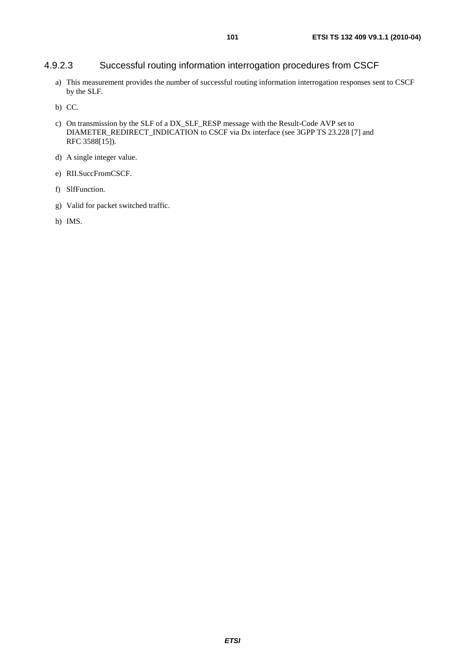## 4.9.2.3 Successful routing information interrogation procedures from CSCF

- a) This measurement provides the number of successful routing information interrogation responses sent to CSCF by the SLF.
- b) CC.
- c) On transmission by the SLF of a DX\_SLF\_RESP message with the Result-Code AVP set to DIAMETER\_REDIRECT\_INDICATION to CSCF via Dx interface (see 3GPP TS 23.228 [7] and RFC 3588[15]).
- d) A single integer value.
- e) RII.SuccFromCSCF.
- f) SlfFunction.
- g) Valid for packet switched traffic.
- h) IMS.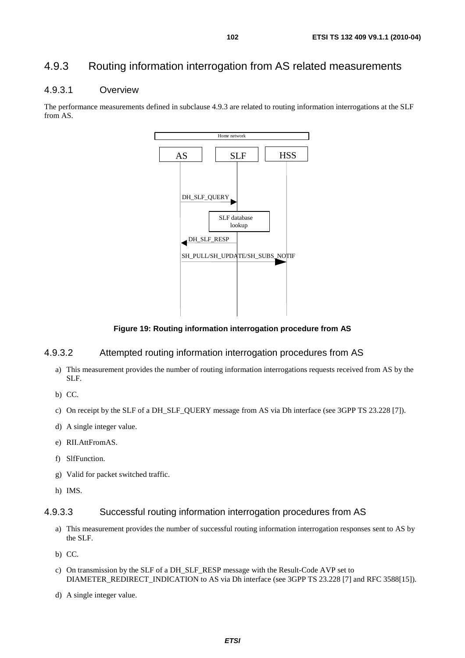## 4.9.3 Routing information interrogation from AS related measurements

## 4.9.3.1 Overview

The performance measurements defined in subclause 4.9.3 are related to routing information interrogations at the SLF from AS.



**Figure 19: Routing information interrogation procedure from AS** 

## 4.9.3.2 Attempted routing information interrogation procedures from AS

- a) This measurement provides the number of routing information interrogations requests received from AS by the SLF.
- b) CC.
- c) On receipt by the SLF of a DH\_SLF\_QUERY message from AS via Dh interface (see 3GPP TS 23.228 [7]).
- d) A single integer value.
- e) RII.AttFromAS.
- f) SlfFunction.
- g) Valid for packet switched traffic.
- h) IMS.

## 4.9.3.3 Successful routing information interrogation procedures from AS

- a) This measurement provides the number of successful routing information interrogation responses sent to AS by the SLF.
- b) CC.
- c) On transmission by the SLF of a DH\_SLF\_RESP message with the Result-Code AVP set to DIAMETER\_REDIRECT\_INDICATION to AS via Dh interface (see 3GPP TS 23.228 [7] and RFC 3588[15]).
- d) A single integer value.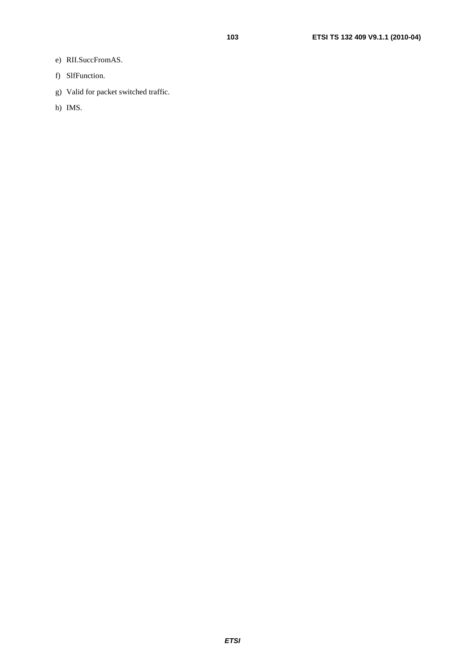- e) RII.SuccFromAS.
- f) SlfFunction.
- g) Valid for packet switched traffic.
- h) IMS.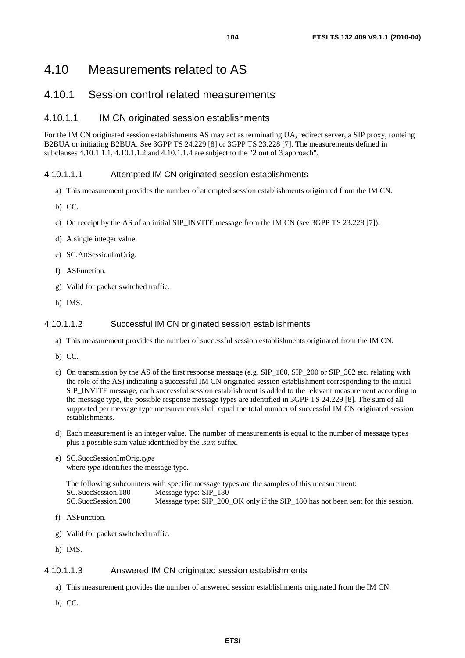## 4.10.1 Session control related measurements

## 4.10.1.1 IM CN originated session establishments

For the IM CN originated session establishments AS may act as terminating UA, redirect server, a SIP proxy, routeing B2BUA or initiating B2BUA. See 3GPP TS 24.229 [8] or 3GPP TS 23.228 [7]. The measurements defined in subclauses 4.10.1.1.1, 4.10.1.1.2 and 4.10.1.1.4 are subject to the "2 out of 3 approach".

### 4.10.1.1.1 Attempted IM CN originated session establishments

- a) This measurement provides the number of attempted session establishments originated from the IM CN.
- b) CC.
- c) On receipt by the AS of an initial SIP\_INVITE message from the IM CN (see 3GPP TS 23.228 [7]).
- d) A single integer value.
- e) SC.AttSessionImOrig.
- f) ASFunction.
- g) Valid for packet switched traffic.
- h) IMS.

### 4.10.1.1.2 Successful IM CN originated session establishments

- a) This measurement provides the number of successful session establishments originated from the IM CN.
- b) CC.
- c) On transmission by the AS of the first response message (e.g. SIP\_180, SIP\_200 or SIP\_302 etc. relating with the role of the AS) indicating a successful IM CN originated session establishment corresponding to the initial SIP\_INVITE message, each successful session establishment is added to the relevant measurement according to the message type, the possible response message types are identified in 3GPP TS 24.229 [8]. The sum of all supported per message type measurements shall equal the total number of successful IM CN originated session establishments.
- d) Each measurement is an integer value. The number of measurements is equal to the number of message types plus a possible sum value identified by the .*sum* suffix.
- e) SC.SuccSessionImOrig.*type* where *type* identifies the message type.

|                    | The following subcounters with specific message types are the samples of this measurement: |
|--------------------|--------------------------------------------------------------------------------------------|
| SC.SuccSession.180 | Message type: SIP 180                                                                      |
| SC.SuccSession.200 | Message type: SIP 200 OK only if the SIP 180 has not been sent for this session.           |

- f) ASFunction.
- g) Valid for packet switched traffic.
- h) IMS.

## 4.10.1.1.3 Answered IM CN originated session establishments

- a) This measurement provides the number of answered session establishments originated from the IM CN.
- b) CC.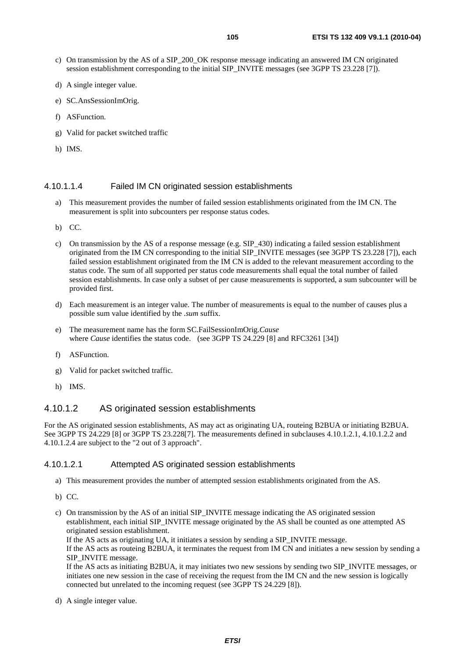- c) On transmission by the AS of a SIP\_200\_OK response message indicating an answered IM CN originated session establishment corresponding to the initial SIP\_INVITE messages (see 3GPP TS 23.228 [7]).
- d) A single integer value.
- e) SC.AnsSessionImOrig.
- f) ASFunction.
- g) Valid for packet switched traffic
- h) IMS.

#### 4.10.1.1.4 Failed IM CN originated session establishments

- a) This measurement provides the number of failed session establishments originated from the IM CN. The measurement is split into subcounters per response status codes.
- b) CC.
- c) On transmission by the AS of a response message (e.g. SIP\_430) indicating a failed session establishment originated from the IM CN corresponding to the initial SIP\_INVITE messages (see 3GPP TS 23.228 [7]), each failed session establishment originated from the IM CN is added to the relevant measurement according to the status code. The sum of all supported per status code measurements shall equal the total number of failed session establishments. In case only a subset of per cause measurements is supported, a sum subcounter will be provided first.
- d) Each measurement is an integer value. The number of measurements is equal to the number of causes plus a possible sum value identified by the .*sum* suffix.
- e) The measurement name has the form SC.FailSessionImOrig.*Cause* where *Cause* identifies the status code. (see 3GPP TS 24.229 [8] and RFC3261 [34])
- f) ASFunction.
- g) Valid for packet switched traffic.
- h) IMS.

### 4.10.1.2 AS originated session establishments

For the AS originated session establishments, AS may act as originating UA, routeing B2BUA or initiating B2BUA. See 3GPP TS 24.229 [8] or 3GPP TS 23.228[7]. The measurements defined in subclauses 4.10.1.2.1, 4.10.1.2.2 and 4.10.1.2.4 are subject to the "2 out of 3 approach".

#### 4.10.1.2.1 Attempted AS originated session establishments

- a) This measurement provides the number of attempted session establishments originated from the AS.
- b) CC.
- c) On transmission by the AS of an initial SIP\_INVITE message indicating the AS originated session establishment, each initial SIP\_INVITE message originated by the AS shall be counted as one attempted AS originated session establishment.

If the AS acts as originating UA, it initiates a session by sending a SIP\_INVITE message. If the AS acts as routeing B2BUA, it terminates the request from IM CN and initiates a new session by sending a SIP\_INVITE message.

If the AS acts as initiating B2BUA, it may initiates two new sessions by sending two SIP\_INVITE messages, or initiates one new session in the case of receiving the request from the IM CN and the new session is logically connected but unrelated to the incoming request (see 3GPP TS 24.229 [8]).

d) A single integer value.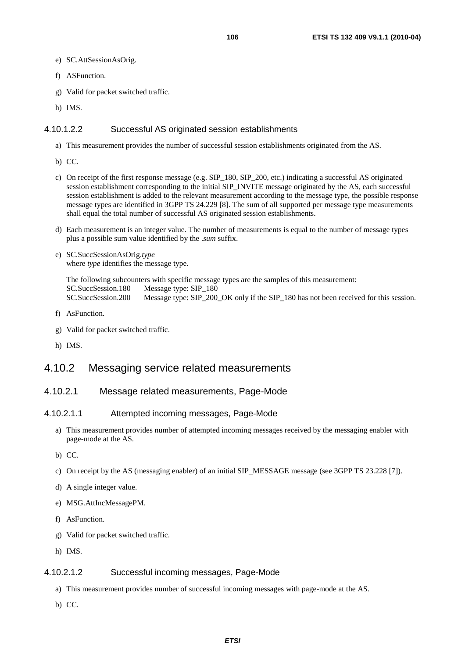- e) SC.AttSessionAsOrig.
- f) ASFunction.
- g) Valid for packet switched traffic.
- h) IMS.

#### 4.10.1.2.2 Successful AS originated session establishments

- a) This measurement provides the number of successful session establishments originated from the AS.
- b) CC.
- c) On receipt of the first response message (e.g. SIP\_180, SIP\_200, etc.) indicating a successful AS originated session establishment corresponding to the initial SIP\_INVITE message originated by the AS, each successful session establishment is added to the relevant measurement according to the message type, the possible response message types are identified in 3GPP TS 24.229 [8]. The sum of all supported per message type measurements shall equal the total number of successful AS originated session establishments.
- d) Each measurement is an integer value. The number of measurements is equal to the number of message types plus a possible sum value identified by the .*sum* suffix.

#### e) SC.SuccSessionAsOrig.*type* where *type* identifies the message type.

The following subcounters with specific message types are the samples of this measurement: SC.SuccSession.180 Message type: SIP\_180 SC.SuccSession.200 Message type: SIP\_200\_OK only if the SIP\_180 has not been received for this session.

- f) AsFunction.
- g) Valid for packet switched traffic.
- h) IMS.

## 4.10.2 Messaging service related measurements

#### 4.10.2.1 Message related measurements, Page-Mode

#### 4.10.2.1.1 Attempted incoming messages, Page-Mode

- a) This measurement provides number of attempted incoming messages received by the messaging enabler with page-mode at the AS.
- b) CC.
- c) On receipt by the AS (messaging enabler) of an initial SIP\_MESSAGE message (see 3GPP TS 23.228 [7]).
- d) A single integer value.
- e) MSG.AttIncMessagePM.
- f) AsFunction.
- g) Valid for packet switched traffic.
- h) IMS.

#### 4.10.2.1.2 Successful incoming messages, Page-Mode

- a) This measurement provides number of successful incoming messages with page-mode at the AS.
- b) CC.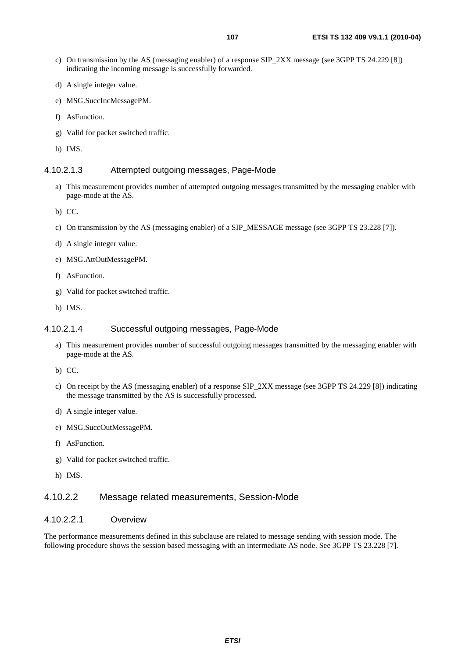- c) On transmission by the AS (messaging enabler) of a response SIP\_2XX message (see 3GPP TS 24.229 [8]) indicating the incoming message is successfully forwarded.
- d) A single integer value.
- e) MSG.SuccIncMessagePM.
- f) AsFunction.
- g) Valid for packet switched traffic.
- h) IMS.

## 4.10.2.1.3 Attempted outgoing messages, Page-Mode

- a) This measurement provides number of attempted outgoing messages transmitted by the messaging enabler with page-mode at the AS.
- b) CC.
- c) On transmission by the AS (messaging enabler) of a SIP\_MESSAGE message (see 3GPP TS 23.228 [7]).
- d) A single integer value.
- e) MSG.AttOutMessagePM.
- f) AsFunction.
- g) Valid for packet switched traffic.
- h) IMS.

#### 4.10.2.1.4 Successful outgoing messages, Page-Mode

- a) This measurement provides number of successful outgoing messages transmitted by the messaging enabler with page-mode at the AS.
- b) CC.
- c) On receipt by the AS (messaging enabler) of a response SIP\_2XX message (see 3GPP TS 24.229 [8]) indicating the message transmitted by the AS is successfully processed.
- d) A single integer value.
- e) MSG.SuccOutMessagePM.
- f) AsFunction.
- g) Valid for packet switched traffic.
- h) IMS.

## 4.10.2.2 Message related measurements, Session-Mode

#### 4.10.2.2.1 Overview

The performance measurements defined in this subclause are related to message sending with session mode. The following procedure shows the session based messaging with an intermediate AS node. See 3GPP TS 23.228 [7].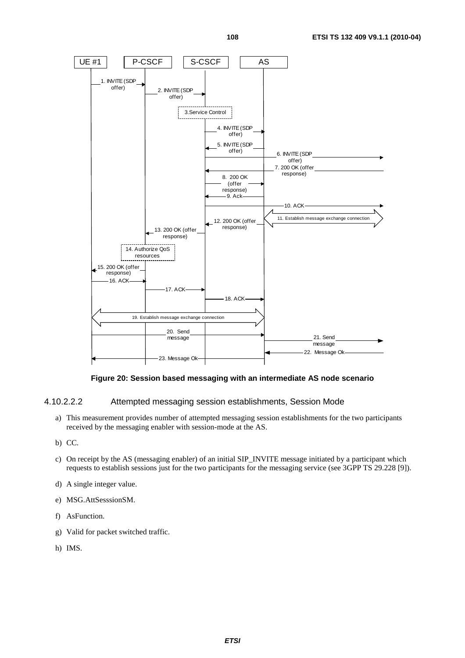

#### **Figure 20: Session based messaging with an intermediate AS node scenario**

#### 4.10.2.2.2 Attempted messaging session establishments, Session Mode

- a) This measurement provides number of attempted messaging session establishments for the two participants received by the messaging enabler with session-mode at the AS.
- b) CC.
- c) On receipt by the AS (messaging enabler) of an initial SIP\_INVITE message initiated by a participant which requests to establish sessions just for the two participants for the messaging service (see 3GPP TS 29.228 [9]).
- d) A single integer value.
- e) MSG.AttSesssionSM.
- f) AsFunction.
- g) Valid for packet switched traffic.
- h) IMS.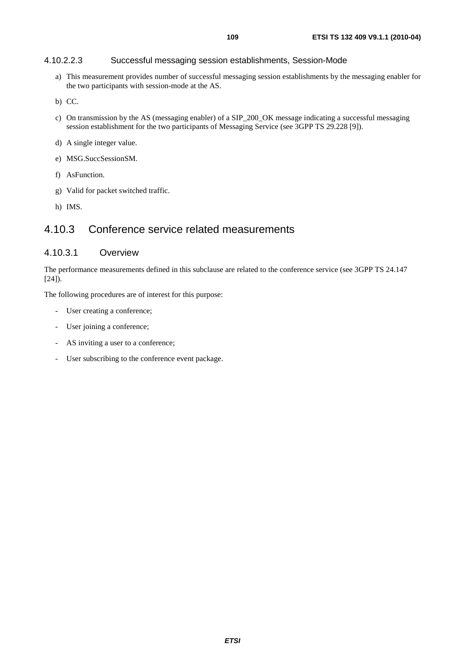#### 4.10.2.2.3 Successful messaging session establishments, Session-Mode

- a) This measurement provides number of successful messaging session establishments by the messaging enabler for the two participants with session-mode at the AS.
- b) CC.
- c) On transmission by the AS (messaging enabler) of a SIP\_200\_OK message indicating a successful messaging session establishment for the two participants of Messaging Service (see 3GPP TS 29.228 [9]).
- d) A single integer value.
- e) MSG.SuccSessionSM.
- f) AsFunction.
- g) Valid for packet switched traffic.
- h) IMS.

# 4.10.3 Conference service related measurements

### 4.10.3.1 Overview

The performance measurements defined in this subclause are related to the conference service (see 3GPP TS 24.147  $[24]$ ).

The following procedures are of interest for this purpose:

- User creating a conference;
- User joining a conference;
- AS inviting a user to a conference;
- User subscribing to the conference event package.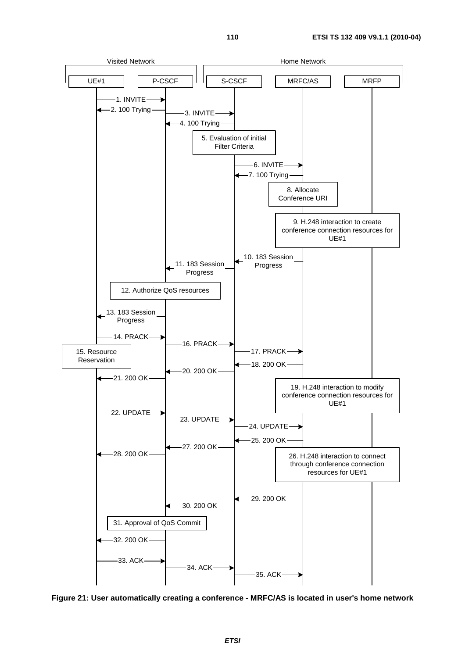

**Figure 21: User automatically creating a conference - MRFC/AS is located in user's home network**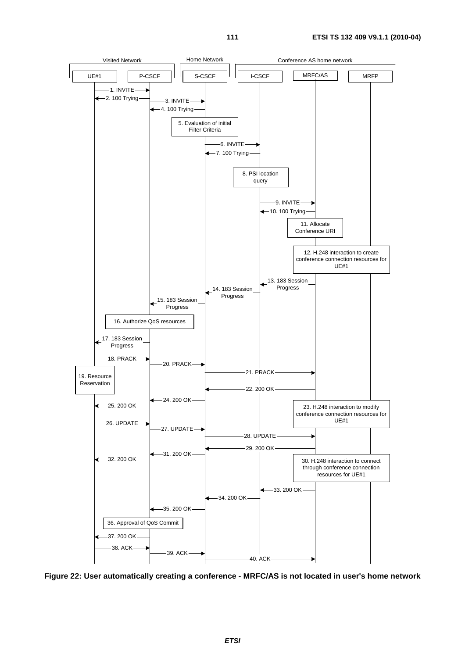

**Figure 22: User automatically creating a conference - MRFC/AS is not located in user's home network**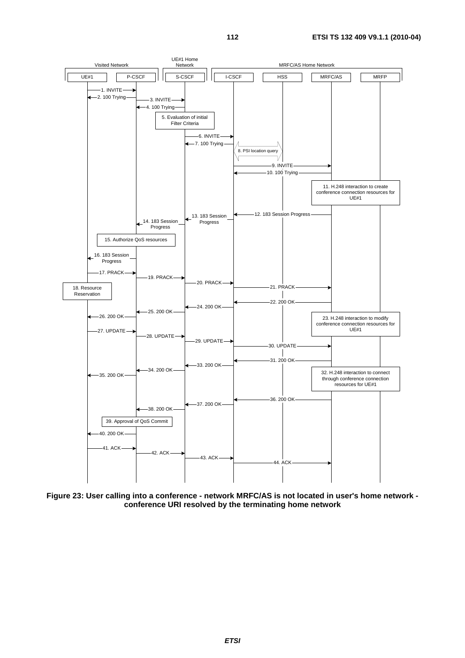

**Figure 23: User calling into a conference - network MRFC/AS is not located in user's home network conference URI resolved by the terminating home network**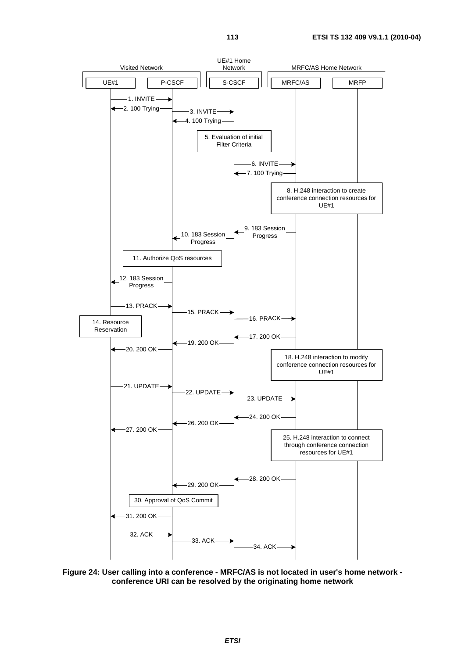

**Figure 24: User calling into a conference - MRFC/AS is not located in user's home network conference URI can be resolved by the originating home network**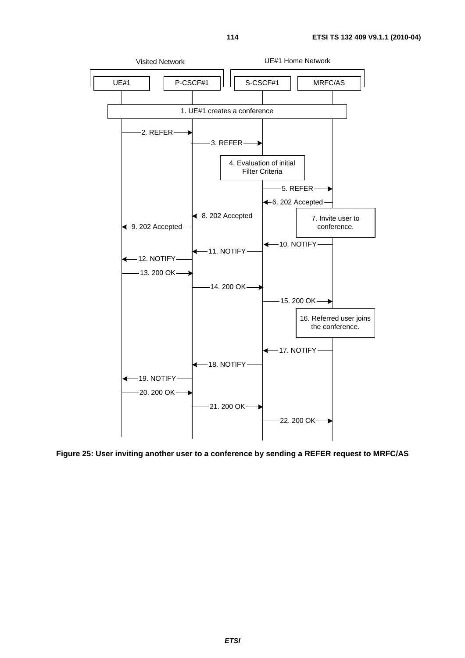

**Figure 25: User inviting another user to a conference by sending a REFER request to MRFC/AS** 

*ETSI*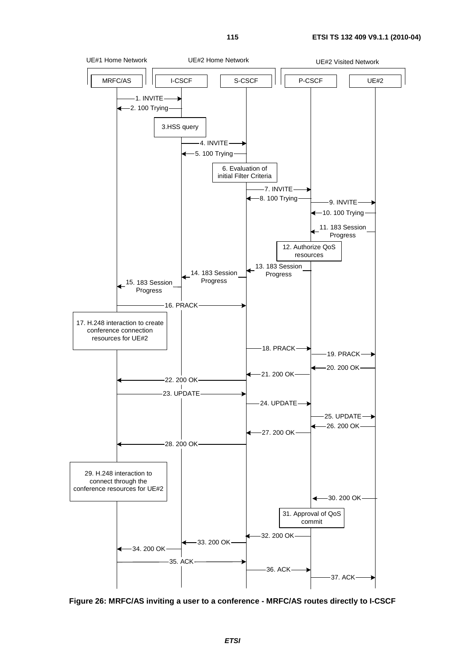

**Figure 26: MRFC/AS inviting a user to a conference - MRFC/AS routes directly to I-CSCF**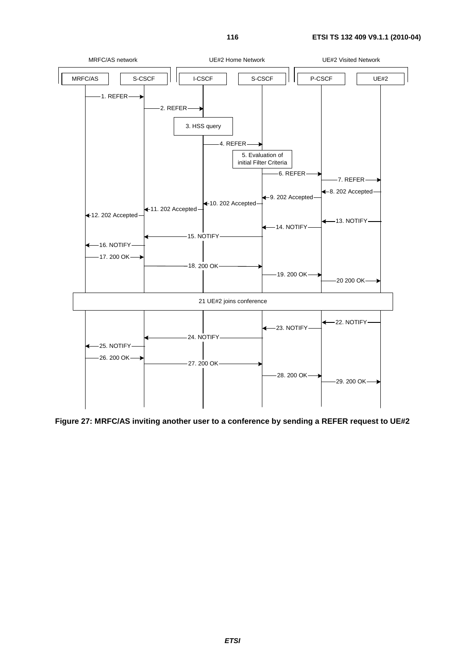

**Figure 27: MRFC/AS inviting another user to a conference by sending a REFER request to UE#2**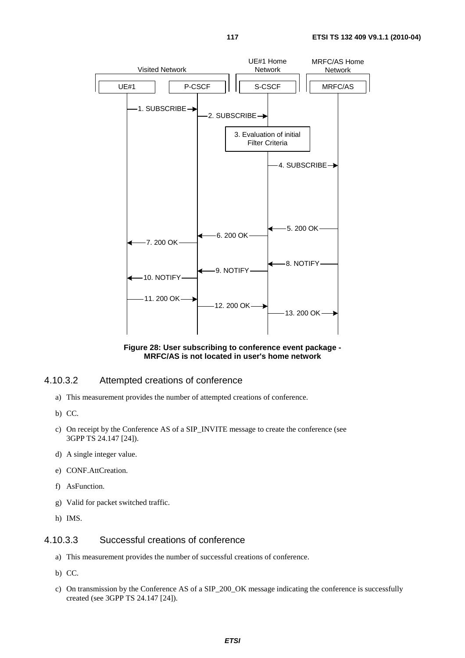

**Figure 28: User subscribing to conference event package - MRFC/AS is not located in user's home network** 

#### 4.10.3.2 Attempted creations of conference

- a) This measurement provides the number of attempted creations of conference.
- b) CC.
- c) On receipt by the Conference AS of a SIP\_INVITE message to create the conference (see 3GPP TS 24.147 [24]).
- d) A single integer value.
- e) CONF.AttCreation.
- f) AsFunction.
- g) Valid for packet switched traffic.
- h) IMS.

#### 4.10.3.3 Successful creations of conference

- a) This measurement provides the number of successful creations of conference.
- b) CC.
- c) On transmission by the Conference AS of a SIP\_200\_OK message indicating the conference is successfully created (see 3GPP TS 24.147 [24]).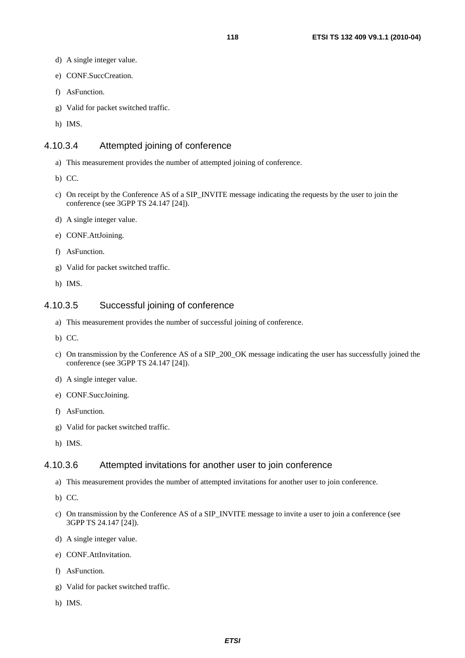- d) A single integer value.
- e) CONF.SuccCreation.
- f) AsFunction.
- g) Valid for packet switched traffic.
- h) IMS.

### 4.10.3.4 Attempted joining of conference

- a) This measurement provides the number of attempted joining of conference.
- b) CC.
- c) On receipt by the Conference AS of a SIP\_INVITE message indicating the requests by the user to join the conference (see 3GPP TS 24.147 [24]).
- d) A single integer value.
- e) CONF.AttJoining.
- f) AsFunction.
- g) Valid for packet switched traffic.
- h) IMS.

### 4.10.3.5 Successful joining of conference

- a) This measurement provides the number of successful joining of conference.
- b) CC.
- c) On transmission by the Conference AS of a SIP\_200\_OK message indicating the user has successfully joined the conference (see 3GPP TS 24.147 [24]).
- d) A single integer value.
- e) CONF.SuccJoining.
- f) AsFunction.
- g) Valid for packet switched traffic.
- h) IMS.

#### 4.10.3.6 Attempted invitations for another user to join conference

- a) This measurement provides the number of attempted invitations for another user to join conference.
- b) CC.
- c) On transmission by the Conference AS of a SIP\_INVITE message to invite a user to join a conference (see 3GPP TS 24.147 [24]).
- d) A single integer value.
- e) CONF.AttInvitation.
- f) AsFunction.
- g) Valid for packet switched traffic.
- h) IMS.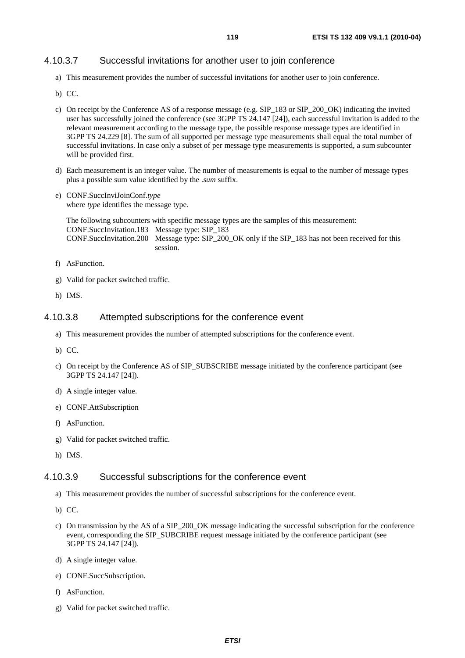### 4.10.3.7 Successful invitations for another user to join conference

- a) This measurement provides the number of successful invitations for another user to join conference.
- b) CC.
- c) On receipt by the Conference AS of a response message (e.g. SIP\_183 or SIP\_200\_OK) indicating the invited user has successfully joined the conference (see 3GPP TS 24.147 [24]), each successful invitation is added to the relevant measurement according to the message type, the possible response message types are identified in 3GPP TS 24.229 [8]. The sum of all supported per message type measurements shall equal the total number of successful invitations. In case only a subset of per message type measurements is supported, a sum subcounter will be provided first.
- d) Each measurement is an integer value. The number of measurements is equal to the number of message types plus a possible sum value identified by the .*sum* suffix.
- e) CONF.SuccInviJoinConf.*type*  where *type* identifies the message type.

The following subcounters with specific message types are the samples of this measurement: CONF.SuccInvitation.183 Message type: SIP\_183 CONF.SuccInvitation.200 Message type: SIP\_200\_OK only if the SIP\_183 has not been received for this session.

- f) AsFunction.
- g) Valid for packet switched traffic.
- h) IMS.

#### 4.10.3.8 Attempted subscriptions for the conference event

- a) This measurement provides the number of attempted subscriptions for the conference event.
- b) CC.
- c) On receipt by the Conference AS of SIP\_SUBSCRIBE message initiated by the conference participant (see 3GPP TS 24.147 [24]).
- d) A single integer value.
- e) CONF.AttSubscription
- f) AsFunction.
- g) Valid for packet switched traffic.
- h) IMS.

#### 4.10.3.9 Successful subscriptions for the conference event

- a) This measurement provides the number of successful subscriptions for the conference event.
- b) CC.
- c) On transmission by the AS of a SIP\_200\_OK message indicating the successful subscription for the conference event, corresponding the SIP\_SUBCRIBE request message initiated by the conference participant (see 3GPP TS 24.147 [24]).
- d) A single integer value.
- e) CONF.SuccSubscription.
- f) AsFunction.
- g) Valid for packet switched traffic.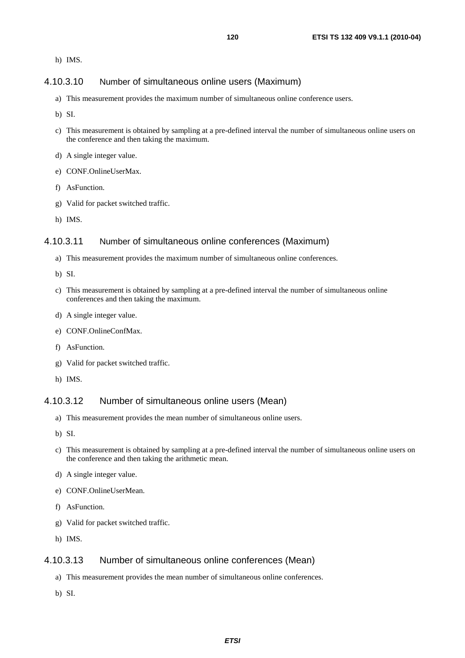h) IMS.

# 4.10.3.10 Number of simultaneous online users (Maximum)

- a) This measurement provides the maximum number of simultaneous online conference users.
- b) SI.
- c) This measurement is obtained by sampling at a pre-defined interval the number of simultaneous online users on the conference and then taking the maximum.
- d) A single integer value.
- e) CONF.OnlineUserMax.
- f) AsFunction.
- g) Valid for packet switched traffic.
- h) IMS.

#### 4.10.3.11 Number of simultaneous online conferences (Maximum)

- a) This measurement provides the maximum number of simultaneous online conferences.
- b) SI.
- c) This measurement is obtained by sampling at a pre-defined interval the number of simultaneous online conferences and then taking the maximum.
- d) A single integer value.
- e) CONF.OnlineConfMax.
- f) AsFunction.
- g) Valid for packet switched traffic.
- h) IMS.

#### 4.10.3.12 Number of simultaneous online users (Mean)

- a) This measurement provides the mean number of simultaneous online users.
- b) SI.
- c) This measurement is obtained by sampling at a pre-defined interval the number of simultaneous online users on the conference and then taking the arithmetic mean.
- d) A single integer value.
- e) CONF.OnlineUserMean.
- f) AsFunction.
- g) Valid for packet switched traffic.
- h) IMS.

## 4.10.3.13 Number of simultaneous online conferences (Mean)

- a) This measurement provides the mean number of simultaneous online conferences.
- b) SI.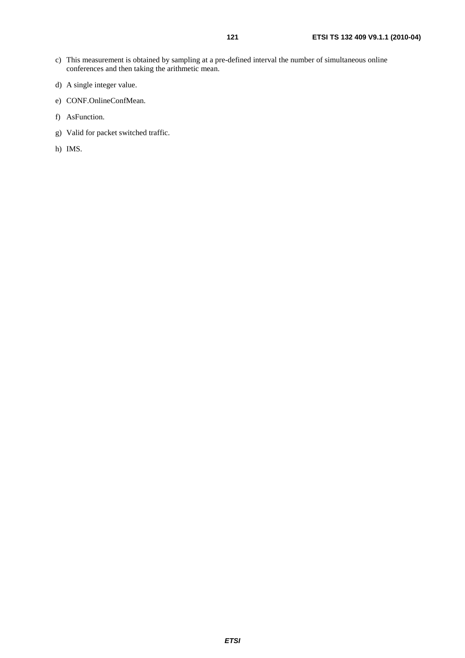- c) This measurement is obtained by sampling at a pre-defined interval the number of simultaneous online conferences and then taking the arithmetic mean.
- d) A single integer value.
- e) CONF.OnlineConfMean.
- f) AsFunction.
- g) Valid for packet switched traffic.
- h) IMS.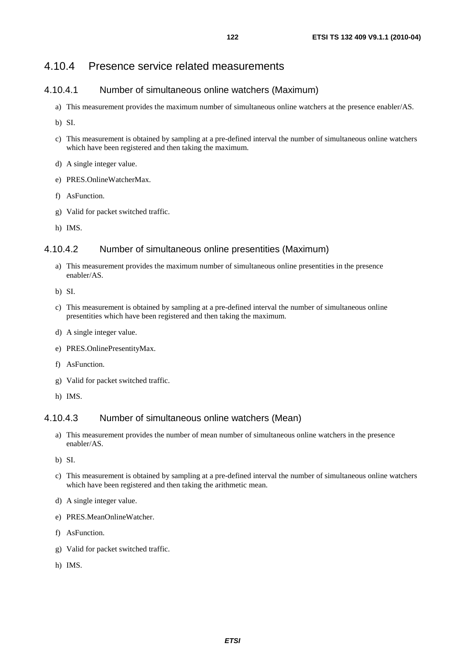# 4.10.4 Presence service related measurements

### 4.10.4.1 Number of simultaneous online watchers (Maximum)

- a) This measurement provides the maximum number of simultaneous online watchers at the presence enabler/AS.
- b) SI.
- c) This measurement is obtained by sampling at a pre-defined interval the number of simultaneous online watchers which have been registered and then taking the maximum.
- d) A single integer value.
- e) PRES.OnlineWatcherMax.
- f) AsFunction.
- g) Valid for packet switched traffic.
- h) IMS.

### 4.10.4.2 Number of simultaneous online presentities (Maximum)

- a) This measurement provides the maximum number of simultaneous online presentities in the presence enabler/AS.
- b) SI.
- c) This measurement is obtained by sampling at a pre-defined interval the number of simultaneous online presentities which have been registered and then taking the maximum.
- d) A single integer value.
- e) PRES.OnlinePresentityMax.
- f) AsFunction.
- g) Valid for packet switched traffic.
- h) IMS.

#### 4.10.4.3 Number of simultaneous online watchers (Mean)

- a) This measurement provides the number of mean number of simultaneous online watchers in the presence enabler/AS.
- b) SI.
- c) This measurement is obtained by sampling at a pre-defined interval the number of simultaneous online watchers which have been registered and then taking the arithmetic mean.
- d) A single integer value.
- e) PRES.MeanOnlineWatcher.
- f) AsFunction.
- g) Valid for packet switched traffic.
- h) IMS.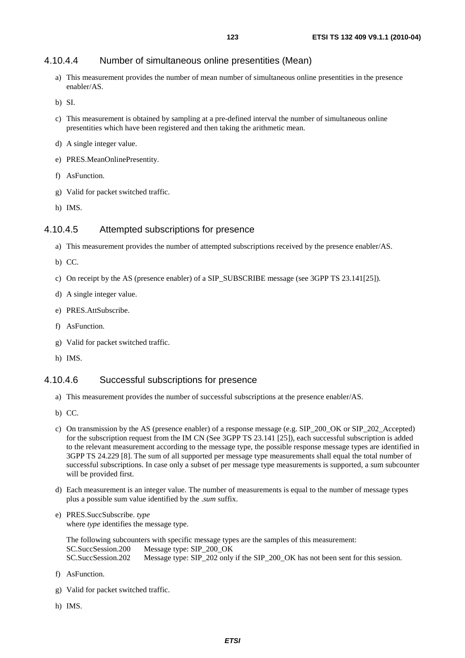# 4.10.4.4 Number of simultaneous online presentities (Mean)

a) This measurement provides the number of mean number of simultaneous online presentities in the presence enabler/AS.

b) SI.

- c) This measurement is obtained by sampling at a pre-defined interval the number of simultaneous online presentities which have been registered and then taking the arithmetic mean.
- d) A single integer value.
- e) PRES.MeanOnlinePresentity.
- f) AsFunction.
- g) Valid for packet switched traffic.
- h) IMS.

## 4.10.4.5 Attempted subscriptions for presence

- a) This measurement provides the number of attempted subscriptions received by the presence enabler/AS.
- b) CC.
- c) On receipt by the AS (presence enabler) of a SIP\_SUBSCRIBE message (see 3GPP TS 23.141[25]).
- d) A single integer value.
- e) PRES.AttSubscribe.
- f) AsFunction.
- g) Valid for packet switched traffic.
- h) IMS.

## 4.10.4.6 Successful subscriptions for presence

- a) This measurement provides the number of successful subscriptions at the presence enabler/AS.
- b) CC.
- c) On transmission by the AS (presence enabler) of a response message (e.g. SIP\_200\_OK or SIP\_202\_Accepted) for the subscription request from the IM CN (See 3GPP TS 23.141 [25]), each successful subscription is added to the relevant measurement according to the message type, the possible response message types are identified in 3GPP TS 24.229 [8]. The sum of all supported per message type measurements shall equal the total number of successful subscriptions. In case only a subset of per message type measurements is supported, a sum subcounter will be provided first.
- d) Each measurement is an integer value. The number of measurements is equal to the number of message types plus a possible sum value identified by the .*sum* suffix.
- e) PRES.SuccSubscribe. *type*  where *type* identifies the message type.

| The following subcounters with specific message types are the samples of this measurement: |                                                                                  |  |  |  |  |  |  |
|--------------------------------------------------------------------------------------------|----------------------------------------------------------------------------------|--|--|--|--|--|--|
|                                                                                            | SC.SuccSession.200 Message type: SIP 200 OK                                      |  |  |  |  |  |  |
| SC.SuccSession.202                                                                         | Message type: SIP_202 only if the SIP_200_OK has not been sent for this session. |  |  |  |  |  |  |

- f) AsFunction.
- g) Valid for packet switched traffic.
- h) IMS.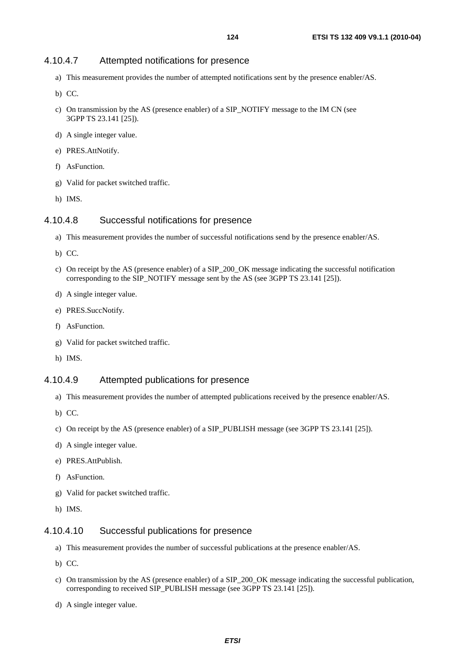# 4.10.4.7 Attempted notifications for presence

- a) This measurement provides the number of attempted notifications sent by the presence enabler/AS.
- b) CC.
- c) On transmission by the AS (presence enabler) of a SIP\_NOTIFY message to the IM CN (see 3GPP TS 23.141 [25]).
- d) A single integer value.
- e) PRES.AttNotify.
- f) AsFunction.
- g) Valid for packet switched traffic.
- h) IMS.

# 4.10.4.8 Successful notifications for presence

- a) This measurement provides the number of successful notifications send by the presence enabler/AS.
- b) CC.
- c) On receipt by the AS (presence enabler) of a SIP\_200\_OK message indicating the successful notification corresponding to the SIP\_NOTIFY message sent by the AS (see 3GPP TS 23.141 [25]).
- d) A single integer value.
- e) PRES.SuccNotify.
- f) AsFunction.
- g) Valid for packet switched traffic.
- h) IMS.

## 4.10.4.9 Attempted publications for presence

- a) This measurement provides the number of attempted publications received by the presence enabler/AS.
- b) CC.
- c) On receipt by the AS (presence enabler) of a SIP\_PUBLISH message (see 3GPP TS 23.141 [25]).
- d) A single integer value.
- e) PRES.AttPublish.
- f) AsFunction.
- g) Valid for packet switched traffic.
- h) IMS.

## 4.10.4.10 Successful publications for presence

- a) This measurement provides the number of successful publications at the presence enabler/AS.
- b) CC.
- c) On transmission by the AS (presence enabler) of a SIP\_200\_OK message indicating the successful publication, corresponding to received SIP\_PUBLISH message (see 3GPP TS 23.141 [25]).
- d) A single integer value.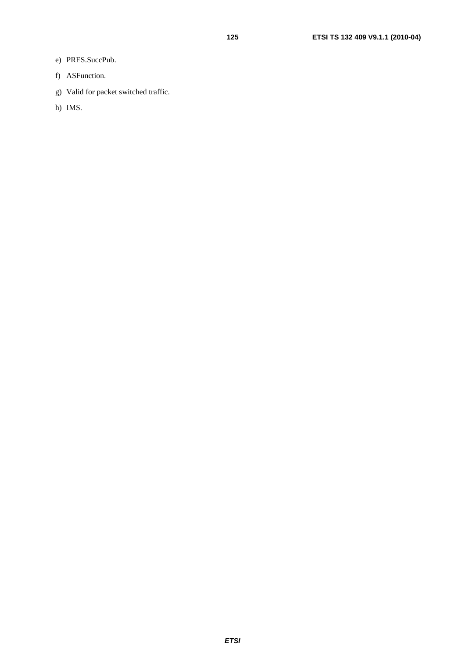- e) PRES.SuccPub.
- f) ASFunction.
- g) Valid for packet switched traffic.
- h) IMS.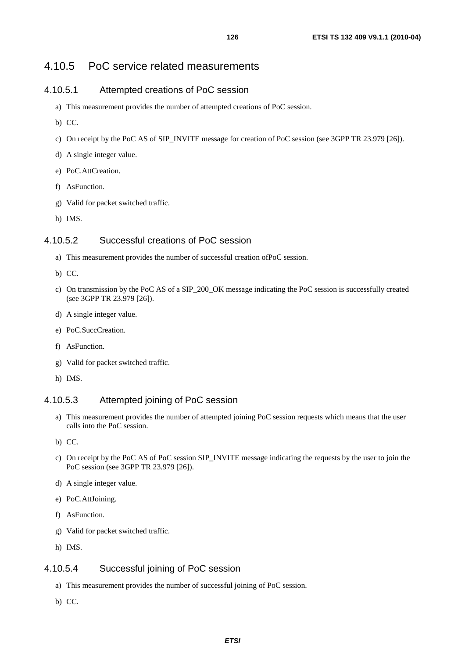# 4.10.5 PoC service related measurements

# 4.10.5.1 Attempted creations of PoC session

- a) This measurement provides the number of attempted creations of PoC session.
- b) CC.
- c) On receipt by the PoC AS of SIP\_INVITE message for creation of PoC session (see 3GPP TR 23.979 [26]).
- d) A single integer value.
- e) PoC.AttCreation.
- f) AsFunction.
- g) Valid for packet switched traffic.
- h) IMS.

## 4.10.5.2 Successful creations of PoC session

- a) This measurement provides the number of successful creation ofPoC session.
- b) CC.
- c) On transmission by the PoC AS of a SIP\_200\_OK message indicating the PoC session is successfully created (see 3GPP TR 23.979 [26]).
- d) A single integer value.
- e) PoC.SuccCreation.
- f) AsFunction.
- g) Valid for packet switched traffic.
- h) IMS.

## 4.10.5.3 Attempted joining of PoC session

- a) This measurement provides the number of attempted joining PoC session requests which means that the user calls into the PoC session.
- b) CC.
- c) On receipt by the PoC AS of PoC session SIP\_INVITE message indicating the requests by the user to join the PoC session (see 3GPP TR 23.979 [26]).
- d) A single integer value.
- e) PoC.AttJoining.
- f) AsFunction.
- g) Valid for packet switched traffic.
- h) IMS.

# 4.10.5.4 Successful joining of PoC session

- a) This measurement provides the number of successful joining of PoC session.
- b) CC.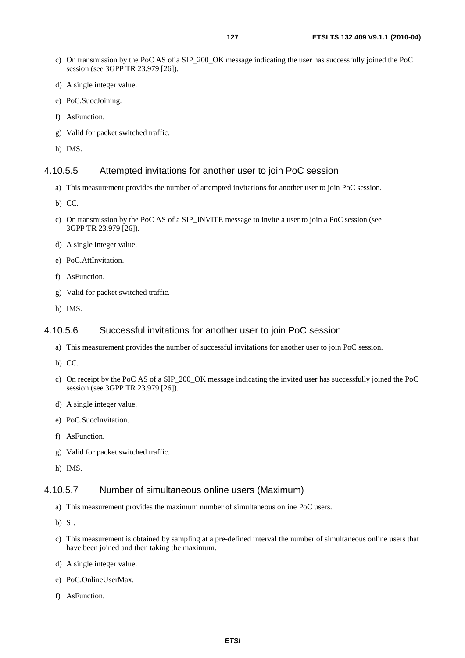- c) On transmission by the PoC AS of a SIP\_200\_OK message indicating the user has successfully joined the PoC session (see 3GPP TR 23.979 [26]).
- d) A single integer value.
- e) PoC.SuccJoining.
- f) AsFunction.
- g) Valid for packet switched traffic.
- h) IMS.

## 4.10.5.5 Attempted invitations for another user to join PoC session

- a) This measurement provides the number of attempted invitations for another user to join PoC session.
- b) CC.
- c) On transmission by the PoC AS of a SIP\_INVITE message to invite a user to join a PoC session (see 3GPP TR 23.979 [26]).
- d) A single integer value.
- e) PoC.AttInvitation.
- f) AsFunction.
- g) Valid for packet switched traffic.
- h) IMS.

#### 4.10.5.6 Successful invitations for another user to join PoC session

- a) This measurement provides the number of successful invitations for another user to join PoC session.
- b) CC.
- c) On receipt by the PoC AS of a SIP\_200\_OK message indicating the invited user has successfully joined the PoC session (see 3GPP TR 23.979 [26]).
- d) A single integer value.
- e) PoC.SuccInvitation.
- f) AsFunction.
- g) Valid for packet switched traffic.
- h) IMS.

## 4.10.5.7 Number of simultaneous online users (Maximum)

- a) This measurement provides the maximum number of simultaneous online PoC users.
- b) SI.
- c) This measurement is obtained by sampling at a pre-defined interval the number of simultaneous online users that have been joined and then taking the maximum.
- d) A single integer value.
- e) PoC.OnlineUserMax.
- f) AsFunction.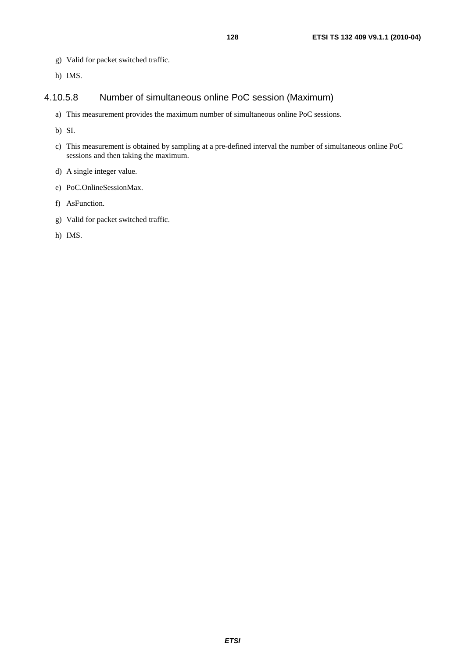- g) Valid for packet switched traffic.
- h) IMS.

# 4.10.5.8 Number of simultaneous online PoC session (Maximum)

- a) This measurement provides the maximum number of simultaneous online PoC sessions.
- b) SI.
- c) This measurement is obtained by sampling at a pre-defined interval the number of simultaneous online PoC sessions and then taking the maximum.
- d) A single integer value.
- e) PoC.OnlineSessionMax.
- f) AsFunction.
- g) Valid for packet switched traffic.
- h) IMS.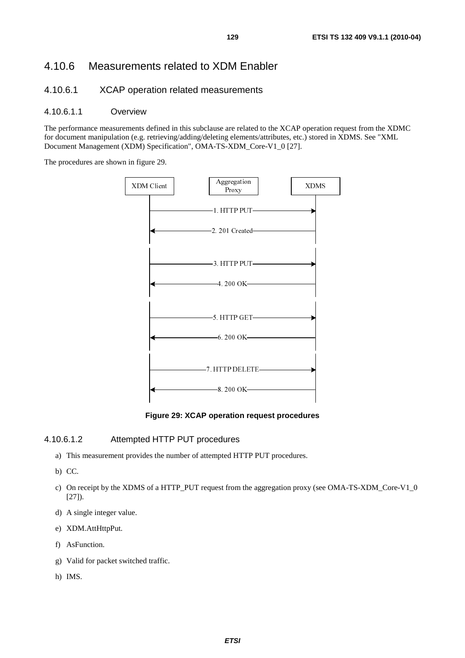# 4.10.6 Measurements related to XDM Enabler

### 4.10.6.1 XCAP operation related measurements

#### 4.10.6.1.1 Overview

The performance measurements defined in this subclause are related to the XCAP operation request from the XDMC for document manipulation (e.g. retrieving/adding/deleting elements/attributes, etc.) stored in XDMS. See "XML Document Management (XDM) Specification", OMA-TS-XDM\_Core-V1\_0 [27].

The procedures are shown in figure 29.



**Figure 29: XCAP operation request procedures** 

#### 4.10.6.1.2 Attempted HTTP PUT procedures

- a) This measurement provides the number of attempted HTTP PUT procedures.
- b) CC.
- c) On receipt by the XDMS of a HTTP\_PUT request from the aggregation proxy (see OMA-TS-XDM\_Core-V1\_0 [27]).
- d) A single integer value.
- e) XDM.AttHttpPut.
- f) AsFunction.
- g) Valid for packet switched traffic.
- h) IMS.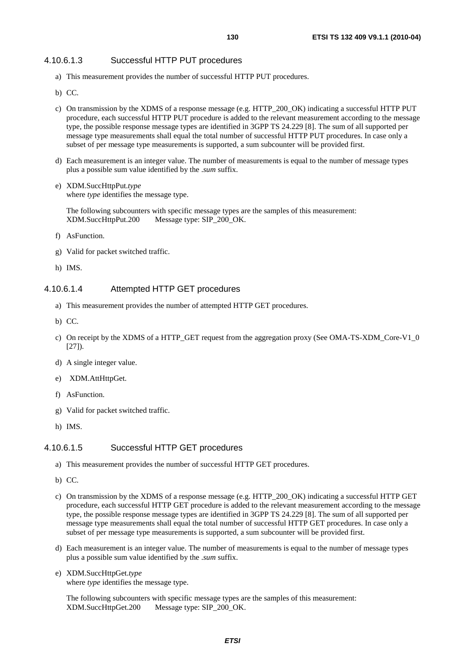#### 4.10.6.1.3 Successful HTTP PUT procedures

- a) This measurement provides the number of successful HTTP PUT procedures.
- b) CC.
- c) On transmission by the XDMS of a response message (e.g. HTTP\_200\_OK) indicating a successful HTTP PUT procedure, each successful HTTP PUT procedure is added to the relevant measurement according to the message type, the possible response message types are identified in 3GPP TS 24.229 [8]. The sum of all supported per message type measurements shall equal the total number of successful HTTP PUT procedures. In case only a subset of per message type measurements is supported, a sum subcounter will be provided first.
- d) Each measurement is an integer value. The number of measurements is equal to the number of message types plus a possible sum value identified by the .*sum* suffix.
- e) XDM.SuccHttpPut.*type*  where *type* identifies the message type.

The following subcounters with specific message types are the samples of this measurement: XDM.SuccHttpPut.200 Message type: SIP\_200\_OK.

- f) AsFunction.
- g) Valid for packet switched traffic.
- h) IMS.

#### 4.10.6.1.4 Attempted HTTP GET procedures

- a) This measurement provides the number of attempted HTTP GET procedures.
- b) CC.
- c) On receipt by the XDMS of a HTTP\_GET request from the aggregation proxy (See OMA-TS-XDM\_Core-V1\_0  $[27]$ ).
- d) A single integer value.
- e) XDM.AttHttpGet.
- f) AsFunction.
- g) Valid for packet switched traffic.
- h) IMS.

#### 4.10.6.1.5 Successful HTTP GET procedures

- a) This measurement provides the number of successful HTTP GET procedures.
- b) CC.
- c) On transmission by the XDMS of a response message (e.g. HTTP\_200\_OK) indicating a successful HTTP GET procedure, each successful HTTP GET procedure is added to the relevant measurement according to the message type, the possible response message types are identified in 3GPP TS 24.229 [8]. The sum of all supported per message type measurements shall equal the total number of successful HTTP GET procedures. In case only a subset of per message type measurements is supported, a sum subcounter will be provided first.
- d) Each measurement is an integer value. The number of measurements is equal to the number of message types plus a possible sum value identified by the .*sum* suffix.
- e) XDM.SuccHttpGet.*type*  where *type* identifies the message type.

The following subcounters with specific message types are the samples of this measurement: XDM.SuccHttpGet.200 Message type: SIP\_200\_OK.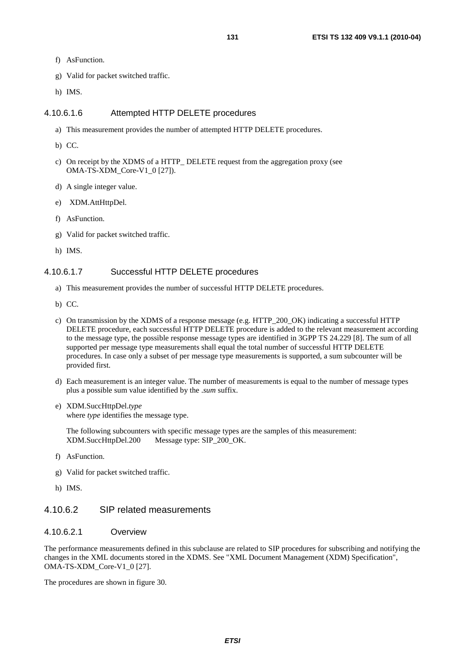- f) AsFunction.
- g) Valid for packet switched traffic.
- h) IMS.

#### 4.10.6.1.6 Attempted HTTP DELETE procedures

- a) This measurement provides the number of attempted HTTP DELETE procedures.
- b) CC.
- c) On receipt by the XDMS of a HTTP\_ DELETE request from the aggregation proxy (see OMA-TS-XDM\_Core-V1\_0 [27]).
- d) A single integer value.
- e) XDM.AttHttpDel.
- f) AsFunction.
- g) Valid for packet switched traffic.
- h) IMS.

#### 4.10.6.1.7 Successful HTTP DELETE procedures

- a) This measurement provides the number of successful HTTP DELETE procedures.
- b) CC.
- c) On transmission by the XDMS of a response message (e.g. HTTP\_200\_OK) indicating a successful HTTP DELETE procedure, each successful HTTP DELETE procedure is added to the relevant measurement according to the message type, the possible response message types are identified in 3GPP TS 24.229 [8]. The sum of all supported per message type measurements shall equal the total number of successful HTTP DELETE procedures. In case only a subset of per message type measurements is supported, a sum subcounter will be provided first.
- d) Each measurement is an integer value. The number of measurements is equal to the number of message types plus a possible sum value identified by the .*sum* suffix.
- e) XDM.SuccHttpDel.*type*  where *type* identifies the message type.

The following subcounters with specific message types are the samples of this measurement: XDM.SuccHttpDel.200 Message type: SIP\_200\_OK.

- f) AsFunction.
- g) Valid for packet switched traffic.
- h) IMS.

#### 4.10.6.2 SIP related measurements

#### 4.10.6.2.1 Overview

The performance measurements defined in this subclause are related to SIP procedures for subscribing and notifying the changes in the XML documents stored in the XDMS. See "XML Document Management (XDM) Specification", OMA-TS-XDM\_Core-V1\_0 [27].

The procedures are shown in figure 30.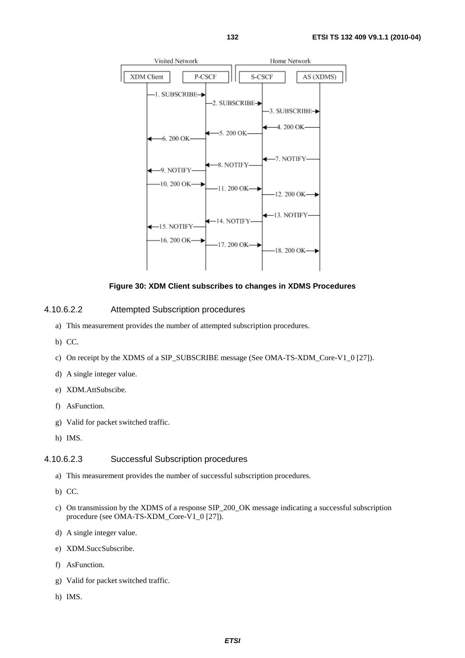

**Figure 30: XDM Client subscribes to changes in XDMS Procedures** 

#### 4.10.6.2.2 Attempted Subscription procedures

- a) This measurement provides the number of attempted subscription procedures.
- b) CC.
- c) On receipt by the XDMS of a SIP\_SUBSCRIBE message (See OMA-TS-XDM\_Core-V1\_0 [27]).
- d) A single integer value.
- e) XDM.AttSubscibe.
- f) AsFunction.
- g) Valid for packet switched traffic.
- h) IMS.

### 4.10.6.2.3 Successful Subscription procedures

- a) This measurement provides the number of successful subscription procedures.
- b) CC.
- c) On transmission by the XDMS of a response SIP\_200\_OK message indicating a successful subscription procedure (see OMA-TS-XDM\_Core-V1\_0 [27]).
- d) A single integer value.
- e) XDM.SuccSubscribe.
- f) AsFunction.
- g) Valid for packet switched traffic.
- h) IMS.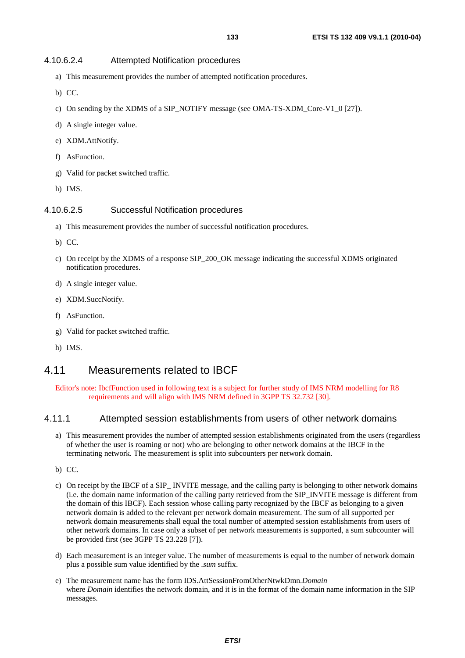#### 4.10.6.2.4 Attempted Notification procedures

- a) This measurement provides the number of attempted notification procedures.
- b) CC.
- c) On sending by the XDMS of a SIP\_NOTIFY message (see OMA-TS-XDM\_Core-V1\_0 [27]).
- d) A single integer value.
- e) XDM.AttNotify.
- f) AsFunction.
- g) Valid for packet switched traffic.
- h) IMS.

#### 4.10.6.2.5 Successful Notification procedures

- a) This measurement provides the number of successful notification procedures.
- b) CC.
- c) On receipt by the XDMS of a response SIP\_200\_OK message indicating the successful XDMS originated notification procedures.
- d) A single integer value.
- e) XDM.SuccNotify.
- f) AsFunction.
- g) Valid for packet switched traffic.
- h) IMS.

# 4.11 Measurements related to IBCF

Editor's note: IbcfFunction used in following text is a subject for further study of IMS NRM modelling for R8 requirements and will align with IMS NRM defined in 3GPP TS 32.732 [30].

### 4.11.1 Attempted session establishments from users of other network domains

- a) This measurement provides the number of attempted session establishments originated from the users (regardless of whether the user is roaming or not) who are belonging to other network domains at the IBCF in the terminating network. The measurement is split into subcounters per network domain.
- b) CC.
- c) On receipt by the IBCF of a SIP\_ INVITE message, and the calling party is belonging to other network domains (i.e. the domain name information of the calling party retrieved from the SIP\_INVITE message is different from the domain of this IBCF). Each session whose calling party recognized by the IBCF as belonging to a given network domain is added to the relevant per network domain measurement. The sum of all supported per network domain measurements shall equal the total number of attempted session establishments from users of other network domains. In case only a subset of per network measurements is supported, a sum subcounter will be provided first (see 3GPP TS 23.228 [7]).
- d) Each measurement is an integer value. The number of measurements is equal to the number of network domain plus a possible sum value identified by the *.sum* suffix.
- e) The measurement name has the form IDS.AttSessionFromOtherNtwkDmn.*Domain* where *Domain* identifies the network domain, and it is in the format of the domain name information in the SIP messages.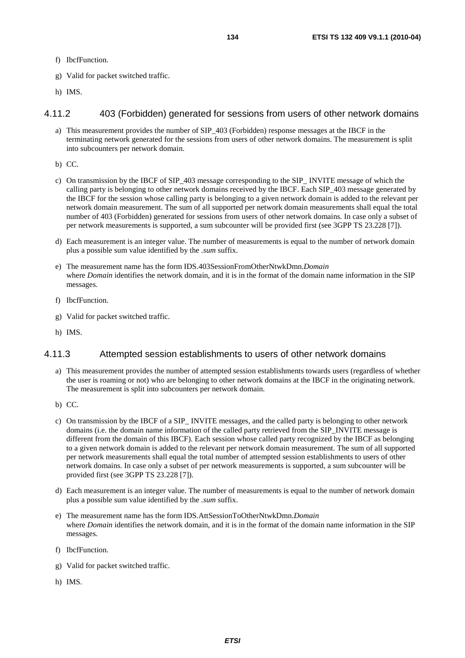- f) IbcfFunction.
- g) Valid for packet switched traffic.
- h) IMS.

#### 4.11.2 403 (Forbidden) generated for sessions from users of other network domains

- a) This measurement provides the number of SIP\_403 (Forbidden) response messages at the IBCF in the terminating network generated for the sessions from users of other network domains. The measurement is split into subcounters per network domain.
- b) CC.
- c) On transmission by the IBCF of SIP\_403 message corresponding to the SIP\_ INVITE message of which the calling party is belonging to other network domains received by the IBCF. Each SIP\_403 message generated by the IBCF for the session whose calling party is belonging to a given network domain is added to the relevant per network domain measurement. The sum of all supported per network domain measurements shall equal the total number of 403 (Forbidden) generated for sessions from users of other network domains. In case only a subset of per network measurements is supported, a sum subcounter will be provided first (see 3GPP TS 23.228 [7]).
- d) Each measurement is an integer value. The number of measurements is equal to the number of network domain plus a possible sum value identified by the *.sum* suffix.
- e) The measurement name has the form IDS.403SessionFromOtherNtwkDmn.*Domain* where *Domain* identifies the network domain, and it is in the format of the domain name information in the SIP messages.
- f) IbcfFunction.
- g) Valid for packet switched traffic.
- h) IMS.

## 4.11.3 Attempted session establishments to users of other network domains

- a) This measurement provides the number of attempted session establishments towards users (regardless of whether the user is roaming or not) who are belonging to other network domains at the IBCF in the originating network. The measurement is split into subcounters per network domain.
- b) CC.
- c) On transmission by the IBCF of a SIP\_ INVITE messages, and the called party is belonging to other network domains (i.e. the domain name information of the called party retrieved from the SIP\_INVITE message is different from the domain of this IBCF). Each session whose called party recognized by the IBCF as belonging to a given network domain is added to the relevant per network domain measurement. The sum of all supported per network measurements shall equal the total number of attempted session establishments to users of other network domains. In case only a subset of per network measurements is supported, a sum subcounter will be provided first (see 3GPP TS 23.228 [7]).
- d) Each measurement is an integer value. The number of measurements is equal to the number of network domain plus a possible sum value identified by the *.sum* suffix.
- e) The measurement name has the form IDS.AttSessionToOtherNtwkDmn.*Domain* where *Domain* identifies the network domain, and it is in the format of the domain name information in the SIP messages.
- f) IbcfFunction.
- g) Valid for packet switched traffic.
- h) IMS.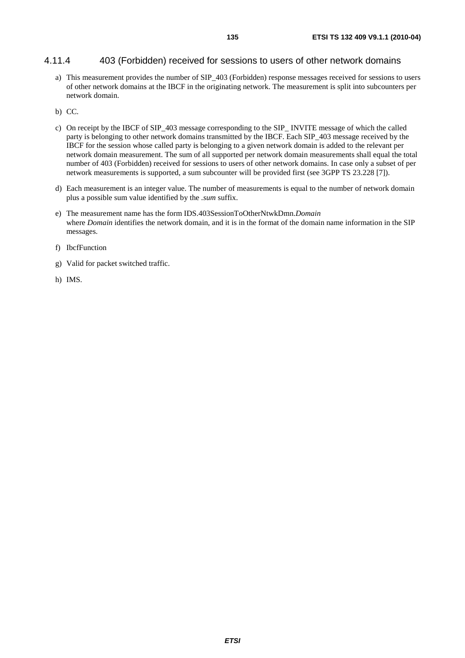#### 4.11.4 403 (Forbidden) received for sessions to users of other network domains

- a) This measurement provides the number of SIP\_403 (Forbidden) response messages received for sessions to users of other network domains at the IBCF in the originating network. The measurement is split into subcounters per network domain.
- b) CC.
- c) On receipt by the IBCF of SIP\_403 message corresponding to the SIP\_ INVITE message of which the called party is belonging to other network domains transmitted by the IBCF. Each SIP\_403 message received by the IBCF for the session whose called party is belonging to a given network domain is added to the relevant per network domain measurement. The sum of all supported per network domain measurements shall equal the total number of 403 (Forbidden) received for sessions to users of other network domains. In case only a subset of per network measurements is supported, a sum subcounter will be provided first (see 3GPP TS 23.228 [7]).
- d) Each measurement is an integer value. The number of measurements is equal to the number of network domain plus a possible sum value identified by the *.sum* suffix.
- e) The measurement name has the form IDS.403SessionToOtherNtwkDmn.*Domain* where *Domain* identifies the network domain, and it is in the format of the domain name information in the SIP messages.
- f) IbcfFunction
- g) Valid for packet switched traffic.
- h) IMS.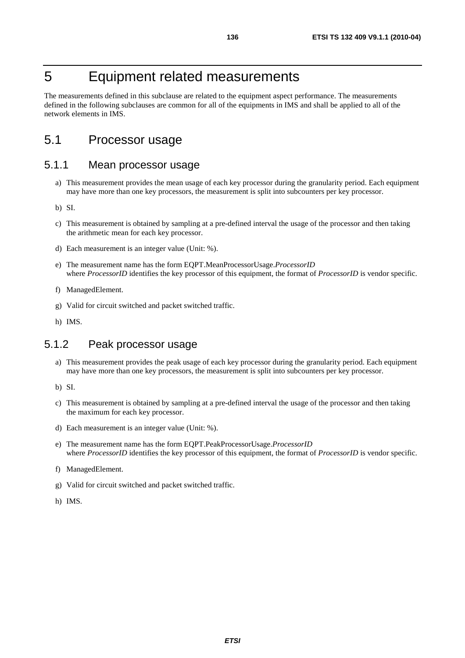# 5 Equipment related measurements

The measurements defined in this subclause are related to the equipment aspect performance. The measurements defined in the following subclauses are common for all of the equipments in IMS and shall be applied to all of the network elements in IMS.

# 5.1 Processor usage

# 5.1.1 Mean processor usage

- a) This measurement provides the mean usage of each key processor during the granularity period. Each equipment may have more than one key processors, the measurement is split into subcounters per key processor.
- b) SI.
- c) This measurement is obtained by sampling at a pre-defined interval the usage of the processor and then taking the arithmetic mean for each key processor.
- d) Each measurement is an integer value (Unit: %).
- e) The measurement name has the form EQPT.MeanProcessorUsage.*ProcessorID*  where *ProcessorID* identifies the key processor of this equipment, the format of *ProcessorID* is vendor specific.
- f) ManagedElement.
- g) Valid for circuit switched and packet switched traffic.
- h) IMS.

# 5.1.2 Peak processor usage

- a) This measurement provides the peak usage of each key processor during the granularity period. Each equipment may have more than one key processors, the measurement is split into subcounters per key processor.
- b) SI.
- c) This measurement is obtained by sampling at a pre-defined interval the usage of the processor and then taking the maximum for each key processor.
- d) Each measurement is an integer value (Unit: %).
- e) The measurement name has the form EQPT.PeakProcessorUsage.*ProcessorID*  where *ProcessorID* identifies the key processor of this equipment, the format of *ProcessorID* is vendor specific.
- f) ManagedElement.
- g) Valid for circuit switched and packet switched traffic.
- h) IMS.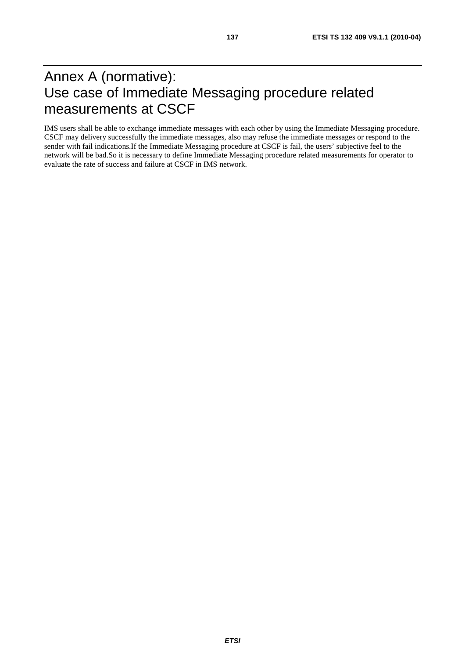# Annex A (normative): Use case of Immediate Messaging procedure related measurements at CSCF

IMS users shall be able to exchange immediate messages with each other by using the Immediate Messaging procedure. CSCF may delivery successfully the immediate messages, also may refuse the immediate messages or respond to the sender with fail indications.If the Immediate Messaging procedure at CSCF is fail, the users' subjective feel to the network will be bad.So it is necessary to define Immediate Messaging procedure related measurements for operator to evaluate the rate of success and failure at CSCF in IMS network.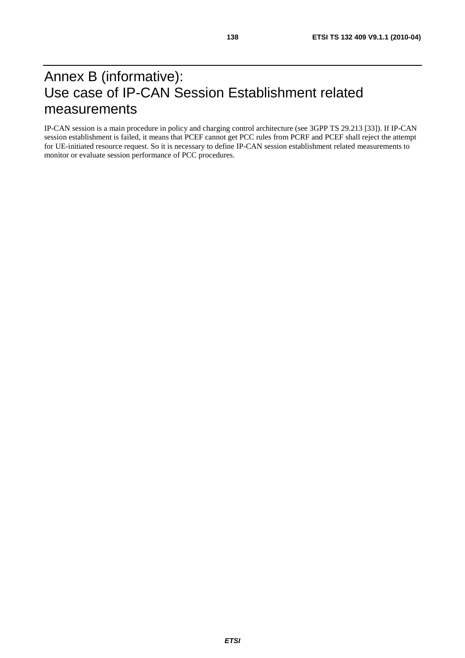# Annex B (informative): Use case of IP-CAN Session Establishment related measurements

IP-CAN session is a main procedure in policy and charging control architecture (see 3GPP TS 29.213 [33]). If IP-CAN session establishment is failed, it means that PCEF cannot get PCC rules from PCRF and PCEF shall reject the attempt for UE-initiated resource request. So it is necessary to define IP-CAN session establishment related measurements to monitor or evaluate session performance of PCC procedures.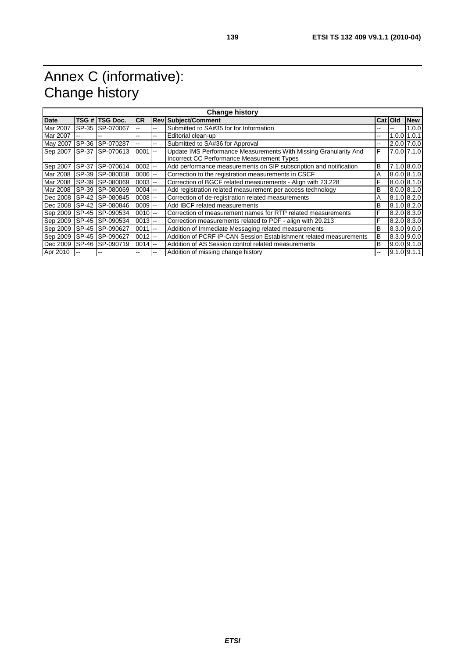# Annex C (informative): Change history

| <b>Change history</b> |       |                |                       |            |                                                                    |    |           |                 |  |  |
|-----------------------|-------|----------------|-----------------------|------------|--------------------------------------------------------------------|----|-----------|-----------------|--|--|
| Date                  |       | TSG # TSG Doc. | <b>CR</b>             | <b>Rev</b> | <b>Subject/Comment</b>                                             |    | Cat   Old | <b>New</b>      |  |  |
| Mar 2007              | SP-35 | SP-070067      | --                    | $- -$      | Submitted to SA#35 for for Information                             | -- |           | 1.0.0           |  |  |
| Mar 2007              | $-$   | --             | --                    | --         | Editorial clean-up                                                 | -- |           | $1.0.0$ 1.0.1   |  |  |
| May 2007              | SP-36 | SP-070287      |                       | --         | Submitted to SA#36 for Approval                                    | -- |           | $2.0.0$ 7.0.0   |  |  |
| Sep 2007              | SP-37 | SP-070613      | $0001$ --             |            | Update IMS Performance Measurements With Missing Granularity And   | F  |           | 7.0.0 7.1.0     |  |  |
|                       |       |                |                       |            | Incorrect CC Performance Measurement Types                         |    |           |                 |  |  |
| Sep 2007              | SP-37 | SP-070614      | $0002$ --             |            | Add performance measurements on SIP subscription and notification  | B  |           | $7.1.0$ 8.0.0   |  |  |
| Mar 2008              | SP-39 | SP-080058      | $0006$ $-$            |            | Correction to the registration measurements in CSCF                | A  |           | 8.0.0 8.1.0     |  |  |
| Mar 2008              | SP-39 | SP-080069      | $0003$ $\overline{ }$ |            | Correction of BGCF related measurements - Align with 23.228        | F  |           | 8.0.0 8.1.0     |  |  |
| Mar 2008              | SP-39 | SP-080069      | $0004$ --             |            | Add registration related measurement per access technology         | B  |           | $8.0.0$ $8.1.0$ |  |  |
| Dec 2008              | SP-42 | SP-080845      | $0008$ $-$            |            | Correction of de-registration related measurements                 | A  |           | $8.1.0$ $8.2.0$ |  |  |
| Dec 2008              | SP-42 | SP-080846      | $0009$ $-$            |            | Add IBCF related measurements                                      | B  |           | $8.1.0$ $8.2.0$ |  |  |
| Sep 2009              | SP-45 | SP-090534      | $0010$ --             |            | Correction of measurement names for RTP related measurements       | F  |           | $8.2.0$ $8.3.0$ |  |  |
| Sep 2009              | SP-45 | SP-090534      | $0013$ --             |            | Correction measurements related to PDF - align with 29.213         | F  |           | 8.2.0 8.3.0     |  |  |
| Sep 2009              | SP-45 | SP-090627      | $0011$ --             |            | Addition of Immediate Messaging related measurements               | B  |           | $8.3.0$ 9.0.0   |  |  |
| Sep 2009              | SP-45 | SP-090627      | $0012$ --             |            | Addition of PCRF IP-CAN Session Establishment related measurements | B  |           | $8.3.0$ 9.0.0   |  |  |
| Dec 2009              | SP-46 | SP-090719      | $0014$ --             |            | Addition of AS Session control related measurements                | B  |           | $9.0.0$ $9.1.0$ |  |  |
| Apr 2010              |       |                |                       | --         | Addition of missing change history                                 | -- |           | $9.1.0$ 9.1.1   |  |  |